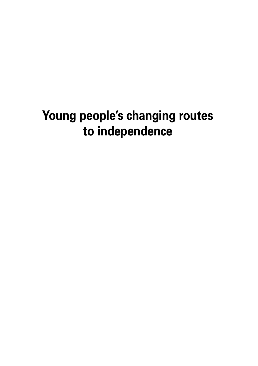# **Young people's changing routes to independence**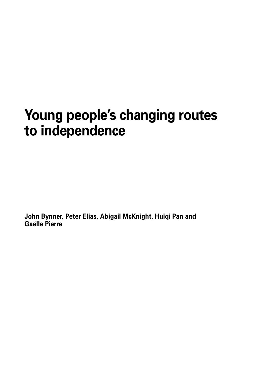# **Young people's changing routes to independence**

**John Bynner, Peter Elias, Abigail McKnight, Huiqi Pan and Gaëlle Pierre**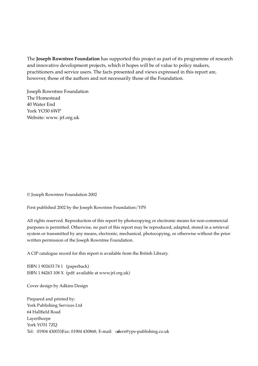The **Joseph Rowntree Foundation** has supported this project as part of its programme of research and innovative development projects, which it hopes will be of value to policy makers, practitioners and service users. The facts presented and views expressed in this report are, however, those of the authors and not necessarily those of the Foundation.

Joseph Rowntree Foundation The Homestead 40 Water End York YO30 6WP Website: www. jrf.org.uk

© Joseph Rowntree Foundation 2002

First published 2002 by the Joseph Rowntree Foundation/YPS

All rights reserved. Reproduction of this report by photocopying or electronic means for non-commercial purposes is permitted. Otherwise, no part of this report may be reproduced, adapted, stored in a retrieval system or transmitted by any means, electronic, mechanical, photocopying, or otherwise without the prior written permission of the Joseph Rowntree Foundation.

A CIP catalogue record for this report is available from the British Library.

ISBN 1 902633 74 1 (paperback) ISBN 1 84263 108 X (pdf: available at www.jrf.org.uk)

Cover design by Adkins Design

Prepared and printed by: York Publishing Services Ltd 64 Hallfield Road Layerthorpe York YO31 7ZQ Tel: 01904 430033Fax: 01904 430868; E-mail: oders@yps-publishing.co.uk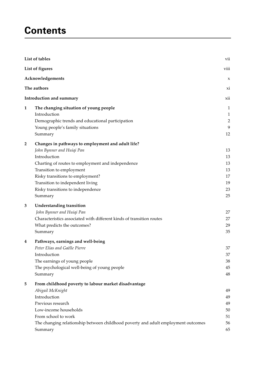# **Contents**

|                | List of tables                                                                                                                                                                                                                                                                                          | vii                                            |
|----------------|---------------------------------------------------------------------------------------------------------------------------------------------------------------------------------------------------------------------------------------------------------------------------------------------------------|------------------------------------------------|
|                | List of figures                                                                                                                                                                                                                                                                                         | viii                                           |
|                | Acknowledgements                                                                                                                                                                                                                                                                                        | X                                              |
|                | The authors                                                                                                                                                                                                                                                                                             | xi                                             |
|                | Introduction and summary                                                                                                                                                                                                                                                                                | xii                                            |
| $\mathbf{1}$   | The changing situation of young people<br>Introduction<br>Demographic trends and educational participation<br>Young people's family situations<br>Summary                                                                                                                                               | 1<br>$\mathbf{1}$<br>$\overline{2}$<br>9<br>12 |
| $\overline{2}$ | Changes in pathways to employment and adult life?<br>John Bynner and Huiqi Pan<br>Introduction<br>Charting of routes to employment and independence<br>Transition to employment<br>Risky transitions to employment?<br>Transition to independent living<br>Risky transitions to independence<br>Summary | 13<br>13<br>13<br>13<br>17<br>19<br>23<br>25   |
| 3              | <b>Understanding transition</b><br>John Bynner and Huiqi Pan<br>Characteristics associated with different kinds of transition routes<br>What predicts the outcomes?<br>Summary                                                                                                                          | 27<br>27<br>29<br>35                           |
| 4              | Pathways, earnings and well-being<br>Peter Elias and Gaëlle Pierre<br>Introduction<br>The earnings of young people<br>The psychological well-being of young people<br>Summary                                                                                                                           | 37<br>37<br>38<br>45<br>48                     |
| 5              | From childhood poverty to labour market disadvantage<br>Abigail McKnight<br>Introduction<br>Previous research<br>Low-income households<br>From school to work<br>The changing relationship between childhood poverty and adult employment outcomes<br>Summary                                           | 49<br>49<br>49<br>50<br>51<br>56<br>65         |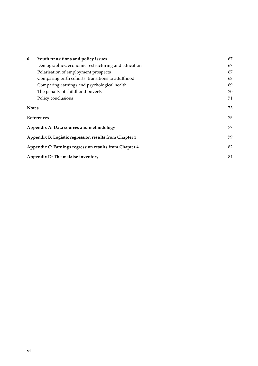| 6            | Youth transitions and policy issues                    | 67 |
|--------------|--------------------------------------------------------|----|
|              | Demographics, economic restructuring and education     | 67 |
|              | Polarisation of employment prospects                   | 67 |
|              | Comparing birth cohorts: transitions to adulthood      | 68 |
|              | Comparing earnings and psychological health            | 69 |
|              | The penalty of childhood poverty                       | 70 |
|              | Policy conclusions                                     | 71 |
| <b>Notes</b> |                                                        | 73 |
|              | References                                             | 75 |
|              | Appendix A: Data sources and methodology               | 77 |
|              | Appendix B: Logistic regression results from Chapter 3 | 79 |
|              | Appendix C: Earnings regression results from Chapter 4 | 82 |
|              | Appendix D: The malaise inventory                      |    |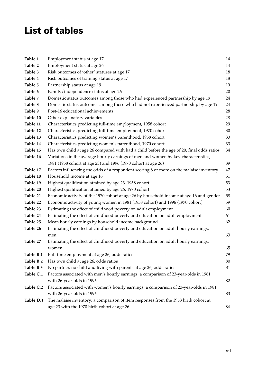# **List of tables**

| Table 1   | Employment status at age 17                                                               | 14     |
|-----------|-------------------------------------------------------------------------------------------|--------|
| Table 2   | Employment status at age 26                                                               | 14     |
| Table 3   | Risk outcomes of 'other' statuses at age 17                                               | 18     |
| Table 4   | Risk outcomes of training status at age 17                                                | 18     |
| Table 5   | Partnership status at age 19                                                              | 19     |
| Table 6   | Family/independence status at age 26                                                      | 20     |
| Table 7   | Domestic status outcomes among those who had experienced partnership by age 19            | 24     |
| Table 8   | Domestic status outcomes among those who had not experienced partnership by age 19        | 24     |
| Table 9   | Post-16 educational achievements                                                          | 28     |
| Table 10  | Other explanatory variables                                                               | 28     |
| Table 11  | Characteristics predicting full-time employment, 1958 cohort                              | 29     |
| Table 12  | Characteristics predicting full-time employment, 1970 cohort                              | 30     |
| Table 13  | Characteristics predicting women's parenthood, 1958 cohort                                | 33     |
| Table 14  | Characteristics predicting women's parenthood, 1970 cohort                                | 33     |
| Table 15  | Has own child at age 26 compared with had a child before the age of 20, final odds ratios | 34     |
| Table 16  | Variations in the average hourly earnings of men and women by key characteristics,        |        |
|           | 1981 (1958 cohort at age 23) and 1996 (1970 cohort at age 26)                             | 39     |
| Table 17  | Factors influencing the odds of a respondent scoring 8 or more on the malaise inventory   | $47\,$ |
| Table 18  | Household income at age 16                                                                | 51     |
| Table 19  | Highest qualification attained by age 23, 1958 cohort                                     | 53     |
| Table 20  | Highest qualification attained by age 26, 1970 cohort                                     | 53     |
| Table 21  | Economic activity of the 1970 cohort at age 26 by household income at age 16 and gender   | 58     |
| Table 22  | Economic activity of young women in 1981 (1958 cohort) and 1996 (1970 cohort)             | 59     |
| Table 23  | Estimating the effect of childhood poverty on adult employment                            | 60     |
| Table 24  | Estimating the effect of childhood poverty and education on adult employment              | 61     |
| Table 25  | Mean hourly earnings by household income background                                       | 62     |
| Table 26  | Estimating the effect of childhood poverty and education on adult hourly earnings,        |        |
|           | men                                                                                       | 63     |
| Table 27  | Estimating the effect of childhood poverty and education on adult hourly earnings,        |        |
|           | women                                                                                     | 65     |
| Table B.1 | Full-time employment at age 26, odds ratios                                               | 79     |
| Table B.2 | Has own child at age 26, odds ratios                                                      | 80     |
| Table B.3 | No partner, no child and living with parents at age 26, odds ratios                       | 81     |
| Table C.1 | Factors associated with men's hourly earnings: a comparison of 23-year-olds in 1981       |        |
|           | with 26-year-olds in 1996                                                                 | 82     |
| Table C.2 | Factors associated with women's hourly earnings: a comparison of 23-year-olds in 1981     |        |
|           | with 26-year-olds in 1996                                                                 | 83     |
| Table D.1 | The malaise inventory: a comparison of item responses from the 1958 birth cohort at       |        |
|           | age 23 with the 1970 birth cohort at age 26                                               | 84     |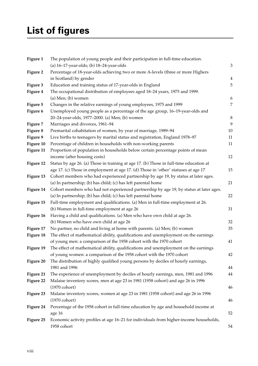# **List of figures**

| Figure 1  | The population of young people and their participation in full-time education.         |                |
|-----------|----------------------------------------------------------------------------------------|----------------|
|           | (a) 16-17-year-olds; (b) 18-24-year-olds                                               | 3              |
| Figure 2  | Percentage of 18-year-olds achieving two or more A-levels (three or more Highers       |                |
|           | in Scotland) by gender                                                                 | $\overline{4}$ |
| Figure 3  | Education and training status of 17-year-olds in England                               | 5              |
| Figure 4  | The occupational distribution of employees aged 18-24 years, 1975 and 1999.            |                |
|           | $(a)$ Men; $(b)$ women                                                                 | 6              |
| Figure 5  | Changes in the relative earnings of young employees, 1975 and 1999                     | 7              |
| Figure 6  | Unemployed young people as a percentage of the age group, 16-19-year-olds and          |                |
|           | 20-24-year-olds, 1977-2000. (a) Men; (b) women                                         | 8              |
| Figure 7  | Marriages and divorces, 1961-94                                                        | 9              |
| Figure 8  | Premarital cohabitation of women, by year of marriage, 1989-94                         | 10             |
| Figure 9  | Live births to teenagers by marital status and registration, England 1978-97           | 11             |
| Figure 10 | Percentage of children in households with non-working parents                          | 11             |
| Figure 11 | Proportion of population in households below certain percentage points of mean         |                |
|           | income (after housing costs)                                                           | 12             |
| Figure 12 | Status by age 26. (a) Those in training at age 17. (b) Those in full-time education at |                |
|           | age 17. (c) Those in employment at age 17. (d) Those in 'other' statuses at age 17     | 15             |
| Figure 13 | Cohort members who had experienced partnership by age 19, by status at later ages.     |                |
|           | (a) In partnership; (b) has child; (c) has left parental home                          | 21             |
| Figure 14 | Cohort members who had not experienced partnership by age 19, by status at later ages. |                |
|           | (a) In partnership; (b) has child; (c) has left parental home                          | 22             |
| Figure 15 | Full-time employment and qualifications. (a) Men in full-time employment at 26.        |                |
|           | (b) Women in full-time employment at age 26                                            | 31             |
| Figure 16 | Having a child and qualifications. (a) Men who have own child at age 26.               |                |
|           | (b) Women who have own child at age 26                                                 | 32             |
| Figure 17 | No partner, no child and living at home with parents. (a) Men; (b) women               | 35             |
| Figure 18 | The effect of mathematical ability, qualifications and unemployment on the earnings    |                |
|           | of young men: a comparison of the 1958 cohort with the 1970 cohort                     | 41             |
| Figure 19 | The effect of mathematical ability, qualifications and unemployment on the earnings    |                |
|           | of young women: a comparison of the 1958 cohort with the 1970 cohort                   | 42             |
| Figure 20 | The distribution of highly qualified young persons by deciles of hourly earnings,      |                |
|           | 1981 and 1996                                                                          | 44             |
| Figure 21 | The experience of unemployment by deciles of hourly earnings, men, 1981 and 1996       | 44             |
| Figure 22 | Malaise inventory scores, men at age 23 in 1981 (1958 cohort) and age 26 in 1996       |                |
|           | (1970 cohort)                                                                          | 46             |
| Figure 23 | Malaise inventory scores, women at age 23 in 1981 (1958 cohort) and age 26 in 1996     |                |
|           | (1970 cohort)                                                                          | 46             |
| Figure 24 | Percentage of the 1958 cohort in full-time education by age and household income at    |                |
|           | age 16                                                                                 | 52             |
| Figure 25 | Economic activity profiles at age 16-21 for individuals from higher-income households, |                |
|           | 1958 cohort                                                                            | 54             |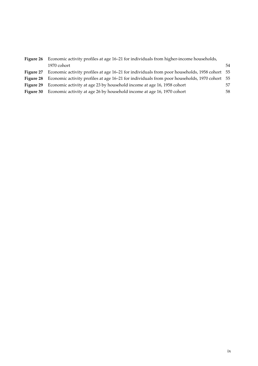| Figure 26        | Economic activity profiles at age 16-21 for individuals from higher-income households,                 |    |  |  |  |
|------------------|--------------------------------------------------------------------------------------------------------|----|--|--|--|
|                  | 1970 cohort                                                                                            | 54 |  |  |  |
| Figure 27        | Economic activity profiles at age 16–21 for individuals from poor households, 1958 cohort 55           |    |  |  |  |
|                  | Figure 28 Economic activity profiles at age 16–21 for individuals from poor households, 1970 cohort 55 |    |  |  |  |
| Figure 29        | Economic activity at age 23 by household income at age 16, 1958 cohort                                 | 57 |  |  |  |
| <b>Figure 30</b> | Economic activity at age 26 by household income at age 16, 1970 cohort                                 | 58 |  |  |  |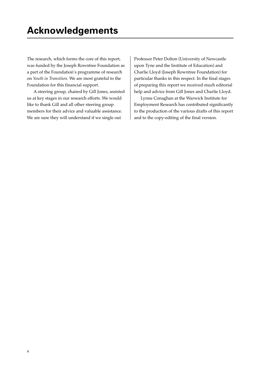The research, which forms the core of this report, was funded by the Joseph Rowntree Foundation as a part of the Foundation's programme of research on *Youth in Transition*. We are most grateful to the Foundation for this financial support.

A steering group, chaired by Gill Jones, assisted us at key stages in our research efforts. We would like to thank Gill and all other steering group members for their advice and valuable assistance. We are sure they will understand if we single out

Professor Peter Dolton (University of Newcastle upon Tyne and the Institute of Education) and Charlie Lloyd (Joseph Rowntree Foundation) for particular thanks in this respect. In the final stages of preparing this report we received much editorial help and advice from Gill Jones and Charlie Lloyd.

Lynne Conaghan at the Warwick Institute for Employment Research has contributed significantly to the production of the various drafts of this report and to the copy-editing of the final version.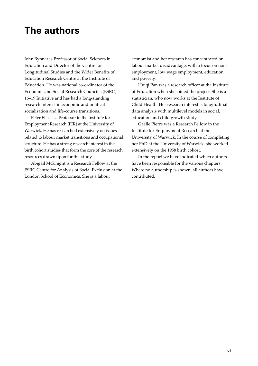John Bynner is Professor of Social Sciences in Education and Director of the Centre for Longitudinal Studies and the Wider Benefits of Education Research Centre at the Institute of Education. He was national co-ordinator of the Economic and Social Research Council's (ESRC) 16–19 Initiative and has had a long-standing research interest in economic and political socialisation and life-course transitions.

Peter Elias is a Professor in the Institute for Employment Research (IER) at the University of Warwick. He has researched extensively on issues related to labour market transitions and occupational structure. He has a strong research interest in the birth cohort studies that form the core of the research resources drawn upon for this study.

Abigail McKnight is a Research Fellow at the ESRC Centre for Analysis of Social Exclusion at the London School of Economics. She is a labour

economist and her research has concentrated on labour market disadvantage, with a focus on nonemployment, low wage employment, education and poverty.

Huiqi Pan was a research officer at the Institute of Education when she joined the project. She is a statistician, who now works at the Institute of Child Health. Her research interest is longitudinal data analysis with multilevel models in social, education and child growth study.

Gaëlle Pierre was a Research Fellow in the Institute for Employment Research at the University of Warwick. In the course of completing her PhD at the University of Warwick, she worked extensively on the 1958 birth cohort.

In the report we have indicated which authors have been responsible for the various chapters. Where no authorship is shown, all authors have contributed.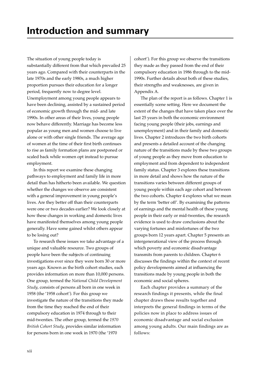The situation of young people today is substantially different from that which prevailed 25 years ago. Compared with their counterparts in the late 1970s and the early 1980s, a much higher proportion pursues their education for a longer period, frequently now to degree level. Unemployment among young people appears to have been declining, assisted by a sustained period of economic growth through the mid- and late 1990s. In other areas of their lives, young people now behave differently. Marriage has become less popular as young men and women choose to live alone or with other single friends. The average age of women at the time of their first birth continues to rise as family formation plans are postponed or scaled back while women opt instead to pursue employment.

In this report we examine these changing pathways to employment and family life in more detail than has hitherto been available. We question whether the changes we observe are consistent with a general improvement in young people's lives. Are they better off than their counterparts were one or two decades earlier? We look closely at how these changes in working and domestic lives have manifested themselves among young people generally. Have some gained whilst others appear to be losing out?

To research these issues we take advantage of a unique and valuable resource. Two groups of people have been the subjects of continuing investigations ever since they were born 30 or more years ago. Known as the birth cohort studies, each provides information on more than 10,000 persons. One group, termed the *National Child Development Study*, consists of persons all born in one week in 1958 (the '1958 cohort'). For this group we investigate the nature of the transitions they made from the time they reached the end of their compulsory education in 1974 through to their mid-twenties. The other group, termed the *1970 British Cohort Study*, provides similar information for persons born in one week in 1970 (the '1970

cohort'). For this group we observe the transitions they made as they passed from the end of their compulsory education in 1986 through to the mid-1990s. Further details about both of these studies, their strengths and weaknesses, are given in Appendix A.

The plan of the report is as follows. Chapter 1 is essentially scene setting. Here we document the extent of the changes that have taken place over the last 25 years in both the economic environment facing young people (their jobs, earnings and unemployment) and in their family and domestic lives. Chapter 2 introduces the two birth cohorts and presents a detailed account of the changing nature of the transitions made by these two groups of young people as they move from education to employment and from dependent to independent family status. Chapter 3 explores these transitions in more detail and shows how the nature of the transitions varies between different groups of young people within each age cohort and between the two cohorts. Chapter 4 explores what we mean by the term 'better off'. By examining the patterns of earnings and the mental health of these young people in their early or mid-twenties, the research evidence is used to draw conclusions about the varying fortunes and misfortunes of the two groups born 12 years apart. Chapter 5 presents an intergenerational view of the process through which poverty and economic disadvantage transmits from parents to children. Chapter 6 discusses the findings within the context of recent policy developments aimed at influencing the transitions made by young people in both the economic and social spheres.

Each chapter provides a summary of the research findings it presents, while the final chapter draws these results together and interprets the general findings in terms of the policies now in place to address issues of economic disadvantage and social exclusion among young adults. Our main findings are as follows: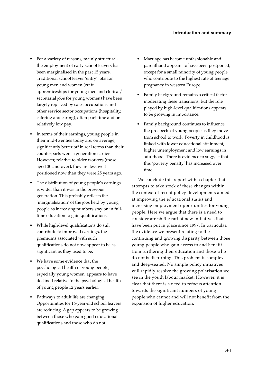- For a variety of reasons, mainly structural, the employment of early school leavers has been marginalised in the past 15 years. Traditional school leaver 'entry' jobs for young men and women (craft apprenticeships for young men and clerical/ secretarial jobs for young women) have been largely replaced by sales occupations and other service sector occupations (hospitality, catering and caring), often part-time and on relatively low pay.
- In terms of their earnings, young people in their mid-twenties today are, on average, significantly better off in real terms than their counterparts were a generation earlier. However, relative to older workers (those aged 30 and over), they are less well positioned now than they were 25 years ago.
- The distribution of young people's earnings is wider than it was in the previous generation. This probably reflects the 'marginalisation' of the jobs held by young people as increasing numbers stay on in fulltime education to gain qualifications.
- While high-level qualifications do still contribute to improved earnings, the premiums associated with such qualifications do not now appear to be as significant as they used to be.
- We have some evidence that the psychological health of young people, especially young women, appears to have declined relative to the psychological health of young people 12 years earlier.
- Pathways to adult life are changing. Opportunities for 16-year-old school leavers are reducing. A gap appears to be growing between those who gain good educational qualifications and those who do not.
- Marriage has become unfashionable and parenthood appears to have been postponed, except for a small minority of young people who contribute to the highest rate of teenage pregnancy in western Europe.
- Family background remains a critical factor moderating these transitions, but the role played by high-level qualifications appears to be growing in importance.
- Family background continues to influence the prospects of young people as they move from school to work. Poverty in childhood is linked with lower educational attainment, higher unemployment and low earnings in adulthood. There is evidence to suggest that this 'poverty penalty' has increased over time.

We conclude this report with a chapter that attempts to take stock of these changes within the context of recent policy developments aimed at improving the educational status and increasing employment opportunities for young people. Here we argue that there is a need to consider afresh the raft of new initiatives that have been put in place since 1997. In particular, the evidence we present relating to the continuing and growing disparity between those young people who gain access to and benefit from furthering their education and those who do not is disturbing. This problem is complex and deep-seated. No simple policy initiatives will rapidly resolve the growing polarisation we see in the youth labour market. However, it is clear that there is a need to refocus attention towards the significant numbers of young people who cannot and will not benefit from the expansion of higher education.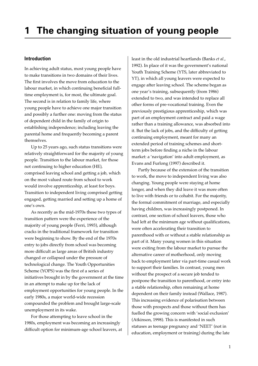# **Introduction**

In achieving adult status, most young people have to make transitions in two domains of their lives. The first involves the move from education to the labour market, in which continuing beneficial fulltime employment is, for most, the ultimate goal. The second is in relation to family life, where young people have to achieve one major transition and possibly a further one: moving from the status of dependent child in the family of origin to establishing independence; including leaving the parental home and frequently becoming a parent themselves.

Up to 25 years ago, such status transitions were relatively straightforward for the majority of young people. Transition to the labour market, for those not continuing to higher education (HE), comprised leaving school and getting a job, which on the most valued route from school to work would involve apprenticeship, at least for boys. Transition to independent living comprised getting engaged, getting married and setting up a home of one's own.

As recently as the mid-1970s these two types of transition pattern were the experience of the majority of young people (Ferri, 1993), although cracks in the traditional framework for transition were beginning to show. By the end of the 1970s entry to jobs directly from school was becoming more difficult as large areas of British industry changed or collapsed under the pressure of technological change. The Youth Opportunities Scheme (YOPS) was the first of a series of initiatives brought in by the government at the time in an attempt to make up for the lack of employment opportunities for young people. In the early 1980s, a major world-wide recession compounded the problem and brought large-scale unemployment in its wake.

For those attempting to leave school in the 1980s, employment was becoming an increasingly difficult option for minimum-age school leavers, at

least in the old industrial heartlands (Banks *et al*., 1992). In place of it was the government's national Youth Training Scheme (YTS, later abbreviated to YT), in which all young leavers were expected to engage after leaving school. The scheme began as one year's training, subsequently (from 1986) extended to two, and was intended to replace all other forms of pre-vocational training. Even the previously prestigious apprenticeship, which was part of an employment contract and paid a wage rather than a training allowance, was absorbed into it. But the lack of jobs, and the difficulty of getting continuing employment, meant for many an extended period of training schemes and shortterm jobs before finding a niche in the labour market: a 'navigation' into adult employment, as Evans and Furlong (1997) described it.

Partly because of the extension of the transition to work, the move to independent living was also changing. Young people were staying at home longer, and when they did leave it was more often to live with friends or to cohabit. For the majority, the formal commitment of marriage, and especially having children, was increasingly postponed. In contrast, one section of school leavers, those who had left at the minimum age without qualifications, were often accelerating their transition to parenthood with or without a stable relationship as part of it. Many young women in this situation were exiting from the labour market to pursue the alternative career of motherhood, only moving back to employment later via part-time casual work to support their families. In contrast, young men without the prospect of a secure job tended to postpone the transition to parenthood, or entry into a stable relationship, often remaining at home dependent on their family instead (Wallace, 1987). This increasing evidence of polarisation between those with prospects and those without them has fuelled the growing concern with 'social exclusion' (Atkinson, 1998). This is manifested in such statuses as teenage pregnancy and 'NEET' (not in education, employment or training) during the late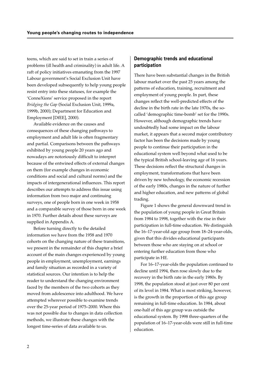teens, which are said to set in train a series of problems (ill health and criminality) in adult life. A raft of policy initiatives emanating from the 1997 Labour government's Social Exclusion Unit have been developed subsequently to help young people resist entry into these statuses, for example the 'ConneXions' service proposed in the report *Bridging the Gap* (Social Exclusion Unit, 1999a, 1999b, 2000); Department for Education and Employment [DfEE], 2000).

Available evidence on the causes and consequences of these changing pathways to employment and adult life is often fragmentary and partial. Comparisons between the pathways exhibited by young people 20 years ago and nowadays are notoriously difficult to interpret because of the entwined effects of external changes on them (for example changes in economic conditions and social and cultural norms) and the impacts of intergenerational influences. This report describes our attempts to address this issue using information from two major and continuing surveys, one of people born in one week in 1958 and a comparable survey of those born in one week in 1970. Further details about these surveys are supplied in Appendix A.

Before turning directly to the detailed information we have from the 1958 and 1970 cohorts on the changing nature of these transitions, we present in the remainder of this chapter a brief account of the main changes experienced by young people in employment, unemployment, earnings and family situation as recorded in a variety of statistical sources. Our intention is to help the reader to understand the changing environment faced by the members of the two cohorts as they moved from adolescence into adulthood. We have attempted wherever possible to examine trends over the 25-year period of 1975–2000. Where this was not possible due to changes in data collection methods, we illustrate these changes with the longest time-series of data available to us.

# **Demographic trends and educational participation**

There have been substantial changes in the British labour market over the past 25 years among the patterns of education, training, recruitment and employment of young people. In part, these changes reflect the well-predicted effects of the decline in the birth rate in the late 1970s, the socalled 'demographic time-bomb' set for the 1990s. However, although demographic trends have undoubtedly had some impact on the labour market, it appears that a second major contributory factor has been the decisions made by young people to continue their participation in the educational system well beyond what used to be the typical British school-leaving age of 16 years. These decisions reflect the structural changes in employment, transformations that have been driven by new technology, the economic recession of the early 1980s, changes in the nature of further and higher education, and new patterns of global trading.

Figure 1 shows the general downward trend in the population of young people in Great Britain from 1984 to 1998, together with the rise in their participation in full-time education. We distinguish the 16–17-year-old age group from 18–24-year-olds, given that this divides educational participants between those who are staying on at school or entering further education from those who participate in HE.

For 16–17-year-olds the population continued to decline until 1994, then rose slowly due to the recovery in the birth rate in the early 1980s. By 1998, the population stood at just over 80 per cent of its level in 1984. What is most striking, however, is the growth in the proportion of this age group remaining in full-time education. In 1984, about one-half of this age group was outside the educational system. By 1998 three-quarters of the population of 16–17-year-olds were still in full-time education.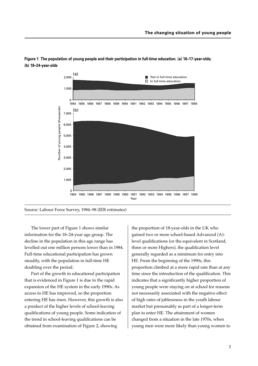

**Figure 1 The population of young people and their participation in full-time education. (a) 16–17-year-olds; (b) 18–24-year-olds**

The lower part of Figure 1 shows similar information for the 18–24-year age group. The decline in the population in this age range has levelled out one million persons lower than in 1984. Full-time educational participation has grown steadily, with the population in full-time HE doubling over the period.

Part of the growth in educational participation that is evidenced in Figure 1 is due to the rapid expansion of the HE system in the early 1990s. As access to HE has improved, so the proportion entering HE has risen. However, this growth is also a product of the higher levels of school-leaving qualifications of young people. Some indication of the trend in school-leaving qualifications can be obtained from examination of Figure 2, showing

the proportion of 18-year-olds in the UK who gained two or more school-based Advanced (A) level qualifications (or the equivalent in Scotland, three or more Highers), the qualification level generally regarded as a minimum for entry into HE. From the beginning of the 1990s, this proportion climbed at a more rapid rate than at any time since the introduction of the qualification. This indicates that a significantly higher proportion of young people were staying on at school for reasons not necessarily associated with the negative effect of high rates of joblessness in the youth labour market but presumably as part of a longer-term plan to enter HE. The attainment of women changed from a situation in the late 1970s, when young men were more likely than young women to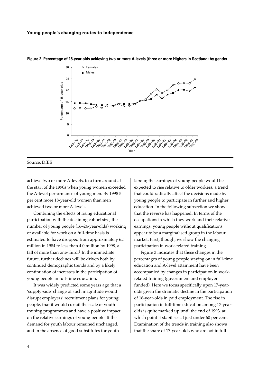

#### **Figure 2 Percentage of 18-year-olds achieving two or more A-levels (three or more Highers in Scotland) by gender**

Source: DfEE

achieve two or more A-levels, to a turn around at the start of the 1990s when young women exceeded the A-level performance of young men. By 1998 5 per cent more 18-year-old women than men achieved two or more A-levels.

Combining the effects of rising educational participation with the declining cohort size, the number of young people (16–24-year-olds) working or available for work on a full-time basis is estimated to have dropped from approximately 6.5 million in 1984 to less than 4.0 million by 1998, a fall of more than one-third.1 In the immediate future, further declines will be driven both by continued demographic trends and by a likely continuation of increases in the participation of young people in full-time education.

It was widely predicted some years ago that a 'supply-side' change of such magnitude would disrupt employers' recruitment plans for young people, that it would curtail the scale of youth training programmes and have a positive impact on the relative earnings of young people. If the demand for youth labour remained unchanged, and in the absence of good substitutes for youth

labour, the earnings of young people would be expected to rise relative to older workers, a trend that could radically affect the decisions made by young people to participate in further and higher education. In the following subsection we show that the reverse has happened. In terms of the occupations in which they work and their relative earnings, young people without qualifications appear to be a marginalised group in the labour market. First, though, we show the changing participation in work-related training.

Figure 3 indicates that these changes in the percentages of young people staying on in full-time education and A-level attainment have been accompanied by changes in participation in workrelated training (government and employer funded). Here we focus specifically upon 17-yearolds given the dramatic decline in the participation of 16-year-olds in paid employment. The rise in participation in full-time education among 17-yearolds is quite marked up until the end of 1993, at which point it stabilises at just under 60 per cent. Examination of the trends in training also shows that the share of 17-year-olds who are not in full-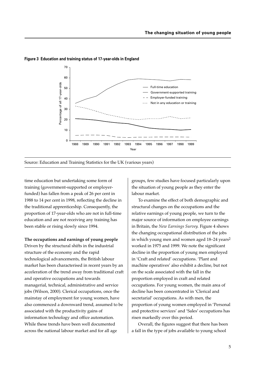

#### **Figure 3 Education and training status of 17-year-olds in England**

Source: Education and Training Statistics for the UK (various years)

time education but undertaking some form of training (government-supported or employerfunded) has fallen from a peak of 26 per cent in 1988 to 14 per cent in 1998, reflecting the decline in the traditional apprenticeship. Consequently, the proportion of 17-year-olds who are not in full-time education and are not receiving any training has been stable or rising slowly since 1994.

**The occupations and earnings of young people** Driven by the structural shifts in the industrial structure of the economy and the rapid technological advancements, the British labour market has been characterised in recent years by an acceleration of the trend away from traditional craft and operative occupations and towards managerial, technical, administrative and service jobs (Wilson, 2000). Clerical occupations, once the mainstay of employment for young women, have also commenced a downward trend, assumed to be associated with the productivity gains of information technology and office automation. While these trends have been well documented across the national labour market and for all age

groups, few studies have focused particularly upon the situation of young people as they enter the labour market.

To examine the effect of both demographic and structural changes on the occupations and the relative earnings of young people, we turn to the major source of information on employee earnings in Britain, the *New Earnings Survey.* Figure 4 shows the changing occupational distribution of the jobs in which young men and women aged 18–24 years2 worked in 1975 and 1999. We note the significant decline in the proportion of young men employed in 'Craft and related' occupations. 'Plant and machine operatives' also exhibit a decline, but not on the scale associated with the fall in the proportion employed in craft and related occupations. For young women, the main area of decline has been concentrated in 'Clerical and secretarial' occupations. As with men, the proportion of young women employed in 'Personal and protective services' and 'Sales' occupations has risen markedly over this period.

Overall, the figures suggest that there has been a fall in the type of jobs available to young school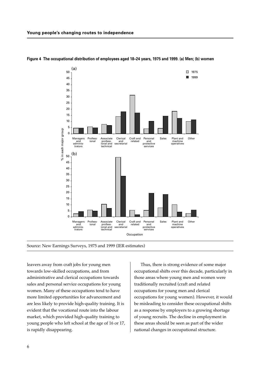

### **Figure 4 The occupational distribution of employees aged 18–24 years, 1975 and 1999. (a) Men; (b) women**

Source: New Earnings Surveys, 1975 and 1999 (IER estimates)

leavers away from craft jobs for young men towards low-skilled occupations, and from administrative and clerical occupations towards sales and personal service occupations for young women. Many of these occupations tend to have more limited opportunities for advancement and are less likely to provide high-quality training. It is evident that the vocational route into the labour market, which provided high-quality training to young people who left school at the age of 16 or 17, is rapidly disappearing.

Thus, there is strong evidence of some major occupational shifts over this decade, particularly in those areas where young men and women were traditionally recruited (craft and related occupations for young men and clerical occupations for young women). However, it would be misleading to consider these occupational shifts as a response by employers to a growing shortage of young recruits. The decline in employment in these areas should be seen as part of the wider national changes in occupational structure.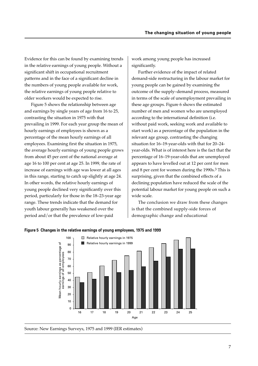Evidence for this can be found by examining trends in the relative earnings of young people. Without a significant shift in occupational recruitment patterns and in the face of a significant decline in the numbers of young people available for work, the relative earnings of young people relative to older workers would be expected to rise.

Figure 5 shows the relationship between age and earnings by single years of age from 16 to 25, contrasting the situation in 1975 with that prevailing in 1999. For each year group the mean of hourly earnings of employees is shown as a percentage of the mean hourly earnings of all employees. Examining first the situation in 1975, the average hourly earnings of young people grows from about 45 per cent of the national average at age 16 to 100 per cent at age 25. In 1999, the rate of increase of earnings with age was lower at all ages in this range, starting to catch up slightly at age 24. In other words, the relative hourly earnings of young people declined very significantly over this period, particularly for those in the 18–23-year age range. These trends indicate that the demand for youth labour generally has weakened over the period and/or that the prevalence of low-paid

work among young people has increased significantly.

Further evidence of the impact of related demand-side restructuring in the labour market for young people can be gained by examining the outcome of the supply–demand process, measured in terms of the scale of unemployment prevailing in these age groups. Figure 6 shows the estimated number of men and women who are unemployed according to the international definition (i.e. without paid work, seeking work and available to start work) as a percentage of the population in the relevant age group, contrasting the changing situation for 16–19-year-olds with that for 20–24 year-olds. What is of interest here is the fact that the percentage of 16–19-year-olds that are unemployed appears to have levelled out at 12 per cent for men and 8 per cent for women during the 1990s.3 This is surprising, given that the combined effects of a declining population have reduced the scale of the potential labour market for young people on such a wide scale.

The conclusion we draw from these changes is that the combined supply-side forces of demographic change and educational



### **Figure 5 Changes in the relative earnings of young employees, 1975 and 1999**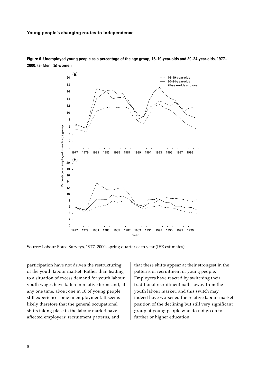

**Figure 6 Unemployed young people as a percentage of the age group, 16–19-year-olds and 20–24-year-olds, 1977– 2000. (a) Men; (b) women**



participation have not driven the restructuring of the youth labour market. Rather than leading to a situation of excess demand for youth labour, youth wages have fallen in relative terms and, at any one time, about one in 10 of young people still experience some unemployment. It seems likely therefore that the general occupational shifts taking place in the labour market have affected employers' recruitment patterns, and

that these shifts appear at their strongest in the patterns of recruitment of young people. Employers have reacted by switching their traditional recruitment paths away from the youth labour market, and this switch may indeed have worsened the relative labour market position of the declining but still very significant group of young people who do not go on to further or higher education.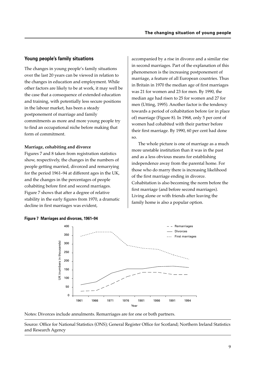# **Young people's family situations**

The changes in young people's family situations over the last 20 years can be viewed in relation to the changes in education and employment. While other factors are likely to be at work, it may well be the case that a consequence of extended education and training, with potentially less secure positions in the labour market, has been a steady postponement of marriage and family commitments as more and more young people try to find an occupational niche before making that form of commitment.

### **Marriage, cohabiting and divorce**

**Figure 7 Marriages and divorces, 1961–94**

Figures 7 and 8 taken from registration statistics show, respectively, the changes in the numbers of people getting married, divorced and remarrying for the period 1961–94 at different ages in the UK, and the changes in the percentages of people cohabiting before first and second marriages. Figure 7 shows that after a degree of relative stability in the early figures from 1970, a dramatic decline in first marriages was evident,

accompanied by a rise in divorce and a similar rise in second marriages. Part of the explanation of this phenomenon is the increasing postponement of marriage, a feature of all European countries. Thus in Britain in 1970 the median age of first marriages was 21 for women and 23 for men. By 1990, the median age had risen to 25 for women and 27 for men (Utting, 1995). Another factor is the tendency towards a period of cohabitation before (or in place of) marriage (Figure 8). In 1968, only 5 per cent of women had cohabited with their partner before their first marriage. By 1990, 60 per cent had done so.

The whole picture is one of marriage as a much more unstable institution than it was in the past and as a less obvious means for establishing independence away from the parental home. For those who do marry there is increasing likelihood of the first marriage ending in divorce. Cohabitation is also becoming the norm before the first marriage (and before second marriages). Living alone or with friends after leaving the family home is also a popular option.





Notes: Divorces include annulments. Remarriages are for one or both partners.

Source: Office for National Statistics (ONS); General Register Office for Scotland; Northern Ireland Statistics and Research Agency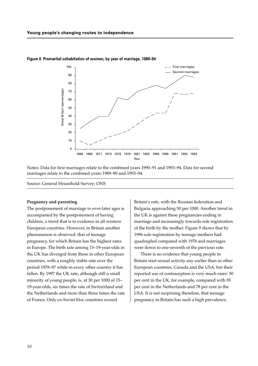

**Figure 8 Premarital cohabitation of women, by year of marriage, 1989–94**

Notes: Data for first marriages relate to the combined years 1990–91 and 1993–94. Data for second marriages relate to the combined years 1989–90 and 1993–94.

Source: General Household Survey; ONS

### **Pregnancy and parenting**

The postponement of marriage to ever-later ages is accompanied by the postponement of having children, a trend that is in evidence in all western European countries. However, in Britain another phenomenon is observed: that of teenage pregnancy, for which Britain has the highest rates in Europe. The birth rate among 15–19-year-olds in the UK has diverged from those in other European countries, with a roughly stable rate over the period 1978–97 while in every other country it has fallen. By 1997 the UK rate, although still a small minority of young people, is, at 30 per 1000 of 15– 19-year-olds, six times the rate of Switzerland and the Netherlands and more than three times the rate of France. Only ex-Soviet bloc countries exceed

Britain's rate, with the Russian federation and Bulgaria approaching 50 per 1000. Another trend in the UK is against these pregnancies ending in marriage and increasingly towards sole registration of the birth by the mother. Figure 9 shows that by 1996 sole registration by teenage mothers had quadrupled compared with 1978 and marriages were down to one-seventh of the previous rate.

There is no evidence that young people in Britain start sexual activity any earlier than in other European countries, Canada and the USA, but their reported use of contraception is very much rarer: 50 per cent in the UK, for example, compared with 85 per cent in the Netherlands and 78 per cent in the USA. It is not surprising therefore, that teenage pregnancy in Britain has such a high prevalence.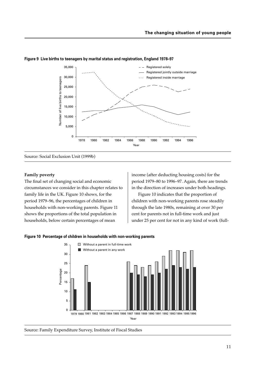

### **Figure 9 Live births to teenagers by marital status and registration, England 1978–97**

Source: Social Exclusion Unit (1999b)

### **Family poverty**

The final set of changing social and economic circumstances we consider in this chapter relates to family life in the UK. Figure 10 shows, for the period 1979–96, the percentages of children in households with non-working parents. Figure 11 shows the proportions of the total population in households, below certain percentages of mean

income (after deducting housing costs) for the period 1979–80 to 1996–97. Again, there are trends in the direction of increases under both headings.

Figure 10 indicates that the proportion of children with non-working parents rose steadily through the late 1980s, remaining at over 30 per cent for parents not in full-time work and just under 25 per cent for not in any kind of work (full-

### **Figure 10 Percentage of children in households with non-working parents**



Source: Family Expenditure Survey, Institute of Fiscal Studies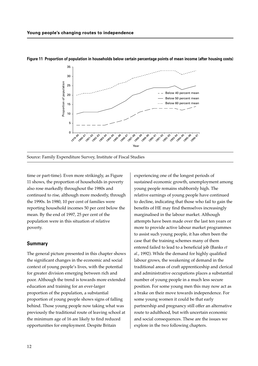



Source: Family Expenditure Survey, Institute of Fiscal Studies

time or part-time). Even more strikingly, as Figure 11 shows, the proportion of households in poverty also rose markedly throughout the 1980s and continued to rise, although more modestly, through the 1990s. In 1980, 10 per cent of families were reporting household incomes 50 per cent below the mean. By the end of 1997, 25 per cent of the population were in this situation of relative poverty.

## **Summary**

The general picture presented in this chapter shows the significant changes in the economic and social context of young people's lives, with the potential for greater division emerging between rich and poor. Although the trend is towards more extended education and training for an ever-larger proportion of the population, a substantial proportion of young people shows signs of falling behind. Those young people now taking what was previously the traditional route of leaving school at the minimum age of 16 are likely to find reduced opportunities for employment. Despite Britain

experiencing one of the longest periods of sustained economic growth, unemployment among young people remains stubbornly high. The relative earnings of young people have continued to decline, indicating that those who fail to gain the benefits of HE may find themselves increasingly marginalised in the labour market. Although attempts have been made over the last ten years or more to provide active labour market programmes to assist such young people, it has often been the case that the training schemes many of them entered failed to lead to a beneficial job (Banks *et al*., 1992). While the demand for highly qualified labour grows, the weakening of demand in the traditional areas of craft apprenticeship and clerical and administrative occupations places a substantial number of young people in a much less secure position. For some young men this may now act as a brake on their move towards independence. For some young women it could be that early partnership and pregnancy still offer an alternative route to adulthood, but with uncertain economic and social consequences. These are the issues we explore in the two following chapters.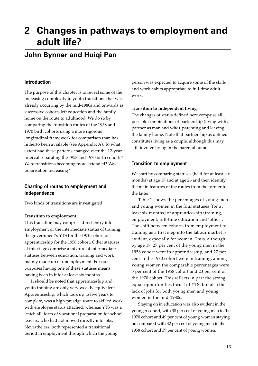# **2 Changes in pathways to employment and adult life?**

# **John Bynner and Huiqi Pan**

# **Introduction**

The purpose of this chapter is to reveal some of the increasing complexity in youth transitions that was already occurring by the mid-1980s and onwards as successive cohorts left education and the family home on the route to adulthood. We do so by comparing the transition routes of the 1958 and 1970 birth cohorts using a more rigorous longitudinal framework for comparison than has hitherto been available (see Appendix A). To what extent had these patterns changed over the 12-year interval separating the 1958 and 1970 birth cohorts? Were transitions becoming more extended? Was polarisation increasing?

# **Charting of routes to employment and independence**

Two kinds of transitions are investigated.

# **Transition to employment**

This transition may comprise direct entry into employment or the intermediate status of training: the government's YTS for the 1970 cohort or apprenticeship for the 1958 cohort. Other statuses at this stage comprise a mixture of intermediate statuses between education, training and work mainly made up of unemployment. For our purposes having one of these statuses means having been in it for at least six months.

It should be noted that apprenticeship and youth training are only very weakly equivalent. Apprenticeship, which took up to five years to complete, was a high-prestige route to skilled work with employee status attached, whereas YTS was a 'catch all' form of vocational preparation for school leavers, who had not moved directly into jobs. Nevertheless, both represented a transitional period in employment through which the young

person was expected to acquire some of the skills and work habits appropriate to full-time adult work.

## **Transition to independent living**

The changes of status defined here comprise all possible combinations of partnership (living with a partner as man and wife), parenting and leaving the family home. Note that partnership as defined constitutes living as a couple, although this may still involve living in the parental home.

# **Transition to employment**

We start by comparing statuses (held for at least six months) at age 17 and at age 26 and then identify the main features of the routes from the former to the latter.

Table 1 shows the percentages of young men and young women in the four statuses (for at least six months) of apprenticeship/training, employment, full-time education and 'other'. The shift between cohorts from employment to training as a first step into the labour market is evident, especially for women. Thus, although by age 17, 27 per cent of the young men in the 1958 cohort were in apprenticeship, and 27 per cent in the 1970 cohort were in training, among young women the comparable percentages were 3 per cent of the 1958 cohort and 23 per cent of the 1970 cohort. This reflects in part the strong equal-opportunities thrust of YTS, but also the lack of jobs for both young men and young women in the mid-1980s.

Staying on in education was also evident in the younger cohort, with 38 per cent of young men in the 1970 cohort and 49 per cent of young women staying on compared with 32 per cent of young men in the 1958 cohort and 39 per cent of young women.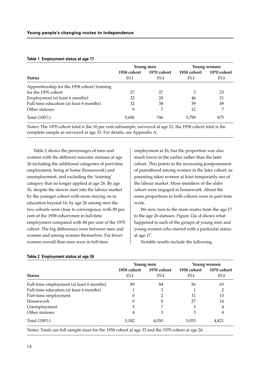|                                             |             | Young men   | Young women |             |  |
|---------------------------------------------|-------------|-------------|-------------|-------------|--|
|                                             | 1958 cohort | 1970 cohort | 1958 cohort | 1970 cohort |  |
| <b>Status</b>                               | $(\%)$      | $(\%)$      | $(\%)$      | $(\%)$      |  |
| Apprenticeship for the 1958 cohort/training |             |             |             |             |  |
| for the 1970 cohort                         | 27          | 27          | 3           | 23          |  |
| Employment (at least 6 months)              | 32          | 28          | 46          | 21          |  |
| Full-time education (at least 6 months)     | 32          | 38          | 39          | 49          |  |
| Other statuses                              | 9           | 7           | 12          | 7           |  |
| Total $(100\%)$                             | 5,606       | 746         | 5,799       | 875         |  |

#### **Table 1 Employment status at age 17**

Notes: The 1970 cohort total is the 10 per cent subsample, surveyed at age 21; the 1958 cohort total is the complete sample as surveyed at age 33. For details, see Appendix A.

Table 2 shows the percentages of men and women with the different outcome statuses at age 26 including the additional categories of part-time employment, being at home (housework) and unemployment, and excluding the 'training' category that no longer applied at age 26. By age 26, despite the slower start into the labour market by the younger cohort with more staying on in education beyond 16, by age 26 among men the two cohorts were close to convergence, with 89 per cent of the 1958 cohort men in full-time employment compared with 84 per cent of the 1970 cohort. The big differences were between men and women and among women themselves. Far fewer women overall than men were in full-time

employment at 26, but the proportion was also much lower in the earlier rather than the later cohort. This points to the increasing postponement of parenthood among women in the later cohort, as parenting takes women at least temporarily out of the labour market. More members of the older cohort were engaged in housework. About the same proportions in both cohorts were in part-time work.

We now turn to the main routes from the age 17 to the age 26 statuses. Figure 12a–d shows what happened to each of the groups of young men and young women who started with a particular status at age 17.

Notable results include the following.

|                                          |                       | Young men             | Young women           |                       |  |
|------------------------------------------|-----------------------|-----------------------|-----------------------|-----------------------|--|
| <b>Status</b>                            | 1958 cohort<br>$(\%)$ | 1970 cohort<br>$(\%)$ | 1958 cohort<br>$(\%)$ | 1970 cohort<br>$(\%)$ |  |
| Full-time employment (at least 6 months) | 89                    | 84                    | 56                    | 65                    |  |
| Full-time education (at least 6 months)  |                       | 3                     |                       | 2                     |  |
| Part-time employment                     | 0                     | 2                     | 11                    | 13                    |  |
| Housework                                | $\theta$              |                       | 27                    | 14                    |  |
| Unemployment                             | 5                     |                       | 3                     | 4                     |  |
| Other statuses                           | 4                     | 3                     | 3                     | 4                     |  |
| Total $(100\%)$                          | 5,182                 | 4,050                 | 5,053                 | 4,821                 |  |

### **Table 2 Employment status at age 26**

Notes: Totals are full sample sizes for the 1958 cohort at age 33 and the 1970 cohort at age 26.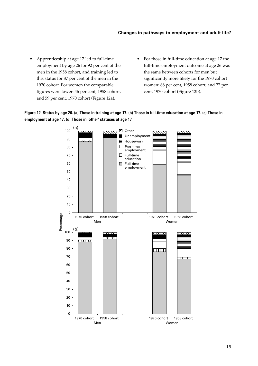- Apprenticeship at age 17 led to full-time employment by age 26 for 92 per cent of the men in the 1958 cohort, and training led to this status for 87 per cent of the men in the 1970 cohort. For women the comparable figures were lower: 46 per cent, 1958 cohort, and 59 per cent, 1970 cohort (Figure 12a).
- For those in full-time education at age 17 the full-time employment outcome at age 26 was the same between cohorts for men but significantly more likely for the 1970 cohort women: 68 per cent, 1958 cohort, and 77 per cent, 1970 cohort (Figure 12b).



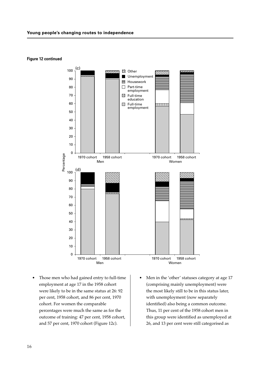

**Figure 12 continued**

- Those men who had gained entry to full-time employment at age 17 in the 1958 cohort were likely to be in the same status at 26: 92 per cent, 1958 cohort, and 86 per cent, 1970 cohort. For women the comparable percentages were much the same as for the outcome of training: 47 per cent, 1958 cohort, and 57 per cent, 1970 cohort (Figure 12c).
- Men in the 'other' statuses category at age 17 (comprising mainly unemployment) were the most likely still to be in this status later, with unemployment (now separately identified) also being a common outcome. Thus, 11 per cent of the 1958 cohort men in this group were identified as unemployed at 26, and 13 per cent were still categorised as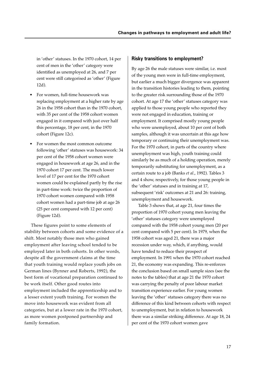in 'other' statuses. In the 1970 cohort, 14 per cent of men in the 'other' category were identified as unemployed at 26, and 7 per cent were still categorised as 'other' (Figure 12d).

- For women, full-time housework was replacing employment at a higher rate by age 26 in the 1958 cohort than in the 1970 cohort, with 35 per cent of the 1958 cohort women engaged in it compared with just over half this percentage, 18 per cent, in the 1970 cohort (Figure 12c).
- For women the most common outcome following 'other' statuses was housework: 34 per cent of the 1958 cohort women were engaged in housework at age 26, and in the 1970 cohort 17 per cent. The much lower level of 17 per cent for the 1970 cohort women could be explained partly by the rise in part-time work: twice the proportion of 1970 cohort women compared with 1958 cohort women had a part-time job at age 26 (25 per cent compared with 12 per cent) (Figure 12d).

These figures point to some elements of stability between cohorts and some evidence of a shift. Most notably those men who gained employment after leaving school tended to be employed later in both cohorts. In other words, despite all the government claims at the time that youth training would replace youth jobs on German lines (Bynner and Roberts, 1992), the best form of vocational preparation continued to be work itself. Other good routes into employment included the apprenticeship and to a lesser extent youth training. For women the move into housework was evident from all categories, but at a lower rate in the 1970 cohort, as more women postponed partnership and family formation.

# **Risky transitions to employment?**

By age 26 the male statuses were similar, i.e. most of the young men were in full-time employment, but earlier a much bigger divergence was apparent in the transition histories leading to them, pointing to the greater risk surrounding those of the 1970 cohort. At age 17 the 'other' statuses category was applied to those young people who reported they were not engaged in education, training or employment. It comprised mostly young people who were unemployed, about 10 per cent of both samples, although it was uncertain at this age how temporary or continuing their unemployment was. For the 1970 cohort, in parts of the country where unemployment was high, youth training could similarly be as much of a holding operation, merely temporarily substituting for unemployment, as a certain route to a job (Banks *et al*., 1992). Tables 3 and 4 show, respectively, for those young people in the 'other' statuses and in training at 17, subsequent 'risk' outcomes at 21 and 26: training, unemployment and housework.

Table 3 shows that, at age 21, four times the proportion of 1970 cohort young men leaving the 'other' statuses category were unemployed compared with the 1958 cohort young men (20 per cent compared with 5 per cent). In 1979, when the 1958 cohort was aged 21, there was a major recession under way, which, if anything, would have tended to reduce their prospect of employment. In 1991 when the 1970 cohort reached 21, the economy was expanding. This re-enforces the conclusion based on small sample sizes (see the notes to the tables) that at age 21 the 1970 cohort was carrying the penalty of poor labour market transition experience earlier. For young women leaving the 'other' statuses category there was no difference of this kind between cohorts with respect to unemployment, but in relation to housework there was a similar striking difference. At age 18, 24 per cent of the 1970 cohort women gave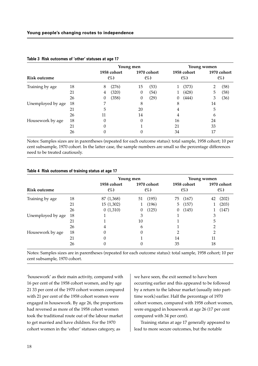|                     |    | Young men |                    |          |                       | <b>Young women</b> |                    |    |                    |  |
|---------------------|----|-----------|--------------------|----------|-----------------------|--------------------|--------------------|----|--------------------|--|
| <b>Risk outcome</b> |    |           | 1958 cohort<br>(%) |          | 1970 cohort<br>$(\%)$ |                    | 1958 cohort<br>(%) |    | 1970 cohort<br>(%) |  |
| Training by age     | 18 | 8         | (276)              | 15       | (53)                  |                    | (373)              |    | (58)               |  |
|                     | 21 | 4         | (320)              | $\theta$ | (54)                  |                    | (428)              | 5  | (58)               |  |
|                     | 26 | 0         | (358)              | 0        | (29)                  | 0                  | (444)              | 3  | (36)               |  |
| Unemployed by age   | 18 | 7         |                    | 8        |                       | 8                  |                    | 14 |                    |  |
|                     | 21 | 5         |                    | 20       |                       | 4                  |                    | 5  |                    |  |
|                     | 26 | 11        |                    | 14       |                       | 4                  |                    | 6  |                    |  |
| Housework by age    | 18 | 0         |                    | 0        |                       | 16                 |                    | 24 |                    |  |
|                     | 21 | 0         |                    |          |                       | 21                 |                    | 33 |                    |  |
|                     | 26 |           |                    | 0        |                       | 34                 |                    | 17 |                    |  |

### **Table 3 Risk outcomes of 'other' statuses at age 17**

Notes: Samples sizes are in parentheses (repeated for each outcome status): total sample, 1958 cohort; 10 per cent subsample, 1970 cohort. In the latter case, the sample numbers are small so the percentage differences need to be treated cautiously.

|                     |    | Young men             |          |             | <b>Young women</b> |                                                |    |       |
|---------------------|----|-----------------------|----------|-------------|--------------------|------------------------------------------------|----|-------|
| <b>Risk outcome</b> |    | 1958 cohort<br>$(\%)$ | $(\%)$   | 1970 cohort |                    | 1958 cohort<br>1970 cohort<br>$(\%)$<br>$(\%)$ |    |       |
| Training by age     | 18 | 87 (1,368)            | 51       | (195)       |                    | 75 (167)                                       | 42 | (202) |
|                     | 21 | 15(1,302)             | 1        | (196)       | 5                  | (157)                                          |    | (203) |
|                     | 26 | 0(1,310)              | $\theta$ | (125)       | $\theta$           | (145)                                          |    | (147) |
| Unemployed by age   | 18 |                       | 3        |             |                    |                                                | 3  |       |
|                     | 21 |                       | 10       |             |                    |                                                | 5  |       |
|                     | 26 | 4                     | 6        |             |                    |                                                | 2  |       |
| Housework by age    | 18 | 0                     |          |             | っ                  |                                                | 2  |       |
|                     | 21 | 0                     |          |             | 14                 |                                                | 11 |       |
|                     | 26 |                       |          |             | 35                 |                                                | 18 |       |

### **Table 4 Risk outcomes of training status at age 17**

Notes: Samples sizes are in parentheses (repeated for each outcome status): total sample, 1958 cohort; 10 per cent subsample, 1970 cohort.

'housework' as their main activity, compared with 16 per cent of the 1958 cohort women, and by age 21 33 per cent of the 1970 cohort women compared with 21 per cent of the 1958 cohort women were engaged in housework. By age 26, the proportions had reversed as more of the 1958 cohort women took the traditional route out of the labour market to get married and have children. For the 1970 cohort women in the 'other' statuses category, as

we have seen, the exit seemed to have been occurring earlier and this appeared to be followed by a return to the labour market (usually into parttime work) earlier. Half the percentage of 1970 cohort women, compared with 1958 cohort women, were engaged in housework at age 26 (17 per cent compared with 34 per cent).

Training status at age 17 generally appeared to lead to more secure outcomes, but the notable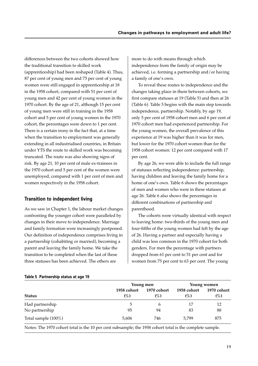differences between the two cohorts showed how the traditional transition to skilled work (apprenticeship) had been reshaped (Table 4). Thus, 87 per cent of young men and 75 per cent of young women were still engaged in apprenticeship at 18 in the 1958 cohort, compared with 51 per cent of young men and 42 per cent of young women in the 1970 cohort. By the age of 21, although 15 per cent of young men were still in training in the 1958 cohort and 5 per cent of young women in the 1970 cohort, the percentages were down to 1 per cent. There is a certain irony in the fact that, at a time when the transition to employment was generally extending in all industrialised countries, in Britain under YTS the route to skilled work was becoming truncated. The route was also showing signs of risk. By age 21, 10 per cent of male ex-trainees in the 1970 cohort and 5 per cent of the women were unemployed, compared with 1 per cent of men and women respectively in the 1958 cohort.

# **Transition to independent living**

As we saw in Chapter 1, the labour market changes confronting the younger cohort were paralleled by changes in their move to independence. Marriage and family formation were increasingly postponed. Our definition of independence comprises living in a partnership (cohabiting or married), becoming a parent and leaving the family home. We take the transition to be completed when the last of these three statuses has been achieved. The others are

more to do with means through which independence from the family of origin may be achieved, i.e. forming a partnership and/or having a family of one's own.

To reveal these routes to independence and the changes taking place in them between cohorts, we first compare statuses at 19 (Table 5) and then at 26 (Table 6). Table 5 begins with the main step towards independence, partnership. Notably, by age 19, only 5 per cent of 1958 cohort men and 6 per cent of 1970 cohort men had experienced partnership. For the young women, the overall prevalence of this experience at 19 was higher than it was for men, but lower for the 1970 cohort women than for the 1958 cohort women: 12 per cent compared with 17 per cent.

By age 26, we were able to include the full range of statuses reflecting independence: partnership, having children and leaving the family home for a home of one's own. Table 6 shows the percentages of men and women who were in these statuses at age 26. Table 6 also shows the percentages in different combinations of partnership and parenthood.

The cohorts were virtually identical with respect to leaving home: two-thirds of the young men and four-fifths of the young women had left by the age of 26. Having a partner and especially having a child was less common in the 1970 cohort for both genders. For men the percentage with partners dropped from 61 per cent to 51 per cent and for women from 75 per cent to 63 per cent. The young

### **Table 5 Partnership status at age 19**

|                        | Young men             | Young women           |                       |                       |  |
|------------------------|-----------------------|-----------------------|-----------------------|-----------------------|--|
| <b>Status</b>          | 1958 cohort<br>$(\%)$ | 1970 cohort<br>$(\%)$ | 1958 cohort<br>$(\%)$ | 1970 cohort<br>$(\%)$ |  |
| Had partnership        | 5                     | b                     | 17                    | 12                    |  |
| No partnership         | 95                    | 94                    | 83                    | 88                    |  |
| Total sample $(100\%)$ | 5,606                 | 746                   | 5.799                 | 875                   |  |

Notes: The 1970 cohort total is the 10 per cent subsample; the 1958 cohort total is the complete sample.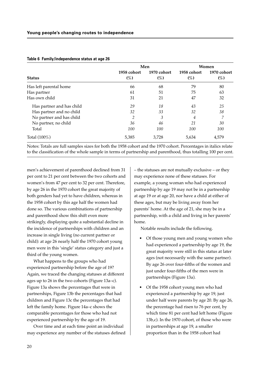|                           | Men                   | Women                 |                       |                       |
|---------------------------|-----------------------|-----------------------|-----------------------|-----------------------|
| <b>Status</b>             | 1958 cohort<br>$(\%)$ | 1970 cohort<br>$(\%)$ | 1958 cohort<br>$(\%)$ | 1970 cohort<br>$(\%)$ |
| Has left parental home    | 66                    | 68                    | 79                    | 80                    |
| Has partner               | 61                    | 51                    | 75                    | 63                    |
| Has own child             | 31                    | 21                    | 47                    | 32                    |
| Has partner and has child | 29                    | 18                    | 43                    | 25                    |
| Has partner and no child  | 32                    | 33                    | 32                    | 38                    |
| No partner and has child  | 2                     | 3                     | $\overline{4}$        | 7                     |
| No partner, no child      | 36                    | 46                    | 21                    | 30                    |
| Total                     | 100                   | 100                   | 100                   | 100                   |
| Total (100%)              | 5,385                 | 3,728                 | 5,634                 | 4,579                 |

#### **Table 6 Family/independence status at age 26**

Notes: Totals are full samples sizes for both the 1958 cohort and the 1970 cohort. Percentages in italics relate to the classification of the whole sample in terms of partnership and parenthood, thus totalling 100 per cent.

men's achievement of parenthood declined from 31 per cent to 21 per cent between the two cohorts and women's from 47 per cent to 32 per cent. Therefore, by age 26 in the 1970 cohort the great majority of both genders had yet to have children, whereas in the 1958 cohort by this age half the women had done so. The various combinations of partnership and parenthood show this shift even more strikingly, displaying quite a substantial decline in the incidence of partnerships with children and an increase in single living (no current partner or child): at age 26 nearly half the 1970 cohort young men were in this 'single' status category and just a third of the young women.

What happens to the groups who had experienced partnership before the age of 19? Again, we traced the changing statuses at different ages up to 26 in the two cohorts (Figure 13a–c). Figure 13a shows the percentages that were in partnerships, Figure 13b the percentages that had children and Figure 13c the percentages that had left the family home. Figure 14a–c shows the comparable percentages for those who had not experienced partnership by the age of 19.

Over time and at each time point an individual may experience any number of the statuses defined – the statuses are not mutually exclusive – or they may experience none of these statuses. For example, a young woman who had experienced partnership by age 19 may not be in a partnership at age 19 or at age 20, nor have a child at either of these ages, but may be living away from her parents' home. At the age of 21, she may be in a partnership, with a child and living in her parents' home.

Notable results include the following.

- Of those young men and young women who had experienced a partnership by age 19, the great majority were still in this status at later ages (not necessarily with the same partner). By age 26 over four-fifths of the women and just under four-fifths of the men were in partnerships (Figure 13a).
- Of the 1958 cohort young men who had experienced a partnership by age 19, just under half were parents by age 20. By age 26, the percentage had risen to 76 per cent, by which time 81 per cent had left home (Figure 13b,c). In the 1970 cohort, of those who were in partnerships at age 19, a smaller proportion than in the 1958 cohort had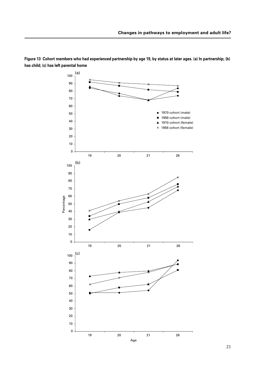

**Figure 13 Cohort members who had experienced partnership by age 19, by status at later ages. (a) In partnership; (b) has child; (c) has left parental home**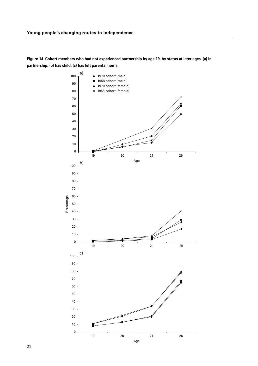**Figure 14 Cohort members who had not experienced partnership by age 19, by status at later ages. (a) In partnership; (b) has child; (c) has left parental home**

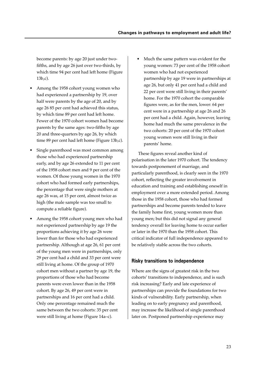become parents: by age 20 just under twofifths, and by age 26 just over two-thirds, by which time 94 per cent had left home (Figure 13b,c).

- Among the 1958 cohort young women who had experienced a partnership by 19, over half were parents by the age of 20, and by age 26 85 per cent had achieved this status, by which time 89 per cent had left home. Fewer of the 1970 cohort women had become parents by the same ages: two-fifths by age 20 and three-quarters by age 26, by which time 89 per cent had left home (Figure 13b,c).
- Single parenthood was most common among those who had experienced partnership early, and by age 26 extended to 11 per cent of the 1958 cohort men and 9 per cent of the women. Of those young women in the 1970 cohort who had formed early partnerships, the percentage that were single mothers at age 26 was, at 15 per cent, almost twice as high (the male sample was too small to compute a reliable figure).
- Among the 1958 cohort young men who had not experienced partnership by age 19 the proportions achieving it by age 26 were lower than for those who had experienced partnership. Although at age 26, 61 per cent of the young men were in partnerships, only 29 per cent had a child and 33 per cent were still living at home. Of the group of 1970 cohort men without a partner by age 19, the proportions of those who had become parents were even lower than in the 1958 cohort. By age 26, 49 per cent were in partnerships and 16 per cent had a child. Only one percentage remained much the same between the two cohorts: 35 per cent were still living at home (Figure 14a–c).

• Much the same pattern was evident for the young women: 73 per cent of the 1958 cohort women who had not experienced partnership by age 19 were in partnerships at age 26, but only 41 per cent had a child and 22 per cent were still living in their parents' home. For the 1970 cohort the comparable figures were, as for the men, lower: 64 per cent were in a partnership at age 26 and 26 per cent had a child. Again, however, leaving home had much the same prevalence in the two cohorts: 20 per cent of the 1970 cohort young women were still living in their parents' home.

These figures reveal another kind of polarisation in the later 1970 cohort. The tendency towards postponement of marriage, and particularly parenthood, is clearly seen in the 1970 cohort, reflecting the greater involvement in education and training and establishing oneself in employment over a more extended period. Among those in the 1958 cohort, those who had formed partnerships and become parents tended to leave the family home first, young women more than young men; but this did not signal any general tendency overall for leaving home to occur earlier or later in the 1970 than the 1958 cohort. This critical indicator of full independence appeared to be relatively stable across the two cohorts.

## **Risky transitions to independence**

Where are the signs of greatest risk in the two cohorts' transitions to independence, and is such risk increasing? Early and late experience of partnerships can provide the foundations for two kinds of vulnerability. Early partnership, when leading on to early pregnancy and parenthood, may increase the likelihood of single parenthood later on. Postponed partnership experience may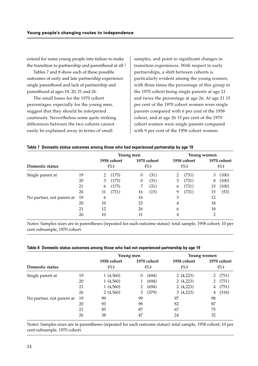extend for some young people into failure to make the transition to partnership and parenthood at all.<sup>1</sup>

Tables 7 and 8 show each of these possible outcomes of early and late partnership experience: single parenthood and lack of partnership and parenthood at ages 19, 20, 21 and 26.

The small bases for the 1970 cohort percentages, especially for the young men, suggest that they should be interpreted cautiously. Nevertheless some quite striking differences between the two cohorts cannot easily be explained away in terms of small

samples, and point to significant changes in transition experiences. With respect to early partnerships, a shift between cohorts is particularly evident among the young women, with three times the percentage of this group in the 1970 cohort being single parents at age 21 and twice the percentage at age 26. At age 21 15 per cent of the 1970 cohort women were single parents compared with 6 per cent of the 1958 cohort, and at age 26 15 per cent of the 1970 cohort women were single parents compared with 9 per cent of the 1958 cohort women.

#### **Table 7 Domestic status outcomes among those who had experienced partnership by age 19**

|                           |    |    |             | Young men |             |   |             | <b>Young women</b> |             |
|---------------------------|----|----|-------------|-----------|-------------|---|-------------|--------------------|-------------|
|                           |    |    | 1958 cohort |           | 1970 cohort |   | 1958 cohort |                    | 1970 cohort |
| Domestic status           |    |    | $(\%)$      |           | $(\%)$      |   | (%)         |                    | (%)         |
| Single parent at          | 19 | 2  | (175)       | $\theta$  | (31)        | 2 | (731)       | 3                  | (100)       |
|                           | 20 | 3  | (175)       | $\theta$  | (31)        | 5 | (731)       | 8                  | (100)       |
|                           | 21 | 6  | (175)       | 7         | (31)        | 6 | (731)       | 15                 | (100)       |
|                           | 26 | 11 | (731)       | 16        | (15)        | 9 | (731)       | 15                 | (53)        |
| No partner, not parent at | 19 | 6  |             | 16        |             | 3 |             | 12                 |             |
|                           | 20 | 10 |             | 23        |             | 4 |             | 18                 |             |
|                           | 21 | 12 |             | 26        |             | 6 |             | 18                 |             |
|                           | 26 | 10 |             | 11        |             | 4 |             | 2                  |             |

Notes: Samples sizes are in parentheses (repeated for each outcome status): total sample, 1958 cohort; 10 per cent subsample, 1970 cohort.

#### **Table 8 Domestic status outcomes among those who had not experienced partnership by age 19**

|                           |    |                       | Young men      |        |    |                       | Young women |                       |
|---------------------------|----|-----------------------|----------------|--------|----|-----------------------|-------------|-----------------------|
| Domestic status           |    | 1958 cohort<br>$(\%)$ | 1970 cohort    | $(\%)$ |    | 1958 cohort<br>$(\%)$ |             | 1970 cohort<br>$(\%)$ |
| Single parent at          | 19 | 1(4,560)              | 0              | (694)  |    | 2(4,223)              |             | (751)                 |
|                           | 20 | 1(4,560)              |                | (694)  |    | 2(4,223)              |             | (751)                 |
|                           | 21 | 1(4,560)              | $\overline{2}$ | (694)  |    | 2(4,223)              | 4           | (751)                 |
|                           | 26 | 2(4,560)              | 3              | (379)  |    | 3(4,223)              | 4           | (518)                 |
| No partner, not parent at | 19 | 99                    | 99             |        | 97 |                       | 98          |                       |
|                           | 20 | 93                    | 98             |        | 82 |                       | 87          |                       |
|                           | 21 | 85                    | 87             |        | 67 |                       | 75          |                       |
|                           | 26 | 38                    | 47             |        | 24 |                       | 32          |                       |

Notes: Samples sizes are in parentheses (repeated for each outcome status): total sample, 1958 cohort; 10 per cent subsample, 1970 cohort.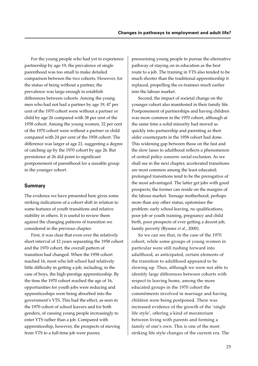For the young people who had yet to experience partnership by age 19, the prevalence of single parenthood was too small to make detailed comparison between the two cohorts. However, for the status of being without a partner, the prevalence was large enough to establish differences between cohorts. Among the young men who had not had a partner by age 19, 47 per cent of the 1970 cohort were without a partner or child by age 26 compared with 38 per cent of the 1958 cohort. Among the young women, 32 per cent of the 1970 cohort were without a partner or child compared with 24 per cent of the 1958 cohort. The difference was larger at age 21, suggesting a degree of catching up by the 1970 cohort by age 26. But persistence at 26 did point to significant postponement of parenthood for a sizeable group in the younger cohort.

## **Summary**

The evidence we have presented here gives some striking indications of a cohort shift in relation to some features of youth transitions and relative stability in others. It is useful to review them against the changing patterns of transition we considered in the previous chapter.

First, it was clear that even over the relatively short interval of 12 years separating the 1958 cohort and the 1970 cohort, the overall pattern of transition had changed. When the 1958 cohort reached 16, most who left school had relatively little difficulty in getting a job, including, in the case of boys, the high-prestige apprenticeship. By the time the 1970 cohort reached the age of 16, opportunities for youth jobs were reducing and apprenticeships were being absorbed into the government's YTS. This had the effect, as seen in the 1970 cohort of school leavers and for both genders, of causing young people increasingly to enter YTS rather than a job. Compared with apprenticeship, however, the prospects of moving from YTS to a full-time job were poorer,

pressurising young people to pursue the alternative pathway of staying on in education as the best route to a job. The training in YTS also tended to be much shorter than the traditional apprenticeship it replaced, propelling the ex-trainees much earlier into the labour market.

Second, the impact of societal change on the younger cohort also manifested in their family life. Postponement of partnerships and having children was more common in the 1970 cohort, although at the same time a solid minority had moved as quickly into partnership and parenting as their older counterparts in the 1958 cohort had done. This widening gap between those on the fast and the slow lanes to adulthood reflects a phenomenon of central policy concern: social exclusion. As we shall see in the next chapter, accelerated transitions are most common among the least educated; prolonged transitions tend to be the prerogative of the most advantaged. The latter get jobs with good prospects; the former can reside on the margins of the labour market. Teenage motherhood, perhaps more than any other status, epitomises the problem: early school leaving, no qualifications, poor job or youth training, pregnancy and child birth, poor prospects of ever getting a decent job, family poverty (Bynner *et al.*, 2000).

So we can see that, in the case of the 1970 cohort, while some groups of young women in particular were still rushing forward into adulthood, as anticipated, certain elements of the transition to adulthood appeared to be slowing up. Thus, although we were not able to identify large differences between cohorts with respect to leaving home, among the more educated groups in the 1970 cohort the commitments involved in marriage and having children were being postponed. There was increased evidence of the growth of the 'single life style', offering a kind of moratorium between living with parents and forming a family of one's own. This is one of the most striking life style changes of the current era. The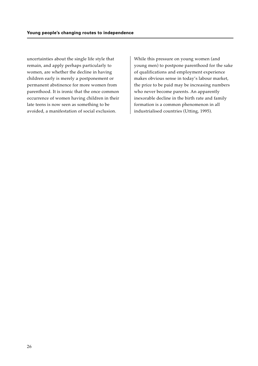uncertainties about the single life style that remain, and apply perhaps particularly to women, are whether the decline in having children early is merely a postponement or permanent abstinence for more women from parenthood. It is ironic that the once common occurrence of women having children in their late teens is now seen as something to be avoided, a manifestation of social exclusion.

While this pressure on young women (and young men) to postpone parenthood for the sake of qualifications and employment experience makes obvious sense in today's labour market, the price to be paid may be increasing numbers who never become parents. An apparently inexorable decline in the birth rate and family formation is a common phenomenon in all industrialised countries (Utting, 1995).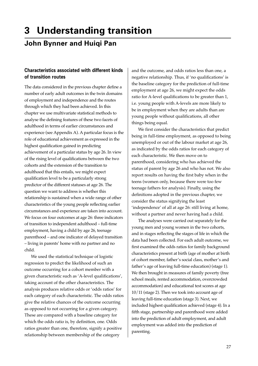## **3 Understanding transition John Bynner and Huiqi Pan**

## **Characteristics associated with different kinds of transition routes**

The data considered in the previous chapter define a number of early adult outcomes in the twin domains of employment and independence and the routes through which they had been achieved. In this chapter we use multivariate statistical methods to analyse the defining features of these two facets of adulthood in terms of earlier circumstances and experience (see Appendix A). A particular focus is the role of educational achievement as expressed in the highest qualification gained in predicting achievement of a particular status by age 26. In view of the rising level of qualifications between the two cohorts and the extension of the transition to adulthood that this entails, we might expect qualification level to be a particularly strong predictor of the different statuses at age 26. The question we want to address is whether this relationship is sustained when a wide range of other characteristics of the young people reflecting earlier circumstances and experience are taken into account. We focus on four outcomes at age 26: three indicators of transition to independent adulthood – full-time employment, having a child by age 26, teenage parenthood – and one indicator of delayed transition – living in parents' home with no partner and no child.

We used the statistical technique of logistic regression to predict the likelihood of such an outcome occurring for a cohort member with a given characteristic such as 'A-level qualifications', taking account of the other characteristics. The analysis produces relative odds or 'odds ratios' for each category of each characteristic. The odds ratios give the relative chances of the outcome occurring as opposed to not occurring for a given category. These are compared with a baseline category for which the odds ratio is, by definition, one. Odds ratios greater than one, therefore, signify a positive relationship between membership of the category

and the outcome, and odds ratios less than one, a negative relationship. Thus, if 'no qualifications' is the baseline category for the prediction of full-time employment at age 26, we might expect the odds ratio for A-level qualifications to be greater than 1, i.e. young people with A-levels are more likely to be in employment when they are adults than are young people without qualifications, all other things being equal.

We first consider the characteristics that predict being in full-time employment, as opposed to being unemployed or out of the labour market at age 26, as indicated by the odds ratios for each category of each characteristic. We then move on to parenthood, considering who has achieved the status of parent by age 26 and who has not. We also report results on having the first baby when in the teens (women only, because there were too few teenage fathers for analysis). Finally, using the definitions adopted in the previous chapter, we consider the status signifying the least 'independence' of all at age 26: still living at home, without a partner and never having had a child.

The analyses were carried out separately for the young men and young women in the two cohorts, and in stages reflecting the stages of life in which the data had been collected. For each adult outcome, we first examined the odds ratios for family background characteristics present at birth (age of mother at birth of cohort member, father's social class, mother's and father's age of leaving full-time education) (stage 1). We then brought in measures of family poverty (free school meals, rented accommodation, overcrowded accommodation) and educational test scores at age 10/11 (stage 2). Then we took into account age of leaving full-time education (stage 3). Next, we included highest qualification achieved (stage 4). In a fifth stage, partnership and parenthood were added into the prediction of adult employment, and adult employment was added into the prediction of parenting.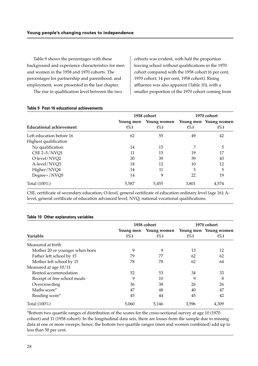Table 9 shows the percentages with these background and experience characteristics for men and women in the 1958 and 1970 cohorts. The percentages for partnership and parenthood, and employment, were presented in the last chapter.

The rise in qualification level between the two

cohorts was evident, with half the proportion leaving school without qualifications in the 1970 cohort compared with the 1958 cohort (6 per cent, 1970 cohort; 14 per cent, 1958 cohort). Rising affluence was also apparent (Table 10), with a smaller proportion of the 1970 cohort coming from

|                                |                     | 1958 cohort        |        | 1970 cohort                  |
|--------------------------------|---------------------|--------------------|--------|------------------------------|
| <b>Educational achievement</b> | Young men<br>$(\%)$ | Young women<br>(%) | $(\%)$ | Young men Young women<br>(%) |
| Left education before 16       | 62                  | 55                 | 49     | 42                           |
| Highest qualification          |                     |                    |        |                              |
| No qualification               | 14                  | 15                 | 7      | 5                            |
| $CSE 2-5/NVQ1$                 | 11                  | 15                 | 19     | 17                           |
| O-level/NVQ2                   | 30                  | 39                 | 39     | 43                           |
| A-level/NVQ3                   | 18                  | 12                 | 10     | 12                           |
| Higher/NVQ4                    | 14                  | 11                 | 5      | 5                            |
| Degree+/NVQ5                   | 14                  | 9                  | 22     | 19                           |
| Total (100%)                   | 5,587               | 5,455              | 3,801  | 4,574                        |

#### **Table 9 Post-16 educational achievements**

CSE, certificate of secondary education; O-level, general certificate of education ordinary level (age 16); Alevel, general certificate of education advanced level; NVQ, national vocational qualifications.

|                                |                     | 1958 cohort           |        | 1970 cohort                     |
|--------------------------------|---------------------|-----------------------|--------|---------------------------------|
| Variable                       | Young men<br>$(\%)$ | Young women<br>$(\%)$ | $(\%)$ | Young men Young women<br>$(\%)$ |
| Measured at birth              |                     |                       |        |                                 |
| Mother 20 or younger when born | 9                   | 9                     | 13     | 12                              |
| Father left school by 15       | 79                  | 77                    | 62     | 62                              |
| Mother left school by 15       | 78                  | 78                    | 62     | 64                              |
| Measured at age 10/11          |                     |                       |        |                                 |
| Rented accommodation           | 52                  | 53                    | 34     | 33                              |
| Receipt of free school meals   | 9                   | 10                    | 9      | 8                               |
| Overcrowding                   | 36                  | 38                    | 26     | 26                              |
| Maths score*                   | 47                  | 48                    | 40     | 47                              |
| Reading score*                 | 45                  | 44                    | 45     | 42                              |
| Total (100%)                   | 5,060               | 5,146                 | 3,596  | 4,309                           |

#### **Table 10 Other explanatory variables**

\*Bottom two quartile ranges of distribution of the scores for the cross-sectional survey at age 10 (1970 cohort) and 11 (1958 cohort). In the longitudinal data sets, there are losses from the sample due to missing data at one or more sweeps; hence, the bottom two quartile ranges (men and women combined) add up to less than 50 per cent.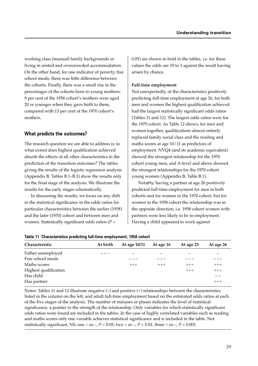working class (manual) family backgrounds or living in rented and overcrowded accommodation. On the other hand, for one indicator of poverty, free school meals, there was little difference between the cohorts. Finally, there was a small rise in the percentages of the cohorts born to young mothers: 9 per cent of the 1958 cohort's mothers were aged 20 or younger when they gave birth to them, compared with 13 per cent of the 1970 cohort's mothers.

## **What predicts the outcomes?**

The research question we are able to address is: to what extent does highest qualification achieved absorb the effects of all other characteristics in the prediction of the transition outcomes? The tables giving the results of the logistic regression analysis (Appendix B, Tables B.1–B.3) show the results only for the final stage of the analysis. We illustrate the results for the early stages schematically.

In discussing the results, we focus on any shift in the statistical significance in the odds ratios for particular characteristics between the earlier (1958) and the later (1970) cohort and between men and women. Statistically significant odds ratios (*P* <

0.05) are shown in bold in the tables, i.e. for these values the odds are 19 to 1 against the result having arisen by chance.

#### **Full-time employment**

Not unexpectedly, of the characteristics positively predicting full-time employment at age 26, for both men and women the highest qualification achieved had the largest statistically significant odds ratios (Tables 11 and 12). The largest odds ratios were for the 1970 cohort. As Table 12 shows, for men and women together, qualifications almost entirely replaced family social class and the reading and maths scores at age 10/11 as predictors of employment. NVQ4 (and its academic equivalent) showed the strongest relationship for the 1970 cohort young men, and A-level and above showed the strongest relationships for the 1970 cohort young women (Appendix B, Table B.1).

Notably, having a partner at age 26 positively predicted full-time employment for men in both cohorts and for women in the 1970 cohort, but for women in the 1958 cohort the relationship was in the opposite direction, i.e. 1958 cohort women with partners were less likely to be in employment. Having a child appeared to work against

|  | Table 11 Characteristics predicting full-time employment, 1958 cohort |  |  |  |  |
|--|-----------------------------------------------------------------------|--|--|--|--|
|--|-----------------------------------------------------------------------|--|--|--|--|

| Characteristic        | At birth | At age 10/11 | At age 16 | At age 23 | At age 26 |
|-----------------------|----------|--------------|-----------|-----------|-----------|
| Father unemployed     |          |              |           |           |           |
| Free school meals     |          |              |           |           |           |
| Maths scores          |          | $+++$        | $+++$     | $+++$     | $+++$     |
| Highest qualification |          |              |           | $+++$     | $+++$     |
| Has child             |          |              |           |           |           |
| Has partner           |          |              |           |           | $+++$     |

Notes: Tables 11 and 12 illustrate negative (–) and positive (+) relationships between the characteristics listed in the column on the left, and adult full-time employment based on the estimated odds ratios at each of the five stages of the analysis. The number of minuses or pluses indicates the level of statistical significance, a pointer to the strength of the relationship. Only variables for which statistically significant odds ratios were found are included in the tables. In the case of highly correlated variables such as reading and maths scores only one variable achieves statistical significance and is included in the table. Not statistically significant, NS; one + or –,  $P < 0.05$ ; two + or –,  $P < 0.01$ ; three + or –,  $P < 0.001$ .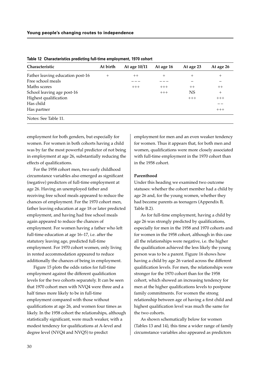| Characteristic                   | At birth | At age 10/11 | At age 16 | At age 23 | At age 26 |
|----------------------------------|----------|--------------|-----------|-----------|-----------|
| Father leaving education post-16 | $+$      | $++$         | $^{+}$    | $^{+}$    | $^{+}$    |
| Free school meals                |          |              |           |           |           |
| Maths scores                     |          | $+++$        | $+++$     | $++$      | $++$      |
| School leaving age post-16       |          |              | $+++$     | NS        | $^{+}$    |
| Highest qualification            |          |              |           | $+++$     | $+++$     |
| Has child                        |          |              |           |           | _ _       |
| Has partner                      |          |              |           |           | $+++$     |
| Notes: See Table 11.             |          |              |           |           |           |

**Table 12 Characteristics predicting full-time employment, 1970 cohort**

employment for both genders, but especially for women. For women in both cohorts having a child was by far the most powerful predictor of not being in employment at age 26, substantially reducing the effects of qualifications.

For the 1958 cohort men, two early childhood circumstance variables also emerged as significant (negative) predictors of full-time employment at age 26. Having an unemployed father and receiving free school meals appeared to reduce the chances of employment. For the 1970 cohort men, father leaving education at age 18 or later predicted employment, and having had free school meals again appeared to reduce the chances of employment. For women having a father who left full-time education at age 16–17, i.e. after the statutory leaving age, predicted full-time employment. For 1970 cohort women, only living in rented accommodation appeared to reduce additionally the chances of being in employment.

Figure 15 plots the odds ratios for full-time employment against the different qualification levels for the two cohorts separately. It can be seen that 1970 cohort men with NVQ4 were three and a half times more likely to be in full-time employment compared with those without qualifications at age 26, and women four times as likely. In the 1958 cohort the relationships, although statistically significant, were much weaker, with a modest tendency for qualifications at A-level and degree level (NVQ4 and NVQ5) to predict

employment for men and an even weaker tendency for women. Thus it appears that, for both men and women, qualifications were more closely associated with full-time employment in the 1970 cohort than in the 1958 cohort.

#### **Parenthood**

Under this heading we examined two outcome statuses: whether the cohort member had a child by age 26 and, for the young women, whether they had become parents as teenagers (Appendix B, Table B.2).

As for full-time employment, having a child by age 26 was strongly predicted by qualifications, especially for men in the 1958 and 1970 cohorts and for women in the 1958 cohort, although in this case all the relationships were negative, i.e. the higher the qualification achieved the less likely the young person was to be a parent. Figure 16 shows how having a child by age 26 varied across the different qualification levels. For men, the relationships were stronger for the 1970 cohort than for the 1958 cohort, which showed an increasing tendency for men at the higher qualifications levels to postpone family commitments. For women the strong relationship between age of having a first child and highest qualification level was much the same for the two cohorts.

As shown schematically below for women (Tables 13 and 14), this time a wider range of family circumstance variables also appeared as predictors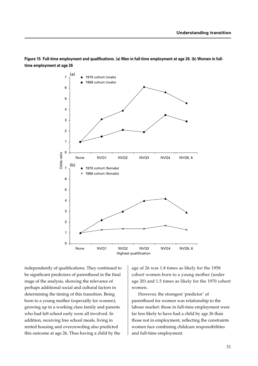

**Figure 15 Full-time employment and qualifications. (a) Men in full-time employment at age 26. (b) Women in fulltime employment at age 26**

independently of qualifications. They continued to be significant predictors of parenthood in the final stage of the analysis, showing the relevance of perhaps additional social and cultural factors in determining the timing of this transition. Being born to a young mother (especially for women), growing up in a working class family and parents who had left school early were all involved. In addition, receiving free school meals, living in rented housing and overcrowding also predicted this outcome at age 26. Thus having a child by the

age of 26 was 1.8 times as likely for the 1958 cohort women born to a young mother (under age 20) and 1.5 times as likely for the 1970 cohort women.

However, the strongest 'predictor' of parenthood for women was relationship to the labour market: those in full-time employment were far less likely to have had a child by age 26 than those not in employment, reflecting the constraints women face combining childcare responsibilities and full-time employment.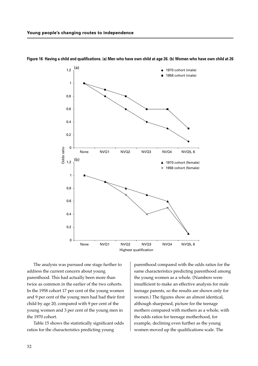

**Figure 16 Having a child and qualifications. (a) Men who have own child at age 26. (b) Women who have own child at 26**

The analysis was pursued one stage further to address the current concern about young parenthood. This had actually been more than twice as common in the earlier of the two cohorts. In the 1958 cohort 17 per cent of the young women and 9 per cent of the young men had had their first child by age 20, compared with 9 per cent of the young women and 3 per cent of the young men in the 1970 cohort.

Table 15 shows the statistically significant odds ratios for the characteristics predicting young

parenthood compared with the odds ratios for the same characteristics predicting parenthood among the young women as a whole. (Numbers were insufficient to make an effective analysis for male teenage parents, so the results are shown only for women.) The figures show an almost identical, although sharpened, picture for the teenage mothers compared with mothers as a whole, with the odds ratios for teenage motherhood, for example, declining even further as the young women moved up the qualifications scale. The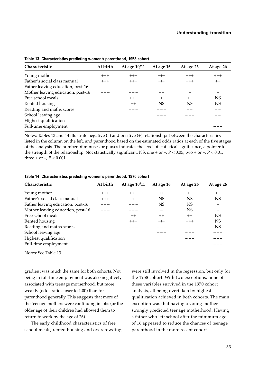| <b>Characteristic</b>             | At birth | At age 10/11 | At age 16 | At age 23 | At age 26 |
|-----------------------------------|----------|--------------|-----------|-----------|-----------|
| Young mother                      | $+++$    | $+++$        | $+++$     | $+++$     | $+++$     |
| Father's social class manual      | $+++$    | $+++$        | $+++$     | $+++$     | $++$      |
| Father leaving education, post-16 |          |              |           |           |           |
| Mother leaving education, post-16 |          |              |           |           |           |
| Free school meals                 |          | $+++$        | $+++$     | $++$      | <b>NS</b> |
| Rented housing                    |          | $++$         | <b>NS</b> | NS        | <b>NS</b> |
| Reading and maths scores          |          |              |           |           |           |
| School leaving age                |          |              |           |           |           |
| Highest qualification             |          |              |           |           |           |
| Full-time employment              |          |              |           |           |           |

**Table 13 Characteristics predicting women's parenthood, 1958 cohort**

Notes: Tables 13 and 14 illustrate negative (–) and positive (+) relationships between the characteristics listed in the column on the left, and parenthood based on the estimated odds ratios at each of the five stages of the analysis. The number of minuses or pluses indicates the level of statistical significance, a pointer to the strength of the relationship. Not statistically significant, NS; one + or  $-$ ,  $P < 0.05$ ; two + or  $-$ ,  $P < 0.01$ ; three + or –,  $P < 0.001$ .

| Characteristic                    | At birth | At age 10/11 | At age 16 | At age 26 | At age 26                |
|-----------------------------------|----------|--------------|-----------|-----------|--------------------------|
| Young mother                      | $+++$    | $+++$        | $++$      | $++$      | $++$                     |
| Father's social class manual      | $+++$    | $+$          | <b>NS</b> | <b>NS</b> | <b>NS</b>                |
| Father leaving education, post-16 |          |              | <b>NS</b> | <b>NS</b> | $\overline{\phantom{m}}$ |
| Mother leaving education, post-16 |          |              |           | <b>NS</b> |                          |
| Free school meals                 |          | $++$         | $++$      | $++$      | <b>NS</b>                |
| Rented housing                    |          | $+++$        | $+++$     | $+++$     | <b>NS</b>                |
| Reading and maths scores          |          |              |           |           | <b>NS</b>                |
| School leaving age                |          |              |           |           |                          |
| Highest qualification             |          |              |           |           |                          |
| Full-time employment              |          |              |           |           |                          |
| Notes: See Table 13.              |          |              |           |           |                          |

|  | Table 14 Characteristics predicting women's parenthood, 1970 cohort |  |  |  |  |
|--|---------------------------------------------------------------------|--|--|--|--|
|--|---------------------------------------------------------------------|--|--|--|--|

gradient was much the same for both cohorts. Not being in full-time employment was also negatively associated with teenage motherhood, but more weakly (odds ratio closer to 1.00) than for parenthood generally. This suggests that more of the teenage mothers were continuing in jobs (or the older age of their children had allowed them to return to work by the age of 26).

The early childhood characteristics of free school meals, rented housing and overcrowding

were still involved in the regression, but only for the 1958 cohort. With two exceptions, none of these variables survived in the 1970 cohort analysis, all being overtaken by highest qualification achieved in both cohorts. The main exception was that having a young mother strongly predicted teenage motherhood. Having a father who left school after the minimum age of 16 appeared to reduce the chances of teenage parenthood in the more recent cohort.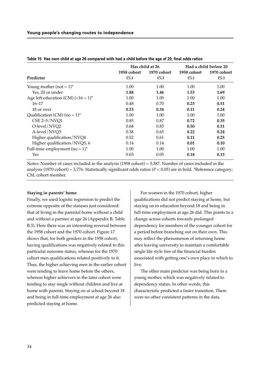|                                             |                       | Has child at 26       |                       | Had a child before 20 |
|---------------------------------------------|-----------------------|-----------------------|-----------------------|-----------------------|
| Predictor                                   | 1958 cohort<br>$(\%)$ | 1970 cohort<br>$(\%)$ | 1958 cohort<br>$(\%)$ | 1970 cohort<br>(%)    |
| Young mother (not = $1$ )*                  | 1.00                  | 1.00                  | 1.00                  | 1.00                  |
| Yes, 20 or under                            | 1.88                  | 1.46                  | 1.53                  | 1.69                  |
| Age left education (CM) $(<16 = 1$ )*       | 1.00                  | 1.00                  | 1.00                  | 1.00                  |
| $16 - 17$                                   | 0.48                  | 0.70                  | 0.23                  | 0.51                  |
| 18 or over                                  | 0.33                  | 0.34                  | 0.11                  | 0.24                  |
| Qualification (CM) (no = $1$ ) <sup>*</sup> | 1.00                  | 1.00                  | 1.00                  | 1.00                  |
| CSE $2-5/NVO1$                              | 0.85                  | 0.87                  | 0.72                  | 0.35                  |
| O-level/NVQ2                                | 0.68                  | 0.83                  | 0.50                  | 0.31                  |
| A-level/NVQ3                                | 0.38                  | 0.65                  | 0.22                  | 0.24                  |
| Higher qualification/NVQ4                   | 0.52                  | 0.61                  | 0.11                  | 0.25                  |
| Higher qualification/NVQ5, 6                | 0.14                  | 0.14                  | 0.01                  | 0.10                  |
| Full-time employment (no = $1$ )*           | 1.00                  | 1.00                  | 1.00                  | 1.00                  |
| Yes                                         | 0.03                  | 0.05                  | 0.18                  | 0.13                  |

| Table 15 Has own child at age 26 compared with had a child before the age of 20, final odds ratios |
|----------------------------------------------------------------------------------------------------|
|----------------------------------------------------------------------------------------------------|

Notes: Number of cases included in the analysis (1958 cohort) = 5,387. Number of cases included in the analysis (1970 cohort) = 3,776. Statistically significant odds ratios (*P* < 0.05) are in bold. \*Reference category; CM, cohort member.

#### **Staying in parents' home**

Finally, we used logistic regression to predict the extreme opposite of the statuses just considered: that of living in the parental home without a child and without a partner at age 26 (Appendix B, Table B.3). Here there was an interesting reversal between the 1958 cohort and the 1970 cohort. Figure 17 shows that, for both genders in the 1958 cohort, having qualifications was negatively related to this particular outcome status, whereas for the 1970 cohort men qualifications related positively to it. Thus, the higher achieving men in the earlier cohort were tending to leave home before the others, whereas higher achievers in the later cohort were tending to stay single without children and live at home with parents. Staying on at school beyond 18 and being in full-time employment at age 26 also predicted staying at home.

For women in the 1970 cohort, higher qualifications did not predict staying at home, but staying on in education beyond 18 and being in full-time employment at age 26 did. This points to a change across cohorts towards prolonged dependency for members of the younger cohort for a period before branching out on their own. This may reflect the phenomenon of returning home after leaving university to maintain a comfortable single life style free of the financial burden associated with getting one's own place in which to live.

The other main predictor was being born to a young mother, which was negatively related to dependency status. In other words, this characteristic predicted a faster transition. There were no other consistent patterns in the data.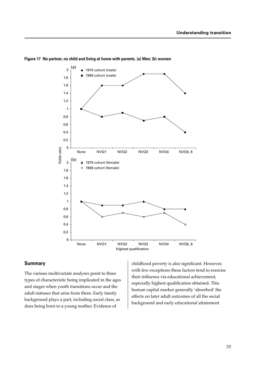



## **Summary**

The various multivariate analyses point to three types of characteristic being implicated in the ages and stages when youth transitions occur and the adult statuses that arise from them. Early family background plays a part, including social class, as does being born to a young mother. Evidence of

childhood poverty is also significant. However, with few exceptions these factors tend to exercise their influence via educational achievement, especially highest qualification obtained. This human capital marker generally 'absorbed' the effects on later adult outcomes of all the social background and early educational attainment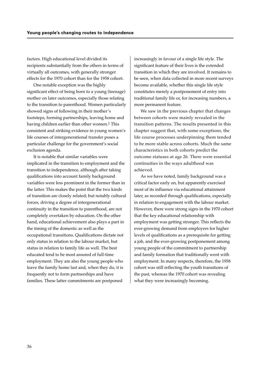factors. High educational level divided its recipients substantially from the others in terms of virtually all outcomes, with generally stronger effects for the 1970 cohort than for the 1958 cohort.

One notable exception was the highly significant effect of being born to a young (teenage) mother on later outcomes, especially those relating to the transition to parenthood. Women particularly showed signs of following in their mother's footsteps, forming partnerships, leaving home and having children earlier than other women.<sup>1</sup> This consistent and striking evidence in young women's life courses of intergenerational transfer poses a particular challenge for the government's social exclusion agenda.

It is notable that similar variables were implicated in the transition to employment and the transition to independence, although after taking qualifications into account family background variables were less prominent in the former than in the latter. This makes the point that the two kinds of transition are closely related; but notably cultural forces, driving a degree of intergenerational continuity in the transition to parenthood, are not completely overtaken by education. On the other hand, educational achievement also plays a part in the timing of the domestic as well as the occupational transitions. Qualifications dictate not only status in relation to the labour market, but status in relation to family life as well. The best educated tend to be most assured of full-time employment. They are also the young people who leave the family home last and, when they do, it is frequently not to form partnerships and have families. These latter commitments are postponed

increasingly in favour of a single life style. The significant feature of their lives is the extended transition in which they are involved. It remains to be seen, when data collected in more recent surveys become available, whether this single life style constitutes merely a postponement of entry into traditional family life or, for increasing numbers, a more permanent feature.

We saw in the previous chapter that changes between cohorts were mainly revealed in the transition patterns. The results presented in this chapter suggest that, with some exceptions, the life course processes underpinning them tended to be more stable across cohorts. Much the same characteristics in both cohorts predict the outcome statuses at age 26. There were essential continuities in the ways adulthood was achieved.

As we have noted, family background was a critical factor early on, but apparently exercised most of its influence via educational attainment later, as recorded through qualifications, especially in relation to engagement with the labour market. However, there were strong signs in the 1970 cohort that the key educational relationship with employment was getting stronger. This reflects the ever-growing demand from employers for higher levels of qualifications as a prerequisite for getting a job, and the ever-growing postponement among young people of the commitment to partnership and family formation that traditionally went with employment. In many respects, therefore, the 1958 cohort was still reflecting the youth transitions of the past, whereas the 1970 cohort was revealing what they were increasingly becoming.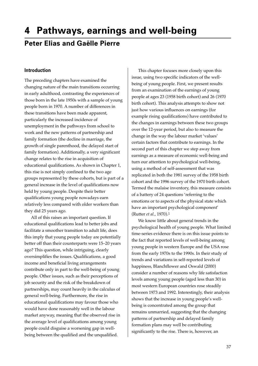# **4 Pathways, earnings and well-being Peter Elias and Gaëlle Pierre**

## **Introduction**

The preceding chapters have examined the changing nature of the main transitions occurring in early adulthood, contrasting the experiences of those born in the late 1950s with a sample of young people born in 1970. A number of differences in these transitions have been made apparent, particularly the increased incidence of unemployment in the pathways from school to work and the new patterns of partnership and family formation (the decline in marriage, the growth of single parenthood, the delayed start of family formation). Additionally, a very significant change relates to the rise in acquisition of educational qualifications. As shown in Chapter 1, this rise is not simply confined to the two age groups represented by these cohorts, but is part of a general increase in the level of qualifications now held by young people. Despite their better qualifications young people nowadays earn relatively less compared with older workers than they did 25 years ago.

All of this raises an important question. If educational qualifications lead to better jobs and facilitate a smoother transition to adult life, does this imply that young people today are potentially better off than their counterparts were 15–20 years ago? This question, while intriguing, clearly oversimplifies the issues. Qualifications, a good income and beneficial living arrangements contribute only in part to the well-being of young people. Other issues, such as their perceptions of job security and the risk of the breakdown of partnerships, may count heavily in the calculus of general well-being. Furthermore, the rise in educational qualifications may favour those who would have done reasonably well in the labour market anyway, meaning that the observed rise in the average level of qualifications among young people could disguise a worsening gap in wellbeing between the qualified and the unqualified.

This chapter focuses more closely upon this issue, using two specific indicators of the wellbeing of young people. First, we present results from an examination of the earnings of young people at ages 23 (1958 birth cohort) and 26 (1970 birth cohort). This analysis attempts to show not just how various influences on earnings (for example rising qualifications) have contributed to the changes in earnings between these two groups over the 12-year period, but also to measure the change in the way the labour market 'values' certain factors that contribute to earnings. In the second part of this chapter we step away from earnings as a measure of economic well-being and turn our attention to psychological well-being, using a method of self-assessment that was replicated in both the 1981 survey of the 1958 birth cohort and the 1996 survey of the 1970 birth cohort. Termed the malaise inventory, this measure consists of a battery of 24 questions 'referring to the emotions or to aspects of the physical state which have an important psychological component' (Rutter *et al.*, 1970).1

We know little about general trends in the psychological health of young people. What limited time-series evidence there is on this issue points to the fact that reported levels of well-being among young people in western Europe and the USA rose from the early 1970s to the 1990s. In their study of trends and variations in self-reported levels of happiness, Blanchflower and Oswald (2000) consider a number of reasons why life satisfaction levels among young people (aged less than 30) in most western European countries rose steadily between 1973 and 1992. Interestingly, their analysis shows that the increase in young people's wellbeing is concentrated among the group that remains unmarried, suggesting that the changing patterns of partnership and delayed family formation plans may well be contributing significantly to the rise. There is, however, an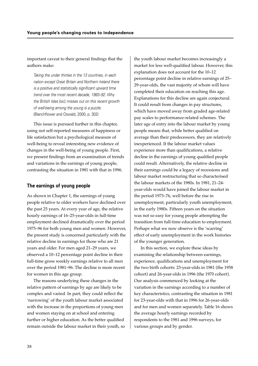## important caveat to their general findings that the authors make:

Taking the under thirties in the 13 countries, in each nation except Great Britain and Northern Ireland there is a positive and statistically significant upward time trend over the most recent decade, 1983–92. Why the British Isles [sic] misses out on this recent growth of well-being among the young is a puzzle. (Blanchflower and Oswald, 2000, p. 302)

This issue is pursued further in this chapter, using not self-reported measures of happiness or life satisfaction but a psychological measure of well-being to reveal interesting new evidence of changes in the well-being of young people. First, we present findings from an examination of trends and variations in the earnings of young people, contrasting the situation in 1981 with that in 1996.

## **The earnings of young people**

As shown in Chapter 1, the earnings of young people relative to older workers have declined over the past 25 years. At every year of age, the relative hourly earnings of 16–25-year-olds in full-time employment declined dramatically over the period 1975–96 for both young men and women. However, the present study is concerned particularly with the relative decline in earnings for those who are 21 years and older. For men aged 21–29 years, we observed a 10–12 percentage point decline in their full-time gross weekly earnings relative to all men over the period 1981–96. The decline is more recent for women in this age group.

The reasons underlying these changes in the relative pattern of earnings by age are likely to be complex and varied. In part, they could reflect the 'narrowing' of the youth labour market associated with the increase in the proportions of young men and women staying on at school and entering further or higher education. As the better qualified remain outside the labour market in their youth, so the youth labour market becomes increasingly a market for less well-qualified labour. However, this explanation does not account for the 10–12 percentage point decline in relative earnings of 25– 29-year-olds, the vast majority of whom will have completed their education on reaching this age. Explanations for this decline are again conjectural. It could result from changes in pay structures, which have moved away from graded age-related pay scales to performance-related schemes. The later age of entry into the labour market by young people means that, while better qualified on average than their predecessors, they are relatively inexperienced. If the labour market values experience more than qualifications, a relative decline in the earnings of young qualified people could result. Alternatively, the relative decline in their earnings could be a legacy of recessions and labour market restructuring that so characterised the labour markets of the 1980s. In 1981, 21–24 year-olds would have joined the labour market in the period 1973–76, well before the rise in unemployment, particularly youth unemployment, in the early 1980s. Fifteen years on the situation was not so easy for young people attempting the transition from full-time education to employment. Perhaps what we now observe is the 'scarring' effect of early unemployment in the work histories of the younger generation.

In this section, we explore these ideas by examining the relationship between earnings, experience, qualifications and unemployment for the two birth cohorts: 23-year-olds in 1981 (the 1958 cohort) and 26-year-olds in 1996 (the 1970 cohort). Our analysis commenced by looking at the variation in the earnings according to a number of key characteristics, contrasting the situation in 1981 for 23-year-olds with that in 1996 for 26-year-olds and for men and women separately. Table 16 shows the average hourly earnings recorded by respondents to the 1981 and 1996 surveys, for various groups and by gender.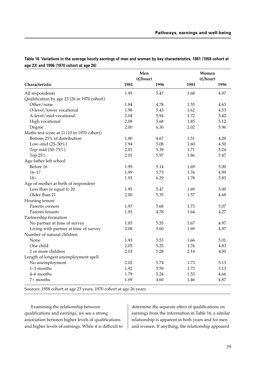**Table 16 Variations in the average hourly earnings of men and women by key characteristics, 1981 (1958 cohort at age 23) and 1996 (1970 cohort at age 26)**

|                                             |      | Men<br>(E/hour) |      | Women<br>(E/hour) |  |
|---------------------------------------------|------|-----------------|------|-------------------|--|
| Characteristic                              | 1981 | 1996            | 1981 | 1996              |  |
| All respondents                             | 1.95 | 5.47            | 1.68 | 4.97              |  |
| Qualification by age 23 (26 in 1970 cohort) |      |                 |      |                   |  |
| Other/none                                  | 1.84 | 4.78            | 1.55 | 4.63              |  |
| O-level/lower vocational                    | 1.98 | 5.43            | 1.62 | 4.53              |  |
| A-level/mid-vocational                      | 2.04 | 5.94            | 1.72 | 5.42              |  |
| High vocational                             | 2.08 | 5.68            | 1.85 | 5.12              |  |
| Degree                                      | 2.00 | 6.30            | 2.02 | 5.96              |  |
| Maths test score at 11 (10 in 1970 cohort)  |      |                 |      |                   |  |
| Bottom 25% of distribution                  | 1.80 | 4.67            | 1.51 | 4.20              |  |
| Low-mid (25-50%)                            | 1.94 | 5.08            | 1.60 | 4.50              |  |
| Top-mid (50-75%)                            | 2.01 | 5.39            | 1.71 | 5.24              |  |
| Top 25%                                     | 2.01 | 5.97            | 1.86 | 5.47              |  |
| Age father left school                      |      |                 |      |                   |  |
| Before 16                                   | 1.95 | 5.14            | 1.69 | 5.00              |  |
| $16 - 17$                                   | 1.99 | 5.73            | 1.76 | 4.99              |  |
| $18+$                                       | 1.93 | 6.29            | 1.78 | 5.83              |  |
| Age of mother at birth of respondent        |      |                 |      |                   |  |
| Less than or equal to 20                    | 1.95 | 5.47            | 1.69 | 5.00              |  |
| Older than 21                               | 2.00 | 5.35            | 1.57 | 4.68              |  |
| Housing tenure                              |      |                 |      |                   |  |
| Parents owners                              | 1.97 | 5.68            | 1.73 | 5.07              |  |
| Parents tenants                             | 1.93 | 4.78            | 1.64 | 4.27              |  |
| Partnership formation                       |      |                 |      |                   |  |
| No partner at time of survey                | 1.85 | 5.35            | 1.67 | 4.97              |  |
| Living with partner at time of survey       | 2.08 | 5.60            | 1.69 | 4.97              |  |
| Number of natural children                  |      |                 |      |                   |  |
| None                                        | 1.93 | 5.53            | 1.66 | 5.01              |  |
| One child                                   | 2.05 | 5.25            | 1.76 | 4.83              |  |
| 2 or more children                          | 2.03 | 5.28            | 2.14 | 4.50              |  |
| Length of longest unemployment spell        |      |                 |      |                   |  |
| No unemployment                             | 2.02 | 5.74            | 1.73 | 5.13              |  |
| 1-3 months                                  | 1.92 | 5.59            | 1.73 | 5.13              |  |
| 4-6 months                                  | 1.79 | 5.24            | 1.53 | 4.66              |  |
| 7+ months                                   | 1.69 | 4.60            | 1.46 | 4.87              |  |

Sources: 1958 cohort at age 23 years, 1970 cohort at age 26 years

Examining the relationship between qualifications and earnings, we see a strong association between higher levels of qualifications and higher levels of earnings. While it is difficult to determine the separate effect of qualifications on earnings from the information in Table 16, a similar relationship is apparent in both years and for men and women. If anything, the relationship appeared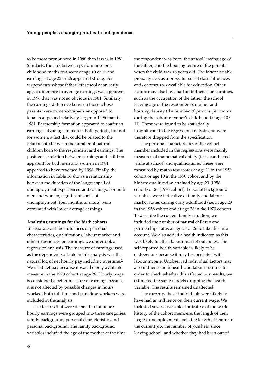to be more pronounced in 1996 than it was in 1981. Similarly, the link between performance on a childhood maths test score at age 10 or 11 and earnings at age 23 or 26 appeared strong. For respondents whose father left school at an early age, a difference in average earnings was apparent in 1996 that was not so obvious in 1981. Similarly, the earnings difference between those whose parents were owner-occupiers as opposed to tenants appeared relatively larger in 1996 than in 1981. Partnership formation appeared to confer an earnings advantage to men in both periods, but not for women, a fact that could be related to the relationship between the number of natural children born to the respondent and earnings. The positive correlation between earnings and children apparent for both men and women in 1981 appeared to have reversed by 1996. Finally, the information in Table 16 shows a relationship between the duration of the longest spell of unemployment experienced and earnings. For both men and women, significant spells of unemployment (four months or more) were correlated with lower average earnings.

#### **Analysing earnings for the birth cohorts**

To separate out the influences of personal characteristics, qualifications, labour market and other experiences on earnings we undertook a regression analysis. The measure of earnings used as the dependent variable in this analysis was the natural log of net hourly pay including overtime.2 We used net pay because it was the only available measure in the 1970 cohort at age 26. Hourly wage is considered a better measure of earnings because it is not affected by possible changes in hours worked. Both full-time and part-time workers were included in the analysis.

The factors that were deemed to influence hourly earnings were grouped into three categories: family background, personal characteristics and personal background. The family background variables included the age of the mother at the time

the respondent was born, the school leaving age of the father, and the housing tenure of the parents when the child was 16 years old. The latter variable probably acts as a proxy for social class influences and/or resources available for education. Other factors may also have had an influence on earnings, such as the occupation of the father, the school leaving age of the respondent's mother and housing density (the number of persons per room) during the cohort member's childhood (at age 10/ 11). These were found to be statistically insignificant in the regression analysis and were therefore dropped from the specification.

The personal characteristics of the cohort member included in the regressions were mainly measures of mathematical ability (tests conducted while at school) and qualifications. These were measured by maths test scores at age 11 in the 1958 cohort or age 10 in the 1970 cohort and by the highest qualification attained by age 23 (1958 cohort) or 26 (1970 cohort). Personal background variables were indicative of family and labour market status during early adulthood (i.e. at age 23 in the 1958 cohort and at age 26 in the 1970 cohort). To describe the current family situation, we included the number of natural children and partnership status at age 23 or 26 to take this into account. We also added a health indicator, as this was likely to affect labour market outcomes. The self-reported health variable is likely to be endogenous because it may be correlated with labour income. Unobserved individual factors may also influence both health and labour income. In order to check whether this affected our results, we estimated the same models dropping the health variable. The results remained unaffected.

The career paths of individuals were likely to have had an influence on their current wage. We included several variables indicative of the work history of the cohort members: the length of their longest unemployment spell, the length of tenure in the current job, the number of jobs held since leaving school, and whether they had been out of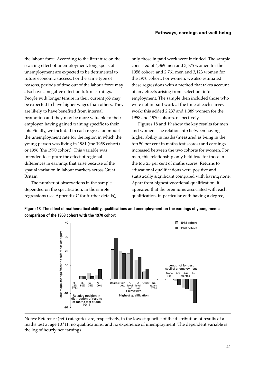the labour force. According to the literature on the scarring effect of unemployment, long spells of unemployment are expected to be detrimental to future economic success. For the same type of reasons, periods of time out of the labour force may also have a negative effect on future earnings. People with longer tenure in their current job may be expected to have higher wages than others. They are likely to have benefited from internal promotion and they may be more valuable to their employer, having gained training specific to their job. Finally, we included in each regression model the unemployment rate for the region in which the young person was living in 1981 (the 1958 cohort) or 1996 (the 1970 cohort). This variable was intended to capture the effect of regional differences in earnings that arise because of the spatial variation in labour markets across Great Britain.

The number of observations in the sample depended on the specification. In the simple regressions (see Appendix C for further details), only those in paid work were included. The sample consisted of 4,369 men and 3,575 women for the 1958 cohort, and 2,761 men and 3,123 women for the 1970 cohort. For women, we also estimated these regressions with a method that takes account of any effects arising from 'selection' into employment. The sample then included those who were not in paid work at the time of each survey work; this added 2,237 and 1,389 women for the 1958 and 1970 cohorts, respectively.

Figures 18 and 19 show the key results for men and women. The relationship between having higher ability in maths (measured as being in the top 50 per cent in maths test scores) and earnings increased between the two cohorts for women. For men, this relationship only held true for those in the top 25 per cent of maths scores. Returns to educational qualifications were positive and statistically significant compared with having none. Apart from highest vocational qualification, it appeared that the premiums associated with each qualification, in particular with having a degree,

**Figure 18 The effect of mathematical ability, qualifications and unemployment on the earnings of young men: a comparison of the 1958 cohort with the 1970 cohort**



Notes: Reference (ref.) categories are, respectively, in the lowest quartile of the distribution of results of a maths test at age 10/11, no qualifications, and no experience of unemployment. The dependent variable is the log of hourly net earnings.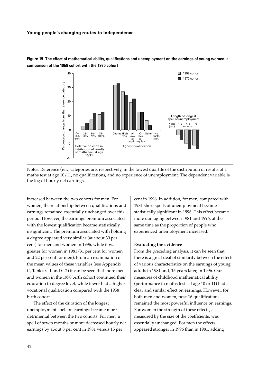

**Figure 19 The effect of mathematical ability, qualifications and unemployment on the earnings of young women: a comparison of the 1958 cohort with the 1970 cohort**

Notes: Reference (ref.) categories are, respectively, in the lowest quartile of the distribution of results of a maths test at age 10/11, no qualifications, and no experience of unemployment. The dependent variable is the log of hourly net earnings.

increased between the two cohorts for men. For women, the relationship between qualifications and earnings remained essentially unchanged over this period. However, the earnings premium associated with the lowest qualification became statistically insignificant. The premium associated with holding a degree appeared very similar (at about 30 per cent) for men and women in 1996, while it was greater for women in 1981 (31 per cent for women and 22 per cent for men). From an examination of the mean values of these variables (see Appendix C, Tables C.1 and C.2) it can be seen that more men and women in the 1970 birth cohort continued their education to degree level, while fewer had a higher vocational qualification compared with the 1958 birth cohort.

The effect of the duration of the longest unemployment spell on earnings became more detrimental between the two cohorts. For men, a spell of seven months or more decreased hourly net earnings by about 8 per cent in 1981 versus 15 per

cent in 1996. In addition, for men, compared with 1981 short spells of unemployment became statistically significant in 1996. This effect became more damaging between 1981 and 1996, at the same time as the proportion of people who experienced unemployment increased.

## **Evaluating the evidence**

From the preceding analysis, it can be seen that there is a great deal of similarity between the effects of various characteristics on the earnings of young adults in 1981 and, 15 years later, in 1996. Our measures of childhood mathematical ability (performance in maths tests at age 10 or 11) had a clear and similar effect on earnings. However, for both men and women, post-16 qualifications remained the most powerful influence on earnings. For women the strength of these effects, as measured by the size of the coefficients, was essentially unchanged. For men the effects appeared stronger in 1996 than in 1981, adding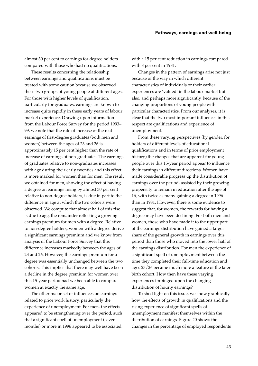almost 30 per cent to earnings for degree holders compared with those who had no qualifications.

These results concerning the relationship between earnings and qualifications must be treated with some caution because we observed these two groups of young people at different ages. For those with higher levels of qualification, particularly for graduates, earnings are known to increase quite rapidly in these early years of labour market experience. Drawing upon information from the Labour Force Survey for the period 1993– 99, we note that the rate of increase of the real earnings of first-degree graduates (both men and women) between the ages of 23 and 26 is approximately 15 per cent higher than the rate of increase of earnings of non-graduates. The earnings of graduates relative to non-graduates increases with age during their early twenties and this effect is more marked for women than for men. The result we obtained for men, showing the effect of having a degree on earnings rising by almost 30 per cent relative to non-degree holders, is due in part to the difference in age at which the two cohorts were observed. We compute that almost half of this rise is due to age, the remainder reflecting a growing earnings premium for men with a degree. Relative to non-degree holders, women with a degree derive a significant earnings premium and we know from analysis of the Labour Force Survey that this difference increases markedly between the ages of 23 and 26. However, the earnings premium for a degree was essentially unchanged between the two cohorts. This implies that there may well have been a decline in the degree premium for women over this 15-year period had we been able to compare women at exactly the same age.

The other major set of influences on earnings related to prior work history, particularly the experience of unemployment. For men, the effects appeared to be strengthening over the period, such that a significant spell of unemployment (seven months) or more in 1996 appeared to be associated

with a 15 per cent reduction in earnings compared with 8 per cent in 1981.

Changes in the pattern of earnings arise not just because of the way in which different characteristics of individuals or their earlier experiences are 'valued' in the labour market but also, and perhaps more significantly, because of the changing proportions of young people with particular characteristics. From our analyses, it is clear that the two most important influences in this respect are qualifications and experience of unemployment.

From these varying perspectives (by gender, for holders of different levels of educational qualifications and in terms of prior employment history) the changes that are apparent for young people over this 15-year period appear to influence their earnings in different directions. Women have made considerable progress up the distribution of earnings over the period, assisted by their growing propensity to remain in education after the age of 16, with twice as many gaining a degree in 1996 than in 1981. However, there is some evidence to suggest that, for women, the rewards for having a degree may have been declining. For both men and women, those who have made it to the upper part of the earnings distribution have gained a larger share of the general growth in earnings over this period than those who moved into the lower half of the earnings distribution. For men the experience of a significant spell of unemployment between the time they completed their full-time education and ages 23/26 became much more a feature of the later birth cohort. How then have these varying experiences impinged upon the changing distribution of hourly earnings?

To shed light on this issue, we show graphically how the effects of growth in qualifications and the rising experience of significant spells of unemployment manifest themselves within the distribution of earnings. Figure 20 shows the changes in the percentage of employed respondents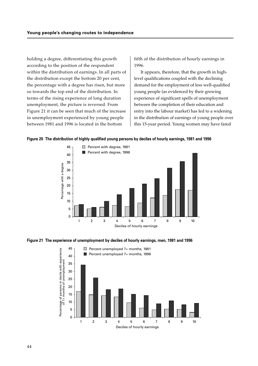holding a degree, differentiating this growth according to the position of the respondent within the distribution of earnings. In all parts of the distribution except the bottom 20 per cent, the percentage with a degree has risen, but more so towards the top end of the distribution. In terms of the rising experience of long duration unemployment, the picture is reversed. From Figure 21 it can be seen that much of the increase in unemployment experienced by young people between 1981 and 1996 is located in the bottom

fifth of the distribution of hourly earnings in 1996.

It appears, therefore, that the growth in highlevel qualifications coupled with the declining demand for the employment of less well-qualified young people (as evidenced by their growing experience of significant spells of unemployment between the completion of their education and entry into the labour market) has led to a widening in the distribution of earnings of young people over this 15-year period. Young women may have fared





**Figure 21 The experience of unemployment by deciles of hourly earnings, men, 1981 and 1996**

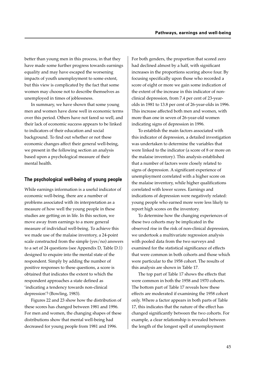better than young men in this process, in that they have made some further progress towards earnings equality and may have escaped the worsening impacts of youth unemployment to some extent, but this view is complicated by the fact that some women may choose not to describe themselves as unemployed in times of joblessness.

In summary, we have shown that some young men and women have done well in economic terms over this period. Others have not fared so well, and their lack of economic success appears to be linked to indicators of their education and social background. To find out whether or not these economic changes affect their general well-being, we present in the following section an analysis based upon a psychological measure of their mental health.

## **The psychological well-being of young people**

While earnings information is a useful indicator of economic well-being, there are a number of problems associated with its interpretation as a measure of how well the young people in these studies are getting on in life. In this section, we move away from earnings to a more general measure of individual well-being. To achieve this we made use of the malaise inventory, a 24-point scale constructed from the simple (yes/no) answers to a set of 24 questions (see Appendix D, Table D.1) designed to enquire into the mental state of the respondent. Simply by adding the number of positive responses to these questions, a score is obtained that indicates the extent to which the respondent approaches a state defined as 'indicating a tendency towards non-clinical depression'3 (Bowling, 1983).

Figures 22 and 23 show how the distribution of these scores has changed between 1981 and 1996. For men and women, the changing shapes of these distributions show that mental well-being had decreased for young people from 1981 and 1996.

For both genders, the proportion that scored zero had declined almost by a half, with significant increases in the proportions scoring above four. By focusing specifically upon those who recorded a score of eight or more we gain some indication of the extent of the increase in this indicator of nonclinical depression, from 7.4 per cent of 23-yearolds in 1981 to 13.8 per cent of 26-year-olds in 1996. This increase affected both men and women, with more than one in seven of 26-year-old women indicating signs of depression in 1996.

To establish the main factors associated with this indicator of depression, a detailed investigation was undertaken to determine the variables that were linked to the indicator (a score of 8 or more on the malaise inventory). This analysis established that a number of factors were closely related to signs of depression. A significant experience of unemployment correlated with a higher score on the malaise inventory, while higher qualifications correlated with lower scores. Earnings and indications of depression were negatively related: young people who earned more were less likely to report high scores on the inventory.

To determine how the changing experiences of these two cohorts may be implicated in the observed rise in the risk of non-clinical depression, we undertook a multivariate regression analysis with pooled data from the two surveys and examined for the statistical significance of effects that were common in both cohorts and those which were particular to the 1958 cohort. The results of this analysis are shown in Table 17.

The top part of Table 17 shows the effects that were common in both the 1958 and 1970 cohorts. The bottom part of Table 17 reveals how these effects are moderated if examining the 1958 cohort only. Where a factor appears in both parts of Table 17, this indicates that the nature of the effect has changed significantly between the two cohorts. For example, a clear relationship is revealed between the length of the longest spell of unemployment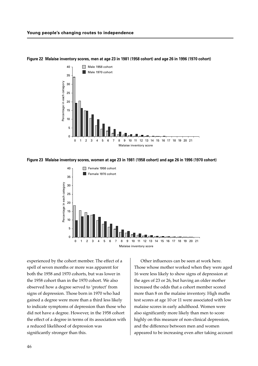

#### **Figure 22 Malaise inventory scores, men at age 23 in 1981 (1958 cohort) and age 26 in 1996 (1970 cohort)**

**Figure 23 Malaise inventory scores, women at age 23 in 1981 (1958 cohort) and age 26 in 1996 (1970 cohort)**



experienced by the cohort member. The effect of a spell of seven months or more was apparent for both the 1958 and 1970 cohorts, but was lower in the 1958 cohort than in the 1970 cohort. We also observed how a degree served to 'protect' from signs of depression. Those born in 1970 who had gained a degree were more than a third less likely to indicate symptoms of depression than those who did not have a degree. However, in the 1958 cohort the effect of a degree in terms of its association with a reduced likelihood of depression was significantly stronger than this.

Other influences can be seen at work here. Those whose mother worked when they were aged 16 were less likely to show signs of depression at the ages of 23 or 26, but having an older mother increased the odds that a cohort member scored more than 8 on the malaise inventory. High maths test scores at age 10 or 11 were associated with low malaise scores in early adulthood. Women were also significantly more likely than men to score highly on this measure of non-clinical depression, and the difference between men and women appeared to be increasing even after taking account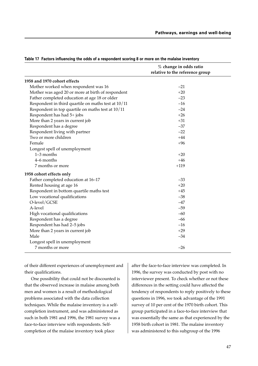|                                                     | % change in odds ratio<br>relative to the reference group |
|-----------------------------------------------------|-----------------------------------------------------------|
| 1958 and 1970 cohort effects                        |                                                           |
| Mother worked when respondent was 16                | $-21$                                                     |
| Mother was aged 20 or more at birth of respondent   | $+20$                                                     |
| Father completed education at age 18 or older       | $-23$                                                     |
| Respondent in third quartile on maths test at 10/11 | $-16$                                                     |
| Respondent in top quartile on maths test at 10/11   | $-24$                                                     |
| Respondent has had 5+ jobs                          | $+26$                                                     |
| More than 2 years in current job                    | $+31$                                                     |
| Respondent has a degree                             | $-37$                                                     |
| Respondent living with partner                      | $-22$                                                     |
| Two or more children                                | $+44$                                                     |
| Female                                              | $+96$                                                     |
| Longest spell of unemployment                       |                                                           |
| $1-3$ months                                        | $+20$                                                     |
| 4–6 months                                          | $+46$                                                     |
| 7 months or more                                    | $+119$                                                    |
| 1958 cohort effects only                            |                                                           |
| Father completed education at 16-17                 | $-33$                                                     |
| Rented housing at age 16                            | $+20$                                                     |
| Respondent in bottom quartile maths test            | $+45$                                                     |
| Low vocational qualifications                       | $-38$                                                     |
| O-level/GCSE                                        | $-47$                                                     |
| A-level                                             | $-59$                                                     |
| High vocational qualifications                      | $-60$                                                     |
| Respondent has a degree                             | $-66$                                                     |
| Respondent has had 2-5 jobs                         | $-16$                                                     |
| More than 2 years in current job                    | $+29$                                                     |
| Male                                                | $-34$                                                     |
| Longest spell in unemployment                       |                                                           |
| 7 months or more                                    | $-26$                                                     |

**Table 17 Factors influencing the odds of a respondent scoring 8 or more on the malaise inventory**

of their different experiences of unemployment and their qualifications.

One possibility that could not be discounted is that the observed increase in malaise among both men and women is a result of methodological problems associated with the data collection techniques. While the malaise inventory is a selfcompletion instrument, and was administered as such in both 1981 and 1996, the 1981 survey was a face-to-face interview with respondents. Selfcompletion of the malaise inventory took place

after the face-to-face interview was completed. In 1996, the survey was conducted by post with no interviewer present. To check whether or not these differences in the setting could have affected the tendency of respondents to reply positively to these questions in 1996, we took advantage of the 1991 survey of 10 per cent of the 1970 birth cohort. This group participated in a face-to-face interview that was essentially the same as that experienced by the 1958 birth cohort in 1981. The malaise inventory was administered to this subgroup of the 1996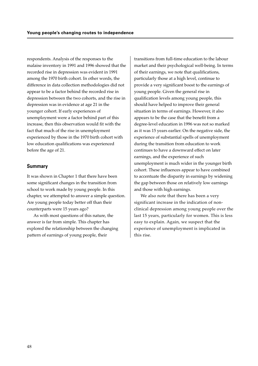respondents. Analysis of the responses to the malaise inventory in 1991 and 1996 showed that the recorded rise in depression was evident in 1991 among the 1970 birth cohort. In other words, the difference in data collection methodologies did not appear to be a factor behind the recorded rise in depression between the two cohorts, and the rise in depression was in evidence at age 21 in the younger cohort. If early experiences of unemployment were a factor behind part of this increase, then this observation would fit with the fact that much of the rise in unemployment experienced by those in the 1970 birth cohort with low education qualifications was experienced before the age of 21.

## **Summary**

It was shown in Chapter 1 that there have been some significant changes in the transition from school to work made by young people. In this chapter, we attempted to answer a simple question. Are young people today better off than their counterparts were 15 years ago?

As with most questions of this nature, the answer is far from simple. This chapter has explored the relationship between the changing pattern of earnings of young people, their

transitions from full-time education to the labour market and their psychological well-being. In terms of their earnings, we note that qualifications, particularly those at a high level, continue to provide a very significant boost to the earnings of young people. Given the general rise in qualification levels among young people, this should have helped to improve their general situation in terms of earnings. However, it also appears to be the case that the benefit from a degree-level education in 1996 was not so marked as it was 15 years earlier. On the negative side, the experience of substantial spells of unemployment during the transition from education to work continues to have a downward effect on later earnings, and the experience of such unemployment is much wider in the younger birth cohort. These influences appear to have combined to accentuate the disparity in earnings by widening the gap between those on relatively low earnings and those with high earnings.

We also note that there has been a very significant increase in the indication of nonclinical depression among young people over the last 15 years, particularly for women. This is less easy to explain. Again, we suspect that the experience of unemployment is implicated in this rise.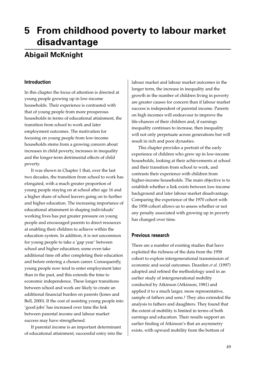## **5 From childhood poverty to labour market disadvantage**

## **Abigail McKnight**

## **Introduction**

In this chapter the focus of attention is directed at young people growing up in low-income households. Their experience is contrasted with that of young people from more prosperous households in terms of educational attainment, the transition from school to work and later employment outcomes. The motivation for focusing on young people from low-income households stems from a growing concern about increases in child poverty, increases in inequality and the longer-term detrimental effects of child poverty.

It was shown in Chapter 1 that, over the last two decades, the transition from school to work has elongated, with a much greater proportion of young people staying on at school after age 16 and a higher share of school leavers going on to further and higher education. The increasing importance of educational attainment in shaping individuals' working lives has put greater pressure on young people and encouraged parents to direct resources at enabling their children to achieve within the education system. In addition, it is not uncommon for young people to take a 'gap year' between school and higher education; some even take additional time off after completing their education and before entering a chosen career. Consequently, young people now tend to enter employment later than in the past, and this extends the time to economic independence. These longer transitions between school and work are likely to create an additional financial burden on parents (Jones and Bell, 2000). If the cost of assisting young people into 'good jobs' has increased over time the link between parental income and labour market success may have strengthened.

If parental income is an important determinant of educational attainment, successful entry into the labour market and labour market outcomes in the longer term, the increase in inequality and the growth in the number of children living in poverty are greater causes for concern than if labour market success is independent of parental income. Parents on high incomes will endeavour to improve the life-chances of their children and, if earnings inequality continues to increase, then inequality will not only perpetuate across generations but will result in rich and poor dynasties.

This chapter provides a portrait of the early experience of children who grew up in low-income households, looking at their achievements at school and their transition from school to work, and contrasts their experience with children from higher-income households. The main objective is to establish whether a link exists between low-income background and later labour market disadvantage. Comparing the experience of the 1970 cohort with the 1958 cohort allows us to assess whether or not any penalty associated with growing up in poverty has changed over time.

## **Previous research**

There are a number of existing studies that have exploited the richness of the data from the 1958 cohort to explore intergenerational transmission of economic and social outcomes. Dearden *et al.* (1997) adopted and refined the methodology used in an earlier study of intergenerational mobility conducted by Atkinson (Atkinson, 1981) and applied it to a much larger, more representative, sample of fathers and sons.<sup>1</sup> They also extended the analysis to fathers and daughters. They found that the extent of mobility is limited in terms of both earnings and education. Their results support an earlier finding of Atkinson's that an asymmetry exists, with upward mobility from the bottom of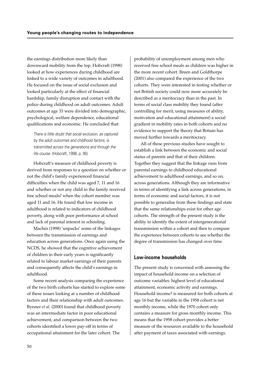the earnings distribution more likely than downward mobility from the top. Hobcraft (1998) looked at how experiences during childhood are linked to a wide variety of outcomes in adulthood. He focused on the issue of social exclusion and looked particularly at the effect of financial hardship, family disruption and contact with the police during childhood on adult outcomes. Adult outcomes at age 33 were divided into demographic, psychological, welfare dependence, educational qualifications and economic. He concluded that:

There is little doubt that social exclusion, as captured by the adult outcomes and childhood factors, is transmitted across the generations and through the life course. (Hobcraft, 1998, p. 95)

Hobcraft's measure of childhood poverty is derived from responses to a question on whether or not the child's family experienced financial difficulties when the child was aged 7, 11 and 16 and whether or not any child in the family received free school meals2 when the cohort member was aged 11 and 16. He found that low income in adulthood is related to indicators of childhood poverty, along with poor performance at school and lack of parental interest in schooling.

Machin (1998) 'unpacks' some of the linkages between the transmission of earnings and education across generations. Once again using the NCDS, he showed that the cognitive achievement of children in their early years is significantly related to labour market earnings of their parents and consequently affects the child's earnings in adulthood.

Some recent analysis comparing the experience of the two birth cohorts has started to explore some of these issues looking at a number of childhood factors and their relationship with adult outcomes. Bynner *et al.* (2000) found that childhood poverty was an intermediate factor in poor educational achievement, and comparison between the two cohorts identified a lower pay-off in terms of occupational attainment for the later cohort. The

probability of unemployment among men who received free school meals as children was higher in the more recent cohort. Breen and Goldthorpe (2001) also compared the experience of the two cohorts. They were interested in testing whether or not British society could now more accurately be described as a meritocracy than in the past. In terms of social class mobility they found (after controlling for merit, using measures of ability, motivation and educational attainment) a social gradient in mobility rates in both cohorts and no evidence to support the theory that Britain has moved further towards a meritocracy.

All of these previous studies have sought to establish a link between the economic and social status of parents and that of their children. Together they suggest that the linkage runs from parental earnings to childhood educational achievement to adulthood earnings, and so on, across generations. Although they are informative in terms of identifying a link across generations, in terms of economic and social factors, it is not possible to generalise from these findings and state that the same relationships exist for other age cohorts. The strength of the present study is the ability to identify the extent of intergenerational transmission within a cohort and then to compare the experience between cohorts to see whether the degree of transmission has changed over time.

## **Low-income households**

The present study is concerned with assessing the impact of household income on a selection of outcome variables: highest level of educational attainment, economic activity and earnings. Household income3 is measured for both cohorts at age 16 but the variable in the 1958 cohort is net monthly income, while the 1970 cohort only contains a measure for gross monthly income. This means that the 1958 cohort provides a better measure of the resources available to the household after payment of taxes associated with earnings.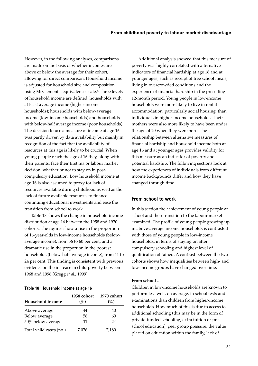However, in the following analyses, comparisons are made on the basis of whether incomes are above or below the average for their cohort, allowing for direct comparison. Household income is adjusted for household size and composition using McClement's equivalence scale.4 Three levels of household income are defined: households with at least average income (higher-income households); households with below-average income (low-income households) and households with below-half average income (poor households). The decision to use a measure of income at age 16 was partly driven by data availability but mainly in recognition of the fact that the availability of resources at this age is likely to be crucial. When young people reach the age of 16 they, along with their parents, face their first major labour market decision: whether or not to stay on in postcompulsory education. Low household income at age 16 is also assumed to proxy for lack of resources available during childhood as well as the lack of future available resources to finance continuing educational investments and ease the transition from school to work.

Table 18 shows the change in household income distribution at age 16 between the 1958 and 1970 cohorts. The figures show a rise in the proportion of 16-year-olds in low-income households (belowaverage income), from 56 to 60 per cent, and a dramatic rise in the proportion in the poorest households (below-half average income), from 11 to 24 per cent. This finding is consistent with previous evidence on the increase in child poverty between 1968 and 1996 (Gregg *et al.*, 1999).

#### **Table 18 Household income at age 16**

| Household income        | 1958 cohort<br>$(\%)$ | 1970 cohort<br>$(\%)$ |
|-------------------------|-----------------------|-----------------------|
| Above average           | 44                    | 40                    |
| Below average           | 56                    | 60                    |
| 50% below average       | 11                    | 24                    |
| Total valid cases (no.) | 7.076                 | 7,180                 |

Additional analysis showed that this measure of poverty was highly correlated with alternative indicators of financial hardship at age 16 and at younger ages, such as receipt of free school meals, living in overcrowded conditions and the experience of financial hardship in the preceding 12-month period. Young people in low-income households were more likely to live in rental accommodation, particularly social housing, than individuals in higher-income households. Their mothers were also more likely to have been under the age of 20 when they were born. The relationship between alternative measures of financial hardship and household income both at age 16 and at younger ages provides validity for this measure as an indicator of poverty and potential hardship. The following sections look at how the experiences of individuals from different income backgrounds differ and how they have changed through time.

## **From school to work**

In this section the achievement of young people at school and their transition to the labour market is examined. The profile of young people growing up in above-average income households is contrasted with those of young people in low-income households, in terms of staying on after compulsory schooling and highest level of qualification obtained. A contrast between the two cohorts shows how inequalities between high- and low-income groups have changed over time.

#### **From school ...**

Children in low-income households are known to perform less well, on average, in school tests and examinations than children from higher-income households. How much of this is due to access to additional schooling (this may be in the form of private-funded schooling, extra tuition or preschool education), peer group pressure, the value placed on education within the family, lack of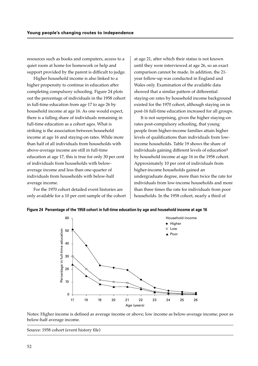resources such as books and computers, access to a quiet room at home for homework or help and support provided by the parent is difficult to judge.

Higher household income is also linked to a higher propensity to continue in education after completing compulsory schooling. Figure 24 plots out the percentage of individuals in the 1958 cohort in full-time education from age 17 to age 26 by household income at age 16. As one would expect, there is a falling share of individuals remaining in full-time education as a cohort ages. What is striking is the association between household income at age 16 and staying-on rates. While more than half of all individuals from households with above-average income are still in full-time education at age 17, this is true for only 30 per cent of individuals from households with belowaverage income and less than one-quarter of individuals from households with below-half average income.

For the 1970 cohort detailed event histories are only available for a 10 per cent sample of the cohort at age 21, after which their status is not known until they were interviewed at age 26, so an exact comparison cannot be made. In addition, the 21 year follow-up was conducted in England and Wales only. Examination of the available data showed that a similar pattern of differential staying-on rates by household income background existed for the 1970 cohort, although staying on in post-16 full-time education increased for all groups.

It is not surprising, given the higher staying-on rates post-compulsory schooling, that young people from higher-income families attain higher levels of qualifications than individuals from lowincome households. Table 19 shows the share of individuals gaining different levels of education5 by household income at age 16 in the 1958 cohort. Approximately 10 per cent of individuals from higher-income households gained an undergraduate degree, more than twice the rate for individuals from low-income households and more than three times the rate for individuals from poor households. In the 1958 cohort, nearly a third of

**Figure 24 Percentage of the 1958 cohort in full-time education by age and household income at age 16**



Notes: Higher income is defined as average income or above; low income as below-average income; poor as below-half average income.

Source: 1958 cohort (event history file)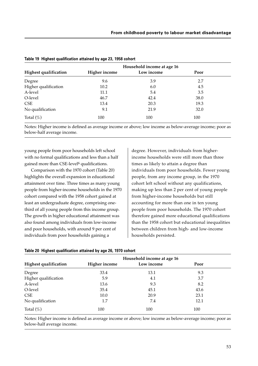|                              | Household income at age 16 |            |      |  |
|------------------------------|----------------------------|------------|------|--|
| <b>Highest qualification</b> | <b>Higher income</b>       | Low income | Poor |  |
| Degree                       | 9.6                        | 3.9        | 2.7  |  |
| Higher qualification         | 10.2                       | 6.0        | 4.5  |  |
| A-level                      | 11.1                       | 5.4        | 3.5  |  |
| O-level                      | 46.7                       | 42.4       | 38.0 |  |
| <b>CSE</b>                   | 13.4                       | 20.3       | 19.3 |  |
| No qualification             | 9.1                        | 21.9       | 32.0 |  |
| Total $(\%)$                 | 100                        | 100        | 100  |  |

| Table 19 Highest qualification attained by age 23, 1958 cohort |  |  |  |  |  |  |  |  |
|----------------------------------------------------------------|--|--|--|--|--|--|--|--|
|----------------------------------------------------------------|--|--|--|--|--|--|--|--|

Notes: Higher income is defined as average income or above; low income as below-average income; poor as below-half average income.

young people from poor households left school with no formal qualifications and less than a half gained more than CSE-level<sup>6</sup> qualifications.

Comparison with the 1970 cohort (Table 20) highlights the overall expansion in educational attainment over time. Three times as many young people from higher-income households in the 1970 cohort compared with the 1958 cohort gained at least an undergraduate degree, comprising onethird of all young people from this income group. The growth in higher educational attainment was also found among individuals from low-income and poor households, with around 9 per cent of individuals from poor households gaining a

degree. However, individuals from higherincome households were still more than three times as likely to attain a degree than individuals from poor households. Fewer young people, from any income group, in the 1970 cohort left school without any qualifications, making up less than 2 per cent of young people from higher-income households but still accounting for more than one in ten young people from poor households. The 1970 cohort therefore gained more educational qualifications than the 1958 cohort but educational inequalities between children from high- and low-income households persisted.

| <b>Highest qualification</b> | Household income at age 16 |            |      |  |  |
|------------------------------|----------------------------|------------|------|--|--|
|                              | <b>Higher income</b>       | Low income | Poor |  |  |
| Degree                       | 33.4                       | 13.1       | 9.3  |  |  |
| Higher qualification         | 5.9                        | 4.1        | 3.7  |  |  |
| A-level                      | 13.6                       | 9.3        | 8.2  |  |  |
| O-level                      | 35.4                       | 45.1       | 43.6 |  |  |
| <b>CSE</b>                   | 10.0                       | 20.9       | 23.1 |  |  |
| No qualification             | 1.7                        | 7.4        | 12.1 |  |  |
| Total $(\%)$                 | 100                        | 100        | 100  |  |  |

**Table 20 Highest qualification attained by age 26, 1970 cohort**

Notes: Higher income is defined as average income or above; low income as below-average income; poor as below-half average income.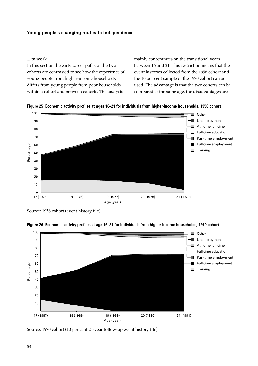### **... to work**

In this section the early career paths of the two cohorts are contrasted to see how the experience of young people from higher-income households differs from young people from poor households within a cohort and between cohorts. The analysis

mainly concentrates on the transitional years between 16 and 21. This restriction means that the event histories collected from the 1958 cohort and the 10 per cent sample of the 1970 cohort can be used. The advantage is that the two cohorts can be compared at the same age, the disadvantages are





Source: 1958 cohort (event history file)



#### **Figure 26 Economic activity profiles at age 16–21 for individuals from higher-income households, 1970 cohort**

Source: 1970 cohort (10 per cent 21-year follow-up event history file)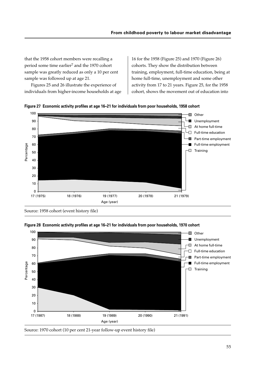that the 1958 cohort members were recalling a period some time earlier<sup>7</sup> and the 1970 cohort sample was greatly reduced as only a 10 per cent sample was followed up at age 21.

Figures 25 and 26 illustrate the experience of individuals from higher-income households at age

16 for the 1958 (Figure 25) and 1970 (Figure 26) cohorts. They show the distribution between training, employment, full-time education, being at home full-time, unemployment and some other activity from 17 to 21 years. Figure 25, for the 1958 cohort, shows the movement out of education into





Source: 1958 cohort (event history file)



**Figure 28 Economic activity profiles at age 16–21 for individuals from poor households, 1970 cohort**

Source: 1970 cohort (10 per cent 21-year follow-up event history file)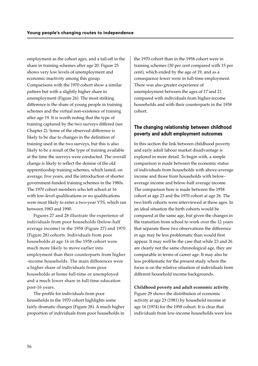employment as the cohort ages, and a tail-off in the share in training schemes after age 20. Figure 25 shows very low levels of unemployment and economic inactivity among this group. Comparisons with the 1970 cohort show a similar pattern but with a slightly higher share in unemployment (Figure 26). The most striking difference is the share of young people in training schemes and the virtual non-existence of training after age 19. It is worth noting that the type of training captured by the two surveys differed (see Chapter 2). Some of the observed difference is likely to be due to changes in the definition of training used in the two surveys, but this is also likely to be a result of the type of training available at the time the surveys were conducted. The overall change is likely to reflect the demise of the old apprenticeship training schemes, which lasted, on average, five years, and the introduction of shorter government-funded training schemes in the 1980s. The 1970 cohort members who left school at 16 with low-level qualifications or no qualifications were most likely to enter a two-year YTS, which ran between 1983 and 1990.

Figures 27 and 28 illustrate the experience of individuals from poor households (below-half average income) in the 1958 (Figure 27) and 1970 (Figure 28) cohorts. Individuals from poor households at age 16 in the 1958 cohort were much more likely to move earlier into employment than their counterparts from higher -income households. The main differences were a higher share of individuals from poor households at home full-time or unemployed and a much lower share in full-time education post-16 years.

The profile for individuals from poor households in the 1970 cohort highlights some fairly dramatic changes (Figure 28). A much higher proportion of individuals from poor households in

the 1970 cohort than in the 1958 cohort were in training schemes (30 per cent compared with 15 per cent), which ended by the age of 19, and as a consequence fewer were in full-time employment. There was also greater experience of unemployment between the ages of 17 and 21 compared with individuals from higher-income households and with their counterparts in the 1958 cohort.

## **The changing relationship between childhood poverty and adult employment outcomes**

In this section the link between childhood poverty and early adult labour market disadvantage is explored in more detail. To begin with, a simple comparison is made between the economic status of individuals from households with above-average income and those from households with belowaverage income and below-half average income. The comparison here is made between the 1958 cohort at age 23 and the 1970 cohort at age 26. The two birth cohorts were interviewed at these ages. In an ideal situation the birth cohorts would be compared at the same age, but given the changes in the transition from school to work over the 12 years that separate these two observations the difference in age may be less problematic than would first appear. It may well be the case that while 23 and 26 are clearly not the same chronological age, they are comparable in terms of career age. It may also be less problematic for the present study where the focus is on the relative situation of individuals from different household income backgrounds.

**Childhood poverty and adult economic activity** Figure 29 shows the distribution of economic activity at age 23 (1981) by household income at age 16 (1974) for the 1958 cohort. It is clear that individuals from low-income households were less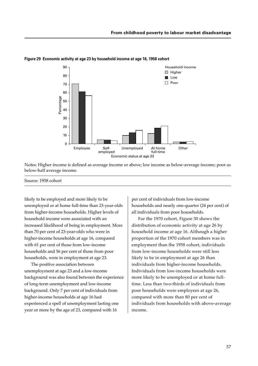

**Figure 29 Economic activity at age 23 by household income at age 16, 1958 cohort**

Notes: Higher income is defined as average income or above; low income as below-average income; poor as below-half average income.

#### Source: 1958 cohort

likely to be employed and more likely to be unemployed or at home full-time than 23-year-olds from higher-income households. Higher levels of household income were associated with an increased likelihood of being in employment. More than 70 per cent of 23-year-olds who were in higher-income households at age 16, compared with 61 per cent of those from low-income households and 56 per cent of those from poor households, were in employment at age 23.

The positive association between unemployment at age 23 and a low-income background was also found between the experience of long-term unemployment and low-income background. Only 7 per cent of individuals from higher-income households at age 16 had experienced a spell of unemployment lasting one year or more by the age of 23, compared with 16

per cent of individuals from low-income households and nearly one-quarter (24 per cent) of all individuals from poor households.

For the 1970 cohort, Figure 30 shows the distribution of economic activity at age 26 by household income at age 16. Although a higher proportion of the 1970 cohort members was in employment than the 1958 cohort, individuals from low-income households were still less likely to be in employment at age 26 than individuals from higher-income households. Individuals from low-income households were more likely to be unemployed or at home fulltime. Less than two-thirds of individuals from poor households were employees at age 26, compared with more than 80 per cent of individuals from households with above-average income.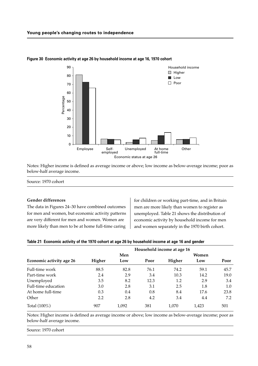

#### **Figure 30 Economic activity at age 26 by household income at age 16, 1970 cohort**

Notes: Higher income is defined as average income or above; low income as below-average income; poor as below-half average income.

Source: 1970 cohort

#### **Gender differences**

The data in Figures 24–30 have combined outcomes for men and women, but economic activity patterns are very different for men and women. Women are more likely than men to be at home full-time caring

for children or working part-time, and in Britain men are more likely than women to register as unemployed. Table 21 shows the distribution of economic activity by household income for men and women separately in the 1970 birth cohort.

#### **Table 21 Economic activity of the 1970 cohort at age 26 by household income at age 16 and gender**

|                          | Household income at age 16 |       |      |        |       |      |
|--------------------------|----------------------------|-------|------|--------|-------|------|
|                          |                            | Men   |      |        | Women |      |
| Economic activity age 26 | Higher                     | Low   | Poor | Higher | Low   | Poor |
| Full-time work           | 88.5                       | 82.8  | 76.1 | 74.2   | 59.1  | 45.7 |
| Part-time work           | 2.4                        | 2.9   | 3.4  | 10.3   | 14.2  | 19.0 |
| Unemployed               | 3.5                        | 8.2   | 12.3 | 1.2    | 2.9   | 3.4  |
| Full-time education      | 3.0                        | 2.8   | 3.1  | 2.5    | 1.8   | 1.0  |
| At home full-time        | 0.3                        | 0.4   | 0.8  | 8.4    | 17.6  | 23.8 |
| Other                    | 2.2                        | 2.8   | 4.2  | 3.4    | 4.4   | 7.2  |
| Total (100%)             | 907                        | 1.092 | 381  | 1.070  | 1,423 | 501  |

Notes: Higher income is defined as average income or above; low income as below-average income; poor as below-half average income.

Source: 1970 cohort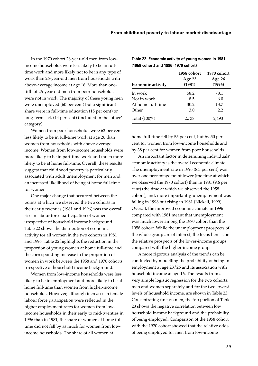In the 1970 cohort 26-year-old men from lowincome households were less likely to be in fulltime work and more likely not to be in any type of work than 26-year-old men from households with above-average income at age 16. More than onefifth of 26-year-old men from poor households were not in work. The majority of these young men were unemployed (60 per cent) but a significant share were in full-time education (15 per cent) or long-term sick (14 per cent) (included in the 'other' category).

Women from poor households were 62 per cent less likely to be in full-time work at age 26 than women from households with above-average income. Women from low-income households were more likely to be in part-time work and much more likely to be at home full-time. Overall, these results suggest that childhood poverty is particularly associated with adult unemployment for men and an increased likelihood of being at home full-time for women.

One major change that occurred between the points at which we observed the two cohorts in their early twenties (1981 and 1996) was the overall rise in labour force participation of women irrespective of household income background. Table 22 shows the distribution of economic activity for all women in the two cohorts in 1981 and 1996. Table 22 highlights the reduction in the proportion of young women at home full-time and the corresponding increase in the proportion of women in work between the 1958 and 1970 cohorts irrespective of household income background.

Women from low-income households were less likely to be in employment and more likely to be at home full-time than women from higher-income households. However, although increases in female labour force participation were reflected in the higher employment rates for women from lowincome households in their early to mid-twenties in 1996 than in 1981, the share of women at home fulltime did not fall by as much for women from lowincome households. The share of all women at

| <b>Economic activity</b> | 1958 cohort<br>Age 23<br>(1981) | 1970 cohort<br>Age 26<br>(1996) |
|--------------------------|---------------------------------|---------------------------------|
| In work                  | 58.2                            | 78.1                            |
| Not in work              | 8.5                             | 6.0                             |
| At home full-time        | 30.2                            | 13.7                            |
| Other                    | 3.0                             | 2.2                             |
| Total $(100\%)$          | 2,738                           | 2,493                           |

**Table 22 Economic activity of young women in 1981 (1958 cohort) and 1996 (1970 cohort)**

home full-time fell by 55 per cent, but by 50 per cent for women from low-income households and by 38 per cent for women from poor households.

An important factor in determining individuals' economic activity is the overall economic climate. The unemployment rate in 1996 (8.3 per cent) was over one percentage point lower (the time at which we observed the 1970 cohort) than in 1981 (9.6 per cent) (the time at which we observed the 1958 cohort), and, more importantly, unemployment was falling in 1996 but rising in 1981 (Nickell, 1999). Overall, the improved economic climate in 1996 compared with 1981 meant that unemployment was much lower among the 1970 cohort than the 1958 cohort. While the unemployment prospects of the whole group are of interest, the focus here is on the relative prospects of the lower-income groups compared with the higher-income groups.

A more rigorous analysis of the trends can be conducted by modelling the probability of being in employment at age 23/26 and its association with household income at age 16. The results from a very simple logistic regression for the two cohorts, men and women separately and for the two lowest levels of household income, are shown in Table 23. Concentrating first on men, the top portion of Table 23 shows the negative correlation between low household income background and the probability of being employed. Comparison of the 1958 cohort with the 1970 cohort showed that the relative odds of being employed for men from low-income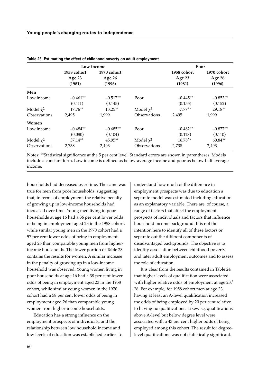|                     |                  | Low income       |                |                  | Poor             |  |
|---------------------|------------------|------------------|----------------|------------------|------------------|--|
|                     | 1958 cohort      | 1970 cohort      |                | 1958 cohort      | 1970 cohort      |  |
|                     | Age 23<br>(1981) | Age 26<br>(1996) |                | Age 23<br>(1981) | Age 26<br>(1996) |  |
| Men                 |                  |                  |                |                  |                  |  |
| Low income          | $-0.461**$       | $-0.517**$       | Poor           | $-0.445**$       | $-0.853**$       |  |
|                     | (0.111)          | (0.145)          |                | (0.155)          | (0.152)          |  |
| Model $\chi^2$      | 17.76**          | $13.25***$       | Model $\chi^2$ | $7.77***$        | 29.18**          |  |
| <b>Observations</b> | 2,495            | 1,999            | Observations   | 2,495            | 1,999            |  |
| Women               |                  |                  |                |                  |                  |  |
| Low income          | $-0.484**$       | $-0.685**$       | Poor           | $-0.482**$       | $-0.877**$       |  |
|                     | (0.080)          | (0.104)          |                | (0.118)          | (0.110)          |  |
| Model $\chi^2$      | 37.14**          | $45.95**$        | Model $\chi^2$ | $16.78**$        | $60.84**$        |  |
| Observations        | 2,738            | 2,493            | Observations   | 2,738            | 2,493            |  |

| Table 23 Estimating the effect of childhood poverty on adult employment |  |  |  |  |
|-------------------------------------------------------------------------|--|--|--|--|
|-------------------------------------------------------------------------|--|--|--|--|

Notes: \*\*Statistical significance at the 5 per cent level. Standard errors are shown in parentheses. Models include a constant term. Low income is defined as below-average income and poor as below-half average income.

households had decreased over time. The same was true for men from poor households, suggesting that, in terms of employment, the relative penalty of growing up in low-income households had increased over time. Young men living in poor households at age 16 had a 36 per cent lower odds of being in employment aged 23 in the 1958 cohort, while similar young men in the 1970 cohort had a 57 per cent lower odds of being in employment aged 26 than comparable young men from higherincome households. The lower portion of Table 23 contains the results for women. A similar increase in the penalty of growing up in a low-income household was observed. Young women living in poor households at age 16 had a 38 per cent lower odds of being in employment aged 23 in the 1958 cohort, while similar young women in the 1970 cohort had a 58 per cent lower odds of being in employment aged 26 than comparable young women from higher-income households.

Education has a strong influence on the employment prospects of individuals, and the relationship between low household income and low levels of education was established earlier. To understand how much of the difference in employment prospects was due to education a separate model was estimated including education as an explanatory variable. There are, of course, a range of factors that affect the employment prospects of individuals and factors that influence household income background. It is not the intention here to identify all of these factors or separate out the different components of disadvantaged backgrounds. The objective is to identify association between childhood poverty and later adult employment outcomes and to assess the role of education.

It is clear from the results contained in Table 24 that higher levels of qualification were associated with higher relative odds of employment at age 23/ 26. For example, for 1958 cohort men at age 23, having at least an A-level qualification increased the odds of being employed by 20 per cent relative to having no qualifications. Likewise, qualifications above A-level but below degree level were associated with a 43 per cent higher odds of being employed among this cohort. The result for degreelevel qualifications was not statistically significant.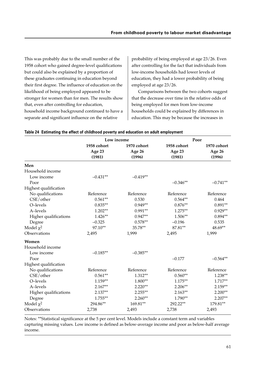This was probably due to the small number of the 1958 cohort who gained degree-level qualifications but could also be explained by a proportion of these graduates continuing in education beyond their first degree. The influence of education on the likelihood of being employed appeared to be stronger for women than for men. The results show that, even after controlling for education, household income background continued to have a separate and significant influence on the relative

probability of being employed at age 23/26. Even after controlling for the fact that individuals from low-income households had lower levels of education, they had a lower probability of being employed at age 23/26.

Comparisons between the two cohorts suggest that the decrease over time in the relative odds of being employed for men from low-income households could be explained by differences in education. This may be because the increases in

|                       | Low income  |             |             | Poor        |
|-----------------------|-------------|-------------|-------------|-------------|
|                       | 1958 cohort | 1970 cohort | 1958 cohort | 1970 cohort |
|                       | Age 23      | Age 26      | Age 23      | Age 26      |
|                       | (1981)      | (1996)      | (1981)      | (1996)      |
| Men                   |             |             |             |             |
| Household income      |             |             |             |             |
| Low income            | $-0.431**$  | $-0.419**$  |             |             |
| Poor                  |             |             | $-0.346**$  | $-0.741**$  |
| Highest qualification |             |             |             |             |
| No qualifications     | Reference   | Reference   | Reference   | Reference   |
| CSE/other             | $0.561**$   | 0.530       | $0.564**$   | 0.464       |
| O-levels              | $0.835**$   | $0.949**$   | $0.876**$   | $0.891**$   |
| A-levels              | $1.202**$   | $0.991**$   | $1.275***$  | $0.929**$   |
| Higher qualifications | $1.426**$   | $0.947**$   | $1.506**$   | $0.894**$   |
| Degree                | $-0.325$    | $0.578**$   | $-0.196$    | 0.535       |
| Model $\chi^2$        | 97.10**     | 35.78**     | 87.81**     | 48.69**     |
| Observations          | 2,495       | 1,999       | 2,495       | 1,999       |
| Women                 |             |             |             |             |
| Household income      |             |             |             |             |
| Low income            | $-0.185**$  | $-0.385**$  |             |             |
| Poor                  |             |             | $-0.177$    | $-0.564**$  |
| Highest qualification |             |             |             |             |
| No qualifications     | Reference   | Reference   | Reference   | Reference   |
| CSE/other             | $0.561**$   | 1.312**     | $0.560**$   | $1.238**$   |
| O-levels              | $1.159**$   | $1.800**$   | $1.175**$   | $1.717**$   |
| A-levels              | $2.167**$   | $2.220**$   | $2.206**$   | $2.159**$   |
| Higher qualifications | $2.137**$   | $2.255***$  | $2.163**$   | $2.200**$   |
| Degree                | $1.755***$  | $2.260**$   | $1.790**$   | $2.207**$   |
| Model $\chi^2$        | 294.86**    | 169.81**    | 292.22**    | 179.81**    |
| Observations          | 2,738       | 2,493       | 2,738       | 2,493       |

#### **Table 24 Estimating the effect of childhood poverty and education on adult employment**

Notes: \*\*Statistical significance at the 5 per cent level. Models include a constant term and variables capturing missing values. Low income is defined as below-average income and poor as below-half average income.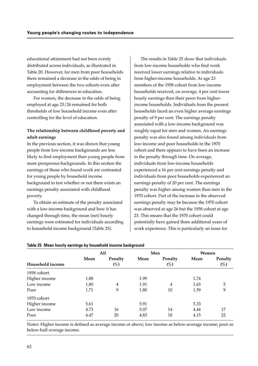educational attainment had not been evenly distributed across individuals, as illustrated in Table 20. However, for men from poor households there remained a decrease in the odds of being in employment between the two cohorts even after accounting for differences in education.

For women, the decrease in the odds of being employed at age 23/26 remained for both thresholds of low household income even after controlling for the level of education.

### **The relationship between childhood poverty and adult earnings**

In the previous section, it was shown that young people from low-income backgrounds are less likely to find employment than young people from more prosperous backgrounds. In this section the earnings of those who found work are contrasted for young people by household income background to test whether or not there exists an earnings penalty associated with childhood poverty.

To obtain an estimate of the penalty associated with a low-income background and how it has changed through time, the mean (net) hourly earnings were estimated for individuals according to household income background (Table 25).

The results in Table 25 show that individuals from low-income households who find work received lower earnings relative to individuals from higher-income households. At age 23 members of the 1958 cohort from low-income households received, on average, 4 per cent lower hourly earnings than their peers from higherincome households. Individuals from the poorest households faced an even higher average earnings penalty of 9 per cent. The earnings penalty associated with a low-income background was roughly equal for men and women. An earnings penalty was also found among individuals from low-income and poor households in the 1970 cohort and there appears to have been an increase in the penalty through time. On average, individuals from low-income households experienced a 16 per cent earnings penalty and individuals from poor households experienced an earnings penalty of 20 per cent. The earnings penalty was higher among women than men in the 1970 cohort. Part of the increase in the observed earnings penalty may be because the 1970 cohort was observed at age 26 but the 1958 cohort at age 23. This means that the 1970 cohort could potentially have gained three additional years of work experience. This is particularly an issue for

|                  |      | All               | Men  |                   | Women |                   |
|------------------|------|-------------------|------|-------------------|-------|-------------------|
| Household income | Mean | Penalty<br>$(\%)$ | Mean | Penalty<br>$(\%)$ | Mean  | Penalty<br>$(\%)$ |
| 1958 cohort      |      |                   |      |                   |       |                   |
| Higher income    | 1.88 |                   | 1.99 |                   | 1.74  |                   |
| Low income       | 1.80 | $\overline{4}$    | 1.91 | $\overline{4}$    | 1.65  | 5                 |
| Poor             | 1.71 | 9                 | 1.80 | 10                | 1.59  | 9                 |
| 1970 cohort      |      |                   |      |                   |       |                   |
| Higher income    | 5.61 |                   | 5.91 |                   | 5.33  |                   |
| Low income       | 4.73 | 16                | 5.07 | 14                | 4.44  | 17                |
| Poor             | 4.47 | 20                | 4.83 | 18                | 4.15  | 22                |

|  |  |  |  |  |  |  | Table 25 Mean hourly earnings by household income background |
|--|--|--|--|--|--|--|--------------------------------------------------------------|
|--|--|--|--|--|--|--|--------------------------------------------------------------|

Notes: Higher income is defined as average income or above; low income as below-average income; poor as below-half average income.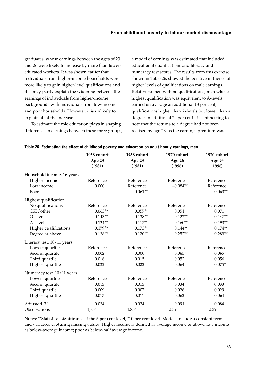graduates, whose earnings between the ages of 23 and 26 were likely to increase by more than lowereducated workers. It was shown earlier that individuals from higher-income households were more likely to gain higher-level qualifications and this may partly explain the widening between the earnings of individuals from higher-income backgrounds with individuals from low-income and poor households. However, it is unlikely to explain all of the increase.

To estimate the role education plays in shaping differences in earnings between these three groups,

a model of earnings was estimated that included educational qualifications and literacy and numeracy test scores. The results from this exercise, shown in Table 26, showed the positive influence of higher levels of qualifications on male earnings. Relative to men with no qualifications, men whose highest qualification was equivalent to A-levels earned on average an additional 13 per cent, qualifications higher than A-levels but lower than a degree an additional 20 per cent. It is interesting to note that the returns to a degree had not been realised by age 23, as the earnings premium was

|                            | 1958 cohort<br>Age 23<br>(1981) | 1958 cohort<br>Age 23<br>(1981) | 1970 cohort<br>Age 26<br>(1996) | 1970 cohort<br>Age 26<br>(1996) |
|----------------------------|---------------------------------|---------------------------------|---------------------------------|---------------------------------|
| Household income, 16 years |                                 |                                 |                                 |                                 |
| Higher income              | Reference                       | Reference                       | Reference                       | Reference                       |
| Low income                 | 0.000                           | Reference                       | $-0.084**$                      | Reference                       |
| Poor                       |                                 | $-0.061**$                      |                                 | $-0.063**$                      |
| Highest qualification      |                                 |                                 |                                 |                                 |
| No qualifications          | Reference                       | Reference                       | Reference                       | Reference                       |
| CSE/other                  | $0.063**$                       | $0.057**$                       | 0.051                           | 0.071                           |
| O-levels                   | $0.143**$                       | $0.138**$                       | $0.122**$                       | $0.147**$                       |
| A-levels                   | $0.124**$                       | $0.117**$                       | $0.160**$                       | $0.193**$                       |
| Higher qualifications      | $0.179**$                       | $0.173**$                       | $0.144**$                       | $0.174**$                       |
| Degree or above            | $0.128**$                       | $0.120**$                       | $0.252**$                       | $0.289**$                       |
| Literacy test, 10/11 years |                                 |                                 |                                 |                                 |
| Lowest quartile            | Reference                       | Reference                       | Reference                       | Reference                       |
| Second quartile            | $-0.002$                        | $-0.000$                        | $0.065*$                        | $0.065*$                        |
| Third quartile             | 0.016                           | 0.015                           | 0.052                           | 0.056                           |
| Highest quartile           | 0.022                           | 0.022                           | 0.064                           | $0.075*$                        |
| Numeracy test, 10/11 years |                                 |                                 |                                 |                                 |
| Lowest quartile            | Reference                       | Reference                       | Reference                       | Reference                       |
| Second quartile            | 0.013                           | 0.013                           | 0.034                           | 0.033                           |
| Third quartile             | 0.009                           | 0.007                           | 0.026                           | 0.029                           |
| Highest quartile           | 0.013                           | 0.011                           | 0.062                           | 0.064                           |
| Adjusted $R^2$             | 0.024                           | 0.034                           | 0.091                           | 0.084                           |
| Observations               | 1,834                           | 1,834                           | 1,539                           | 1,539                           |

|  |  | Table 26 Estimating the effect of childhood poverty and education on adult hourly earnings, men |  |  |
|--|--|-------------------------------------------------------------------------------------------------|--|--|
|  |  |                                                                                                 |  |  |

Notes: \*\*Statistical significance at the 5 per cent level, \*10 per cent level. Models include a constant term and variables capturing missing values. Higher income is defined as average income or above; low income as below-average income; poor as below-half average income.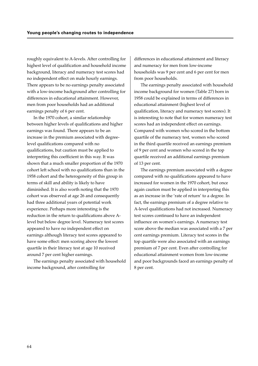roughly equivalent to A-levels. After controlling for highest level of qualification and household income background, literacy and numeracy test scores had no independent effect on male hourly earnings. There appears to be no earnings penalty associated with a low-income background after controlling for differences in educational attainment. However, men from poor households had an additional earnings penalty of 6 per cent.

In the 1970 cohort, a similar relationship between higher levels of qualifications and higher earnings was found. There appears to be an increase in the premium associated with degreelevel qualifications compared with no qualifications, but caution must be applied to interpreting this coefficient in this way. It was shown that a much smaller proportion of the 1970 cohort left school with no qualifications than in the 1958 cohort and the heterogeneity of this group in terms of skill and ability is likely to have diminished. It is also worth noting that the 1970 cohort was observed at age 26 and consequently had three additional years of potential work experience. Perhaps more interesting is the reduction in the return to qualifications above Alevel but below degree level. Numeracy test scores appeared to have no independent effect on earnings although literacy test scores appeared to have some effect: men scoring above the lowest quartile in their literacy test at age 10 received around 7 per cent higher earnings.

The earnings penalty associated with household income background, after controlling for

differences in educational attainment and literacy and numeracy for men from low-income households was 9 per cent and 6 per cent for men from poor households.

The earnings penalty associated with household income background for women (Table 27) born in 1958 could be explained in terms of differences in educational attainment (highest level of qualification, literacy and numeracy test scores). It is interesting to note that for women numeracy test scores had an independent effect on earnings. Compared with women who scored in the bottom quartile of the numeracy test, women who scored in the third quartile received an earnings premium of 9 per cent and women who scored in the top quartile received an additional earnings premium of 13 per cent.

The earnings premium associated with a degree compared with no qualifications appeared to have increased for women in the 1970 cohort, but once again caution must be applied in interpreting this as an increase in the 'rate of return' to a degree. In fact, the earnings premium of a degree relative to A-level qualifications had not increased. Numeracy test scores continued to have an independent influence on women's earnings. A numeracy test score above the median was associated with a 7 per cent earnings premium. Literacy test scores in the top quartile were also associated with an earnings premium of 7 per cent. Even after controlling for educational attainment women from low-income and poor backgrounds faced an earnings penalty of 8 per cent.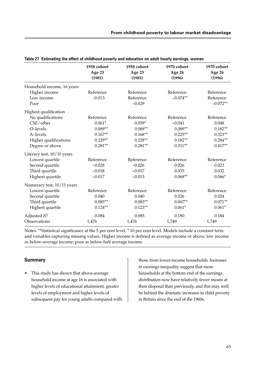| 1958 cohort<br>Age 23<br>(1981) | 1958 cohort<br>Age 23<br>(1981) | 1970 cohort<br>Age 26<br>(1996) | 1970 cohort<br>Age 26<br>(1996) |
|---------------------------------|---------------------------------|---------------------------------|---------------------------------|
|                                 |                                 |                                 |                                 |
| Reference                       | Reference                       | Reference                       | Reference                       |
| $-0.013$                        | Reference                       | $-0.074**$                      | Reference                       |
|                                 | $-0.029$                        |                                 | $-0.072**$                      |
|                                 |                                 |                                 |                                 |
| Reference                       | Reference                       | Reference                       | Reference                       |
| $0.061*$                        | $0.059*$                        | $-0.041$                        | 0.048                           |
| $0.089**$                       | $0.089**$                       | $0.089**$                       | $0.182**$                       |
| $0.167**$                       | $0.168**$                       | $0.225***$                      | $0.323**$                       |
| $0.229**$                       | $0.228**$                       | $0.182**$                       | $0.284**$                       |
| $0.281**$                       | $0.281**$                       | $0.311**$                       | $0.417**$                       |
|                                 |                                 |                                 |                                 |
| Reference                       | Reference                       | Reference                       | Reference                       |
| $-0.028$                        | $-0.026$                        | 0.026                           | 0.023                           |
| $-0.018$                        | $-0.017$                        | 0.035                           | 0.032                           |
| $-0.017$                        | $-0.015$                        | $0.068**$                       | $0.066*$                        |
|                                 |                                 |                                 |                                 |
| Reference                       | Reference                       | Reference                       | Reference                       |
| 0.040                           | 0.040                           | 0.026                           | 0.024                           |
| $0.085**$                       | $0.083**$                       | $0.067**$                       | $0.071**$                       |
| $0.124**$                       | $0.123**$                       | $0.061*$                        | $0.061*$                        |
| 0.084                           | 0.085                           | 0.180                           | 0.184                           |
| 1,476                           | 1,476                           | 1,749                           | 1,749                           |
|                                 |                                 |                                 |                                 |

**Table 27 Estimating the effect of childhood poverty and education on adult hourly earnings, women**

Notes: \*\*Statistical significance at the 5 per cent level, \* 10 per cent level. Models include a constant term and variables capturing missing values. Higher income is defined as average income or above; low income as below-average income; poor as below-half average income.

#### **Summary**

• This study has shown that above-average household income at age 16 is associated with higher levels of educational attainment, greater levels of employment and higher levels of subsequent pay for young adults compared with

those from lower-income households. Increases in earnings inequality suggest that more households at the bottom end of the earnings distribution now have relatively fewer means at their disposal than previously, and this may well be behind the dramatic increases in child poverty in Britain since the end of the 1960s.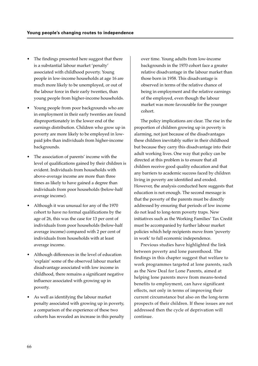- The findings presented here suggest that there is a substantial labour market 'penalty' associated with childhood poverty. Young people in low-income households at age 16 are much more likely to be unemployed, or out of the labour force in their early twenties, than young people from higher-income households.
- Young people from poor backgrounds who are in employment in their early twenties are found disproportionately in the lower end of the earnings distribution. Children who grow up in poverty are more likely to be employed in lowpaid jobs than individuals from higher-income backgrounds.
- The association of parents' income with the level of qualifications gained by their children is evident. Individuals from households with above-average income are more than three times as likely to have gained a degree than individuals from poor households (below-half average income).
- Although it was unusual for any of the 1970 cohort to have no formal qualifications by the age of 26, this was the case for 13 per cent of individuals from poor households (below-half average income) compared with 2 per cent of individuals from households with at least average income.
- Although differences in the level of education 'explain' some of the observed labour market disadvantage associated with low income in childhood, there remains a significant negative influence associated with growing up in poverty.
- As well as identifying the labour market penalty associated with growing up in poverty, a comparison of the experience of these two cohorts has revealed an increase in this penalty

over time. Young adults from low-income backgrounds in the 1970 cohort face a greater relative disadvantage in the labour market than those born in 1958. This disadvantage is observed in terms of the relative chance of being in employment and the relative earnings of the employed, even though the labour market was more favourable for the younger cohort.

The policy implications are clear. The rise in the proportion of children growing up in poverty is alarming, not just because of the disadvantages these children inevitably suffer in their childhood but because they carry this disadvantage into their adult working lives. One way that policy can be directed at this problem is to ensure that all children receive good quality education and that any barriers to academic success faced by children living in poverty are identified and eroded. However, the analysis conducted here suggests that education is not enough. The second message is that the poverty of the parents must be directly addressed by ensuring that periods of low income do not lead to long-term poverty traps. New initiatives such as the Working Families' Tax Credit must be accompanied by further labour market policies which help recipients move from 'poverty in work' to full economic independence.

Previous studies have highlighted the link between poverty and lone parenthood. The findings in this chapter suggest that welfare to work programmes targeted at lone parents, such as the New Deal for Lone Parents, aimed at helping lone parents move from means-tested benefits to employment, can have significant effects, not only in terms of improving their current circumstance but also on the long-term prospects of their children. If these issues are not addressed then the cycle of deprivation will continue.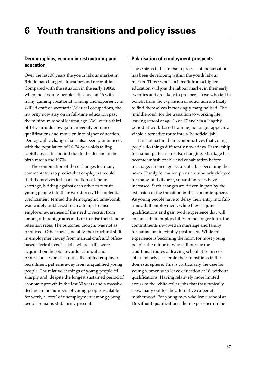## **Demographics, economic restructuring and education**

Over the last 30 years the youth labour market in Britain has changed almost beyond recognition. Compared with the situation in the early 1980s, when most young people left school at 16 with many gaining vocational training and experience in skilled craft or secretarial/clerical occupations, the majority now stay on in full-time education past the minimum school leaving age. Well over a third of 18-year-olds now gain university entrance qualifications and move on into higher education. Demographic changes have also been pronounced, with the population of 16–24-year-olds falling rapidly over this period due to the decline in the birth rate in the 1970s.

The combination of these changes led many commentators to predict that employers would find themselves left in a situation of labour shortage, bidding against each other to recruit young people into their workforces. This potential predicament, termed the demographic time-bomb, was widely publicised in an attempt to raise employer awareness of the need to recruit from among different groups and/or to raise their labour retention rates. The outcome, though, was not as predicted. Other forces, notably the structural shift in employment away from manual craft and officebased clerical jobs, i.e. jobs where skills were acquired on the job, towards technical and professional work has radically shifted employer recruitment patterns away from unqualified young people. The relative earnings of young people fell sharply and, despite the longest sustained period of economic growth in the last 30 years and a massive decline in the numbers of young people available for work, a 'core' of unemployment among young people remains stubbornly present.

#### **Polarisation of employment prospects**

These signs indicate that a process of 'polarisation' has been developing within the youth labour market. Those who can benefit from a higher education will join the labour market in their early twenties and are likely to prosper. Those who fail to benefit from the expansion of education are likely to find themselves increasingly marginalised. The 'middle road' for the transition to working life, leaving school at age 16 or 17 and via a lengthy period of work-based training, no longer appears a viable alternative route into a 'beneficial job'.

It is not just in their economic lives that young people do things differently nowadays. Partnership formation patterns are also changing. Marriage has become unfashionable and cohabitation before marriage, if marriage occurs at all, is becoming the norm. Family formation plans are similarly delayed for many, and divorce/separation rates have increased. Such changes are driven in part by the extension of the transition in the economic sphere. As young people have to delay their entry into fulltime adult employment, while they acquire qualifications and gain work experience that will enhance their employability in the longer term, the commitments involved in marriage and family formation are inevitably postponed. While this experience is becoming the norm for most young people, the minority who still pursue the traditional routes of leaving school at 16 to seek jobs similarly accelerate their transitions in the domestic sphere. This is particularly the case for young women who leave education at 16, without qualifications. Having relatively more limited access to the white-collar jobs that they typically seek, many opt for the alternative career of motherhood. For young men who leave school at 16 without qualifications, their experience on the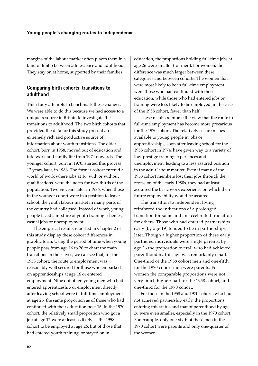margins of the labour market often places them in a kind of limbo between adolescence and adulthood. They stay on at home, supported by their families.

### **Comparing birth cohorts: transitions to adulthood**

This study attempts to benchmark these changes. We were able to do this because we had access to a unique resource in Britain to investigate the transitions to adulthood. The two birth cohorts that provided the data for this study present an extremely rich and productive source of information about youth transitions. The older cohort, born in 1958, moved out of education and into work and family life from 1974 onwards. The younger cohort, born in 1970, started this process 12 years later, in 1986. The former cohort entered a world of work where jobs at 16, with or without qualifications, were the norm for two-thirds of the population. Twelve years later in 1986, when those in the younger cohort were in a position to leave school, the youth labour market in many parts of the country had collapsed. Instead of work, young people faced a mixture of youth training schemes, casual jobs or unemployment.

The empirical results reported in Chapter 2 of this study display these cohort differences in graphic form. Using the period of time when young people pass from age 16 to 26 to chart the main transitions in their lives, we can see that, for the 1958 cohort, the route to employment was reasonably well secured for those who embarked on apprenticeships at age 16 or entered employment. Nine out of ten young men who had entered apprenticeship or employment directly after leaving school were in full-time employment at age 26, the same proportion as of those who had continued with their education post-16. In the 1970 cohort, the relatively small proportion who got a job at age 17 were at least as likely as the 1958 cohort to be employed at age 26; but of those that had entered youth training, or stayed on in

education, the proportions holding full-time jobs at age 26 were smaller (for men). For women, the difference was much larger between these categories and between cohorts. The women that were most likely to be in full-time employment were those who had continued with their education, while those who had entered jobs or training were less likely to be employed: in the case of the 1958 cohort, fewer than half.

These results reinforce the view that the route to full-time employment has become more precarious for the 1970 cohort. The relatively secure niches available to young people in jobs or apprenticeships, soon after leaving school for the 1958 cohort in 1974, have given way to a variety of low-prestige training experiences and unemployment, leading to a less assured position in the adult labour market. Even if many of the 1958 cohort members lost their jobs through the recession of the early 1980s, they had at least acquired the basic work experience on which their future employability would be assured.

The transition to independent living reinforced the indications of a prolonged transition for some and an accelerated transition for others. Those who had entered partnerships early (by age 19) tended to be in partnerships later. Though a higher proportion of these early partnered individuals were single parents, by age 26 the proportion overall who had achieved parenthood by this age was remarkably small. One-third of the 1958 cohort men and one-fifth for the 1970 cohort men were parents. For women the comparable proportions were not very much higher: half for the 1958 cohort, and one-third for the 1970 cohort.

For those in the 1958 and 1970 cohorts who had not achieved partnership early, the proportions entering this status and that of parenthood by age 26 were even smaller, especially in the 1970 cohort. For example, only one-sixth of these men in the 1970 cohort were parents and only one-quarter of the women.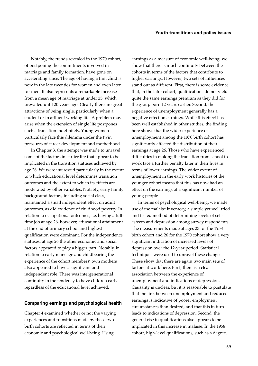Notably, the trends revealed in the 1970 cohort, of postponing the commitments involved in marriage and family formation, have gone on accelerating since. The age of having a first child is now in the late twenties for women and even later for men. It also represents a remarkable increase from a mean age of marriage at under 25, which prevailed until 20 years ago. Clearly there are great attractions of being single, particularly when a student or in affluent working life. A problem may arise when the extension of single life postpones such a transition indefinitely. Young women particularly face this dilemma under the twin pressures of career development and motherhood.

In Chapter 3, the attempt was made to unravel some of the factors in earlier life that appear to be implicated in the transition statuses achieved by age 26. We were interested particularly in the extent to which educational level determines transition outcomes and the extent to which its effects are moderated by other variables. Notably, early family background factors, including social class, maintained a small independent effect on adult outcomes, as did evidence of childhood poverty. In relation to occupational outcomes, i.e. having a fulltime job at age 26, however, educational attainment at the end of primary school and highest qualification were dominant. For the independence statuses, at age 26 the other economic and social factors appeared to play a bigger part. Notably, in relation to early marriage and childbearing the experience of the cohort members' own mothers also appeared to have a significant and independent role. There was intergenerational continuity in the tendency to have children early regardless of the educational level achieved.

#### **Comparing earnings and psychological health**

Chapter 4 examined whether or not the varying experiences and transitions made by these two birth cohorts are reflected in terms of their economic and psychological well-being. Using

earnings as a measure of economic well-being, we show that there is much continuity between the cohorts in terms of the factors that contribute to higher earnings. However, two sets of influences stand out as different. First, there is some evidence that, in the later cohort, qualifications do not yield quite the same earnings premium as they did for the group born 12 years earlier. Second, the experience of unemployment generally has a negative effect on earnings. While this effect has been well established in other studies, the finding here shows that the wider experience of unemployment among the 1970 birth cohort has significantly affected the distribution of their earnings at age 26. Those who have experienced difficulties in making the transition from school to work face a further penalty later in their lives in terms of lower earnings. The wider extent of unemployment in the early work histories of the younger cohort means that this has now had an effect on the earnings of a significant number of young people.

In terms of psychological well-being, we made use of the malaise inventory, a simple yet well tried and tested method of determining levels of selfesteem and depression among survey respondents. The measurements made at ages 23 for the 1958 birth cohort and 26 for the 1970 cohort show a very significant indication of increased levels of depression over the 12-year period. Statistical techniques were used to unravel these changes. These show that there are again two main sets of factors at work here. First, there is a clear association between the experience of unemployment and indications of depression. Causality is unclear, but it is reasonable to postulate that the link between unemployment and reduced earnings is indicative of poorer employment circumstances than desired, and that this in turn leads to indications of depression. Second, the general rise in qualifications also appears to be implicated in this increase in malaise. In the 1958 cohort, high-level qualifications, such as a degree,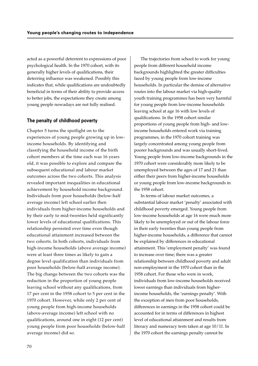acted as a powerful deterrent to expressions of poor psychological health. In the 1970 cohort, with its generally higher levels of qualifications, their deterring influence was weakened. Possibly this indicates that, while qualifications are undoubtedly beneficial in terms of their ability to provide access to better jobs, the expectations they create among young people nowadays are not fully realised.

#### **The penalty of childhood poverty**

Chapter 5 turns the spotlight on to the experiences of young people growing up in lowincome households. By identifying and classifying the household income of the birth cohort members at the time each was 16 years old, it was possible to explore and compare the subsequent educational and labour market outcomes across the two cohorts. This analysis revealed important inequalities in educational achievement by household income background. Individuals from poor households (below-half average income) left school earlier then individuals from higher-income households and by their early to mid-twenties held significantly lower levels of educational qualifications. This relationship persisted over time even though educational attainment increased between the two cohorts. In both cohorts, individuals from high-income households (above average income) were at least three times as likely to gain a degree level qualification than individuals from poor households (below-half average income). The big change between the two cohorts was the reduction in the proportion of young people leaving school without any qualifications, from 17 per cent in the 1958 cohort to 5 per cent in the 1970 cohort. However, while only 2 per cent of young people from high-income households (above-average income) left school with no qualifications, around one in eight (12 per cent) young people from poor households (below-half average income) did so.

The trajectories from school to work for young people from different household income backgrounds highlighted the greater difficulties faced by young people from low-income households. In particular the demise of alternative routes into the labour market via high-quality youth training programmes has been very harmful for young people from low-income households leaving school at age 16 with low levels of qualifications. In the 1958 cohort similar proportions of young people from high- and lowincome households entered work via training programmes, in the 1970 cohort training was largely concentrated among young people from poorer backgrounds and was usually short-lived. Young people from low-income backgrounds in the 1970 cohort were considerably more likely to be unemployed between the ages of 17 and 21 than either their peers from higher-income households or young people from low-income backgrounds in the 1958 cohort.

In terms of labour market outcomes, a substantial labour market 'penalty' associated with childhood poverty emerged. Young people from low-income households at age 16 were much more likely to be unemployed or out of the labour force in their early twenties than young people from higher-income households, a difference that cannot be explained by differences in educational attainment. This 'employment penalty' was found to increase over time; there was a greater relationship between childhood poverty and adult non-employment in the 1970 cohort than in the 1958 cohort. For those who were in work, individuals from low-income households received lower earnings than individuals from higherincome households, the 'earnings penalty'. With the exception of men from poor households, differences in earnings in the 1958 cohort could be accounted for in terms of differences in highest level of educational attainment and results from literacy and numeracy tests taken at age 10/11. In the 1970 cohort the earnings penalty cannot be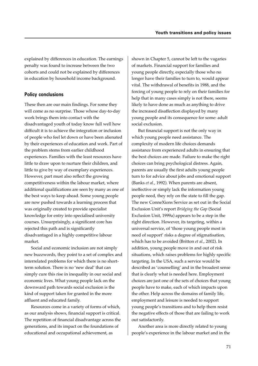explained by differences in education. The earnings penalty was found to increase between the two cohorts and could not be explained by differences in education by household income background.

#### **Policy conclusions**

These then are our main findings. For some they will come as no surprise. Those whose day-to-day work brings them into contact with the disadvantaged youth of today know full well how difficult it is to achieve the integration or inclusion of people who feel let down or have been alienated by their experiences of education and work. Part of the problem stems from earlier childhood experiences. Families with the least resources have little to draw upon to nurture their children, and little to give by way of exemplary experiences. However, part must also reflect the growing competitiveness within the labour market, where additional qualifications are seen by many as one of the best ways to keep ahead. Some young people are now pushed towards a learning process that was originally created to provide specialist knowledge for entry into specialised university courses. Unsurprisingly, a significant core has rejected this path and is significantly disadvantaged in a highly competitive labour market.

Social and economic inclusion are not simply new buzzwords, they point to a set of complex and interrelated problems for which there is no shortterm solution. There is no 'new deal' that can simply cure this rise in inequality in our social and economic lives. What young people lack on the downward path towards social exclusion is the kind of support taken for granted in the more affluent and educated family.

Resources come in a variety of forms of which, as our analysis shows, financial support is critical. The repetition of financial disadvantage across the generations, and its impact on the foundations of educational and occupational achievement, as

shown in Chapter 5, cannot be left to the vagaries of markets. Financial support for families and young people directly, especially those who no longer have their families to turn to, would appear vital. The withdrawal of benefits in 1988, and the forcing of young people to rely on their families for help that in many cases simply is not there, seems likely to have done as much as anything to drive the increased disaffection displayed by many young people and its consequence for some: adult social exclusion.

But financial support is not the only way in which young people need assistance. The complexity of modern life choices demands assistance from experienced adults in ensuring that the best choices are made. Failure to make the right choices can bring psychological distress. Again, parents are usually the first adults young people turn to for advice about jobs and emotional support (Banks *et al.*, 1992). When parents are absent, ineffective or simply lack the information young people need, they rely on the state to fill the gap. The new ConneXions Service as set out in the Social Exclusion Unit's report *Bridging the Gap* (Social Exclusion Unit, 1999a) appears to be a step in the right direction. However, its targeting, within a universal service, of 'those young people most in need of support' risks a degree of stigmatisation, which has to be avoided (Britton *et al.*, 2002). In addition, young people move in and out of risk situations, which raises problems for highly specific targeting. In the USA, such a service would be described as 'counselling' and in the broadest sense that is clearly what is needed here. Employment choices are just one of the sets of choices that young people have to make, each of which impacts upon the other. Help across the domains of family life, employment and leisure is needed to support young people's transitions and to help them resist the negative effects of those that are failing to work out satisfactorily.

Another area is more directly related to young people's experience in the labour market and in the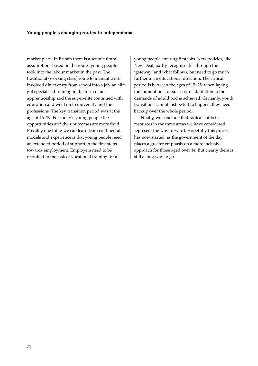market place. In Britain there is a set of cultural assumptions based on the routes young people took into the labour market in the past. The traditional (working class) route to manual work involved direct entry from school into a job, an elite got specialised training in the form of an apprenticeship and the super-elite continued with education and went on to university and the professions. The key transition period was at the age of 16–19. For today's young people the opportunities and their outcomes are more fluid. Possibly one thing we can learn from continental models and experience is that young people need an extended period of support in the first steps towards employment. Employers need to be recruited to the task of vocational training for all

young people entering first jobs. New policies, like New Deal, partly recognise this through the 'gateway' and what follows, but need to go much further in an educational direction. The critical period is between the ages of 15–25, when laying the foundations for successful adaptation to the demands of adulthood is achieved. Certainly, youth transitions cannot just be left to happen, they need backup over the whole period.

Finally, we conclude that radical shifts in resources in the three areas we have considered represent the way forward. Hopefully this process has now started, as the government of the day places a greater emphasis on a more inclusive approach for those aged over 14. But clearly there is still a long way to go.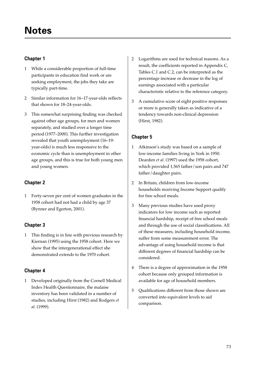## **Chapter 1**

- 1 While a considerable proportion of full-time participants in education find work or are seeking employment, the jobs they take are typically part-time.
- 2 Similar information for 16–17-year-olds reflects that shown for 18–24-year-olds.
- 3 This somewhat surprising finding was checked against other age groups, for men and women separately, and studied over a longer time period (1977–2000). This further investigation revealed that youth unemployment (16–19 year-olds) is much less responsive to the economic cycle than is unemployment in other age groups, and this is true for both young men and young women.

# **Chapter 2**

1 Forty-seven per cent of women graduates in the 1958 cohort had not had a child by age 37 (Bynner and Egerton, 2001).

# **Chapter 3**

1 This finding is in line with previous research by Kiernan (1995) using the 1958 cohort. Here we show that the intergenerational effect she demonstrated extends to the 1970 cohort.

# **Chapter 4**

1 Developed originally from the Cornell Medical Index Health Questionnaire, the malaise inventory has been validated in a number of studies, including Hirst (1982) and Rodgers *et al*. (1999).

- 2 Logarithms are used for technical reasons. As a result, the coefficients reported in Appendix C, Tables C.1 and C.2, can be interpreted as the percentage increase or decrease in the log of earnings associated with a particular characteristic relative to the reference category.
- 3 A cumulative score of eight positive responses or more is generally taken as indicative of a tendency towards non-clinical depression (Hirst, 1982).

# **Chapter 5**

- 1 Atkinson's study was based on a sample of low-income families living in York in 1950. Dearden *et al.* (1997) used the 1958 cohort, which provided 1,565 father/son pairs and 747 father/daughter pairs.
- 2 In Britain, children from low-income households receiving Income Support qualify for free school meals.
- 3 Many previous studies have used proxy indicators for low income such as reported financial hardship, receipt of free school meals and through the use of social classifications. All of these measures, including household income, suffer from some measurement error. The advantage of using household income is that different degrees of financial hardship can be considered.
- 4 There is a degree of approximation in the 1958 cohort because only grouped information is available for age of household members.
- 5 Qualifications different from those shown are converted into equivalent levels to aid comparison.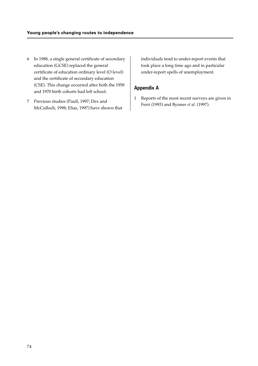- 6 In 1988, a single general certificate of secondary education (GCSE) replaced the general certificate of education ordinary level (O level) and the certificate of secondary education (CSE). This change occurred after both the 1958 and 1970 birth cohorts had left school.
- 7 Previous studies (Paull, 1997; Dex and McCulloch, 1998; Elias, 1997) have shown that

individuals tend to under-report events that took place a long time ago and in particular under-report spells of unemployment.

## **Appendix A**

1 Reports of the most recent surveys are given in Ferri (1993) and Bynner *et al*. (1997).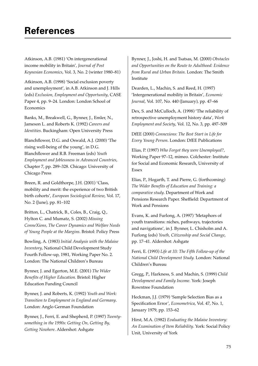Atkinson, A.B. (1981) 'On intergenerational income mobility in Britain', *Journal of Post Keynesian Economics*, Vol. 3, No. 2 (winter 1980–81)

Atkinson, A.B. (1998) 'Social exclusion poverty and unemployment', in A.B. Atkinson and J. Hills (eds) *Exclusion, Employment and Opportunity*, CASE Paper 4, pp. 9–24. London: London School of Economics

Banks, M., Breakwell, G., Bynner, J., Emler, N., Jameson L. and Roberts K. (1992) *Careers and Identities*. Buckingham: Open University Press

Blanchflower, D.G. and Oswald, A.J. (2000) 'The rising well-being of the young', in D.G. Blanchflower and R.B. Freeman (eds) *Youth Employment and Joblessness in Advanced Countries*, Chapter 7, pp. 289–328. Chicago: University of Chicago Press

Breen, R. and Goldthorpe, J.H. (2001) 'Class, mobility and merit: the experience of two British birth cohorts', *European Sociological Review*, Vol. 17, No. 2 (June), pp. 81–102

Britton, L., Chatrick, B., Coles, B., Craig, Q., Hylton C. and Mumatz, S. (2002) *Missing ConneXions, The Career Dynamics and Welfare Needs of Young People at the Margins*. Bristol: Policy Press

Bowling, A. (1983) *Initial Analysis with the Malaise Inventory*, National Child Development Study Fourth Follow-up, 1981, Working Paper No. 2. London: The National Children's Bureau

Bynner, J. and Egerton, M.E. (2001) *The Wider Benefits of Higher Education.* Bristol: Higher Education Funding Council

Bynner, J. and Roberts, K. (1992) *Youth and Work: Transition to Employment in England and Germany*. London: Anglo German Foundation

Bynner, J., Ferri, E. and Shepherd, P. (1997) *Twentysomething in the 1990s: Getting On, Getting By, Getting Nowhere*. Aldershot: Ashgate

Bynner, J., Joshi, H. and Tsatsas, M. (2000) *Obstacles and Opportunities on the Route to Adulthood: Evidence from Rural and Urban Britain*. London: The Smith Institute

Dearden, L., Machin, S. and Reed, H. (1997) 'Intergenerational mobility in Britain', *Economic Journal*, Vol. 107, No. 440 (January), pp. 47–66

Dex, S. and McCulloch, A. (1998) 'The reliability of retrospective unemployment history data', *Work Employment and Society*, Vol. 12, No. 3, pp. 497–509

DfEE (2000) *Connexions: The Best Start in Life for Every Young Person*. London: DfEE Publications

Elias, P. (1997) *Who Forgot they were Unemployed?*, Working Paper 97–12, mimeo. Colchester: Institute for Social and Economic Research, University of Essex

Elias, P., Hogarth, T. and Pierre, G. (forthcoming) *The Wider Benefits of Education and Training: a comparative study*. Department of Work and Pensions Research Paper. Sheffield: Department of Work and Pensions

Evans, K. and Furlong, A. (1997) 'Metaphors of youth transitions: niches, pathways, trajectories and navigations', in J. Bynner, L. Chisholm and A. Furlong (eds) *Youth, Citizenship and Social Change*, pp. 17–41*.* Aldershot: Ashgate

Ferri, E. (1993) *Life at 33: The Fifth Follow-up of the National Child Development Study.* London: National Children's Bureau

Gregg, P., Harkness, S. and Machin, S. (1999) *Child Development and Family Income.* York: Joseph Rowntree Foundation

Heckman, J.J. (1979) 'Sample Selection Bias as a Specification Error', *Econometrica*, Vol. 47, No. 1, January 1979, pp. 153–62

Hirst, M.A. (1982) *Evaluating the Malaise Inventory: An Examination of Item Reliability*. York: Social Policy Unit, University of York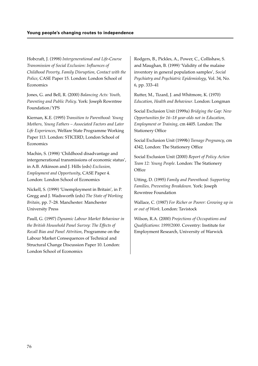Hobcraft, J. (1998) *Intergenerational and Life-Course Transmission of Social Exclusion: Influences of Childhood Poverty, Family Disruption, Contact with the Police*, CASE Paper 15. London: London School of Economics

Jones, G. and Bell, R. (2000) *Balancing Acts: Youth, Parenting and Public Policy*. York: Joseph Rowntree Foundation/YPS

Kiernan, K.E. (1995) *Transition to Parenthood: Young Mothers, Young Fathers – Associated Factors and Later Life Experiences*, Welfare State Programme Working Paper 113. London: STICERD, London School of **Economics** 

Machin, S. (1998) 'Childhood disadvantage and intergenerational transmissions of economic status', in A.B. Atkinson and J. Hills (eds) *Exclusion, Employment and Opportunity*, CASE Paper 4. London: London School of Economics

Nickell, S. (1999) 'Unemployment in Britain', in P. Gregg and J. Wadsworth (eds) *The State of Working Britain*, pp. 7–28*.* Manchester: Manchester University Press

Paull, G. (1997) *Dynamic Labour Market Behaviour in the British Household Panel Survey: The Effects of Recall Bias and Panel Attrition*, Programme on the Labour Market Consequences of Technical and Structural Change Discussion Paper 10. London: London School of Economics

Rodgers, B., Pickles, A., Power, C., Collishaw, S. and Maughan, B. (1999) 'Validity of the malaise inventory in general population samples', *Social Psychiatry and Psychiatric Epidemiology*, Vol. 34, No. 6, pp. 333–41

Rutter, M., Tizard, J. and Whitmore, K. (1970) *Education, Health and Behaviour*. London: Longman

Social Exclusion Unit (1999a) *Bridging the Gap: New Opportunities for 16–18 year-olds not in Education, Employment or Training*, cm 4405. London: The Stationery Office

Social Exclusion Unit (1999b) *Teenage Pregnancy*, cm 4342, London: The Stationery Office

Social Exclusion Unit (2000) *Report of Policy Action Team 12: Young People*. London: The Stationery **Office** 

Utting, D. (1995) *Family and Parenthood: Supporting Families, Preventing Breakdown*. York: Joseph Rowntree Foundation

Wallace, C. (1987) *For Richer or Poorer: Growing up in or out of Work*. London: Tavistock

Wilson, R.A. (2000) *Projections of Occupations and Qualifications: 1999/2000*. Coventry: Institute for Employment Research, University of Warwick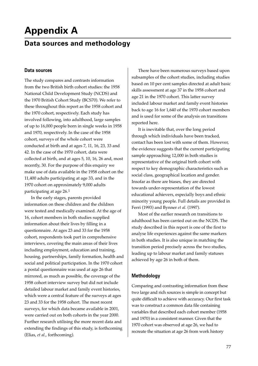# **Appendix A**

# **Data sources and methodology**

#### **Data sources**

The study compares and contrasts information from the two British birth cohort studies: the 1958 National Child Development Study (NCDS) and the 1970 British Cohort Study (BCS70). We refer to these throughout this report as the 1958 cohort and the 1970 cohort, respectively. Each study has involved following, into adulthood, large samples of up to 16,000 people born in single weeks in 1958 and 1970, respectively. In the case of the 1958 cohort, surveys of the whole cohort were conducted at birth and at ages 7, 11, 16, 23, 33 and 42. In the case of the 1970 cohort, data were collected at birth, and at ages 5, 10, 16, 26 and, most recently, 30. For the purpose of this enquiry we make use of data available in the 1958 cohort on the 11,400 adults participating at age 33, and in the 1970 cohort on approximately 9,000 adults participating at age 26.1

In the early stages, parents provided information on these children and the children were tested and medically examined. At the age of 16, cohort members in both studies supplied information about their lives by filling in a questionnaire. At ages 23 and 33 for the 1958 cohort, respondents took part in comprehensive interviews, covering the main areas of their lives including employment, education and training, housing, partnerships, family formation, health and social and political participation. In the 1970 cohort a postal questionnaire was used at age 26 that mirrored, as much as possible, the coverage of the 1958 cohort interview survey but did not include detailed labour market and family event histories, which were a central feature of the surveys at ages 23 and 33 for the 1958 cohort. The most recent surveys, for which data became available in 2001, were carried out on both cohorts in the year 2000. Further research utilising the more recent data and extending the findings of this study, is forthcoming (Elias, *et al*., forthcoming).

There have been numerous surveys based upon subsamples of the cohort studies, including studies based on 10 per cent samples directed at adult basic skills assessment at age 37 in the 1958 cohort and age 21 in the 1970 cohort. This latter survey included labour market and family event histories back to age 16 for 1,640 of the 1970 cohort members and is used for some of the analysis on transitions reported here.

It is inevitable that, over the long period through which individuals have been tracked, contact has been lost with some of them. However, the evidence suggests that the current participating sample approaching 12,000 in both studies is representative of the original birth cohort with respect to key demographic characteristics such as social class, geographical location and gender. Insofar as there are biases, they are directed towards under-representation of the lowest educational achievers, especially boys and ethnic minority young people. Full details are provided in Ferri (1993) and Bynner *et al.* (1997).

Most of the earlier research on transitions to adulthood has been carried out on the NCDS. The study described in this report is one of the first to analyse life experiences against the same markers in both studies. It is also unique in matching the transition period precisely across the two studies, leading up to labour market and family statuses achieved by age 26 in both of them.

#### **Methodology**

Comparing and contrasting information from these two large and rich sources is simple in concept but quite difficult to achieve with accuracy. Our first task was to construct a common data file containing variables that described each cohort member (1958 and 1970) in a consistent manner. Given that the 1970 cohort was observed at age 26, we had to recreate the situation at age 26 from work history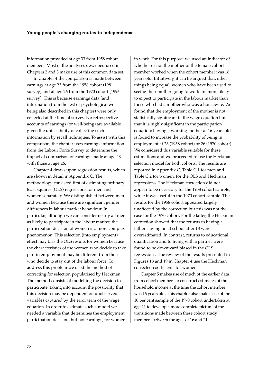information provided at age 33 from 1958 cohort members. Most of the analyses described used in Chapters 2 and 3 make use of this common data set.

In Chapter 4 the comparison is made between earnings at age 23 from the 1958 cohort (1981 survey) and at age 26 from the 1970 cohort (1996 survey). This is because earnings data (and information from the test of psychological wellbeing also described in this chapter) were only collected at the time of survey. No retrospective accounts of earnings (or well-being) are available given the unfeasibility of collecting such information by recall techniques. To assist with this comparison, the chapter uses earnings information from the Labour Force Survey to determine the impact of comparison of earnings made at age 23 with those at age 26.

Chapter 4 draws upon regression results, which are shown in detail in Appendix C. The methodology consisted first of estimating ordinary least squares (OLS) regressions for men and women separately. We distinguished between men and women because there are significant gender differences in labour market behaviour. In particular, although we can consider nearly all men as likely to participate in the labour market, the participation decision of women is a more complex phenomenon. This selection (into employment) effect may bias the OLS results for women because the characteristics of the women who decide to take part in employment may be different from those who decide to stay out of the labour force. To address this problem we used the method of correcting for selection popularised by Heckman. The method consists of modelling the decision to participate, taking into account the possibility that this decision may be dependent on unobserved variables captured by the error term of the wage equation. In order to estimate such a model we needed a variable that determines the employment participation decision, but not earnings, for women

in work. For this purpose, we used an indicator of whether or not the mother of the female cohort member worked when the cohort member was 16 years old. Intuitively, it can be argued that, other things being equal, women who have been used to seeing their mother going to work are more likely to expect to participate in the labour market than those who had a mother who was a housewife. We found that the employment of the mother is not statistically significant in the wage equation but that it is highly significant in the participation equation: having a working mother at 16 years old is found to increase the probability of being in employment at 23 (1958 cohort) or 26 (1970 cohort). We considered this variable suitable for these estimations and we proceeded to use the Heckman selection model for both cohorts. The results are reported in Appendix C, Table C.1 for men and Table C.2 for women, for the OLS and Heckman regressions. The Heckman correction did not appear to be necessary for the 1958 cohort sample, while it was useful in the 1970 cohort sample. The results for the 1958 cohort appeared largely unaffected by the correction but this was not the case for the 1970 cohort. For the latter, the Heckman correction showed that the returns to having a father staying on at school after 18 were overestimated. In contrast, returns to educational qualification and to living with a partner were found to be downward biased in the OLS regressions. The review of the results presented in Figures 18 and 19 in Chapter 4 use the Heckman corrected coefficients for women.

Chapter 5 makes use of much of the earlier data from cohort members to construct estimates of the household income at the time the cohort member was 16 years old. This chapter also makes use of the 10 per cent sample of the 1970 cohort undertaken at age 21 to develop a more complete picture of the transitions made between these cohort study members between the ages of 16 and 21.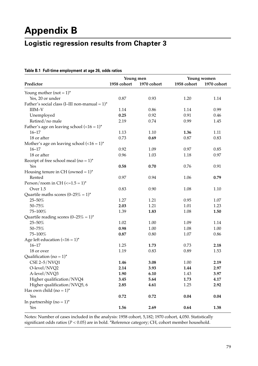# **Appendix B**

# **Logistic regression results from Chapter 3**

| Predictor                                        | Young men<br>1958 cohort | 1970 cohort | Young women |             |
|--------------------------------------------------|--------------------------|-------------|-------------|-------------|
|                                                  |                          |             | 1958 cohort | 1970 cohort |
| Young mother $(not = 1)^*$                       |                          |             |             |             |
| Yes, 20 or under                                 | 0.87                     | 0.93        | 1.20        | 1.14        |
| Father's social class (I-III non-manual = $1$ )* |                          |             |             |             |
| IIIM-V                                           | 1.14                     | 0.86        | 1.14        | 0.99        |
| Unemployed                                       | 0.25                     | 0.92        | 0.91        | 0.46        |
| Retired/no male                                  | 2.19                     | 0.74        | 0.99        | 1.45        |
| Father's age on leaving school $(<16 = 1$ )*     |                          |             |             |             |
| $16 - 17$                                        | 1.13                     | 1.10        | 1.36        | 1.11        |
| 18 or after                                      | 0.73                     | 0.69        | 0.87        | 0.83        |
| Mother's age on leaving school $(<16 = 1$ )*     |                          |             |             |             |
| $16 - 17$                                        | 0.92                     | 1.09        | 0.97        | 0.85        |
| 18 or after                                      | 0.96                     | 1.03        | 1.18        | 0.97        |
| Receipt of free school meal (no = $1$ )*         |                          |             |             |             |
| Yes                                              | 0.58                     | 0.70        | 0.76        | 0.91        |
| Housing tenure in CH (owned = $1$ )*             |                          |             |             |             |
| Rented                                           | 0.97                     | 0.94        | 1.06        | 0.79        |
| Person/room in CH $(<=1.5 = 1$ )*                |                          |             |             |             |
| Over 1.5                                         | 0.83                     | 0.90        | 1.08        | 1.10        |
| Quartile maths scores $(0-25\% = 1)^*$           |                          |             |             |             |
| 25-50%                                           | 1.27                     | 1.21        | 0.95        | 1.07        |
| $50 - 75%$                                       | 2.03                     | 1.21        | 1.01        | 1.23        |
| 75-100%                                          | 1.39                     | 1.83        | 1.08        | 1.50        |
| Quartile reading scores $(0-25\% = 1)^*$         |                          |             |             |             |
| 25-50%                                           | 1.02                     | 1.00        | 1.09        | 1.14        |
| $50 - 75%$                                       | 0.98                     | 1.00        | 1.08        | 1.00        |
| 75-100%                                          | 0.87                     | 0.80        | 1.07        | 0.86        |
| Age left education $(<16 = 1$ )*                 |                          |             |             |             |
| $16 - 17$                                        | 1.25                     | 1.73        | 0.73        | 2.18        |
| 18 or over                                       | 1.19                     | 0.83        | 0.89        | 1.53        |
| Qualification (no = $1$ )*                       |                          |             |             |             |
| CSE 2-5/NVQ1                                     | 1.46                     | 3.08        | 1.00        | 2.19        |
| O-level/NVQ2                                     | 2.14                     | 3.93        | 1.44        | 2.97        |
| A-level/NVQ3                                     | 1.90                     | 6.10        | 1.43        | 3.97        |
| Higher qualification/NVQ4                        | 3.45                     | 5.64        | 1.73        | 4.17        |
| Higher qualification/NVQ5, 6                     | 2.85                     | 4.61        | 1.25        | 2.92        |
| Has own child $(no = 1)^*$                       |                          |             |             |             |
| Yes                                              | 0.72                     | 0.72        | 0.04        | $0.04\,$    |
| In partnership (no = $1$ )*                      |                          |             |             |             |
| Yes                                              | 1.56                     | 2.69        | 0.64        | 1.38        |

#### **Table B.1 Full-time employment at age 26, odds ratios**

Notes: Number of cases included in the analysis: 1958 cohort, 5,182; 1970 cohort, 4,050. Statistically significant odds ratios (*P* < 0.05) are in bold. \*Reference category; CH, cohort member household.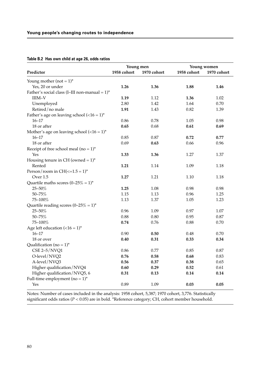|                                                         | Young men   |             | Young women |             |
|---------------------------------------------------------|-------------|-------------|-------------|-------------|
| Predictor                                               | 1958 cohort | 1970 cohort | 1958 cohort | 1970 cohort |
| Young mother (not = $1$ )*                              |             |             |             |             |
| Yes, 20 or under                                        | 1.26        | 1.36        | 1.88        | 1.46        |
| Father's social class (I-III non-manual = $1$ )*        |             |             |             |             |
| $IIIM-V$                                                | 1.19        | 1.12        | 1.36        | 1.02        |
| Unemployed                                              | 2.80        | 1.42        | 1.64        | 0.70        |
| Retired/no male                                         | 1.91        | 1.43        | 0.82        | 1.39        |
| Father's age on leaving school $(<16 = 1)$ <sup>*</sup> |             |             |             |             |
| $16 - 17$                                               | 0.86        | 0.78        | 1.05        | 0.98        |
| 18 or after                                             | 0.65        | 0.68        | 0.61        | 0.69        |
| Mother's age on leaving school $(<16 = 1$ )*            |             |             |             |             |
| $16 - 17$                                               | 0.85        | 0.87        | 0.72        | 0.77        |
| 18 or after                                             | 0.69        | 0.63        | 0.66        | 0.96        |
| Receipt of free school meal ( $no = 1$ )*               |             |             |             |             |
| Yes                                                     | 1.33        | 1.36        | 1.27        | 1.37        |
| Housing tenure in CH (owned = $1$ )*                    |             |             |             |             |
| Rented                                                  | 1.21        | 1.14        | 1.09        | 1.18        |
| Person/room in $CH(<=1.5=1)$ <sup>*</sup>               |             |             |             |             |
| Over 1.5                                                | 1.27        | 1.21        | 1.10        | 1.18        |
| Quartile maths scores $(0-25\% = 1)^*$                  |             |             |             |             |
| 25-50%                                                  | 1.25        | 1.08        | 0.98        | 0.98        |
| $50 - 75%$                                              | 1.15        | 1.13        | 0.96        | 1.25        |
| 75-100%                                                 | 1.13        | 1.37        | 1.05        | 1.23        |
| Quartile reading scores $(0-25\% = 1)^*$                |             |             |             |             |
| 25-50%                                                  | 0.96        | 1.09        | 0.97        | 1.07        |
| $50 - 75%$                                              | 0.88        | 0.80        | 0.95        | 0.87        |
| 75-100%                                                 | 0.74        | 0.76        | 0.88        | 0.70        |
| Age left education $(<16 = 1$ )*                        |             |             |             |             |
| $16 - 17$                                               | 0.90        | 0.50        | 0.48        | 0.70        |
| 18 or over                                              | 0.40        | 0.31        | 0.33        | 0.34        |
| Qualification (no = $1$ )*                              |             |             |             |             |
| $CSE 2-5/NVQ1$                                          | 0.86        | 0.77        | 0.85        | 0.87        |
| O-level/NVQ2                                            | 0.76        | 0.58        | 0.68        | 0.83        |
| A-level/NVQ3                                            | 0.56        | 0.37        | 0.38        | 0.65        |
| Higher qualification/NVQ4                               | 0.60        | 0.29        | 0.52        | 0.61        |
| Higher qualification/NVQ5, 6                            | 0.31        | 0.13        | 0.14        | 0.14        |
| Full-time employment ( $no = 1$ )*                      |             |             |             |             |
| Yes                                                     | 0.89        | 1.09        | 0.03        | 0.05        |

**Table B.2 Has own child at age 26, odds ratios**

Notes: Number of cases included in the analysis: 1958 cohort, 5,387; 1970 cohort, 3,776. Statistically significant odds ratios (*P* < 0.05) are in bold. \*Reference category; CH, cohort member household.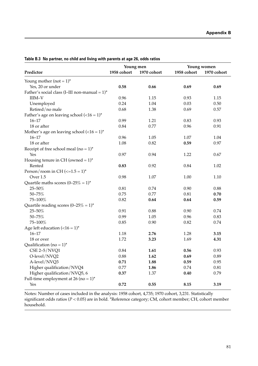|                                                         | Young men   |              | Young women  |              |  |
|---------------------------------------------------------|-------------|--------------|--------------|--------------|--|
| Predictor                                               | 1958 cohort | 1970 cohort  | 1958 cohort  | 1970 cohort  |  |
| Young mother (not = $1$ )*                              |             |              |              |              |  |
| Yes, 20 or under                                        | 0.58        | 0.66         | 0.69         | 0.69         |  |
| Father's social class (I-III non-manual = $1$ )*        |             |              |              |              |  |
| $IIIM-V$                                                | 0.96        | 1.15         | 0.93         | 1.15         |  |
|                                                         | 0.24        | 1.04         | 0.03         | 0.50         |  |
| Unemployed<br>Retired/no male                           | 0.68        | 1.38         | 0.69         | 0.57         |  |
|                                                         |             |              |              |              |  |
| Father's age on leaving school $(<16 = 1)$ <sup>*</sup> |             |              |              |              |  |
| $16 - 17$                                               | 0.99        | 1.21<br>0.77 | 0.83<br>0.96 | 0.93<br>0.91 |  |
| 18 or after                                             | 0.84        |              |              |              |  |
| Mother's age on leaving school $(<16 = 1$ )*            |             |              |              |              |  |
| $16 - 17$                                               | 0.96        | 1.05         | 1.07         | 1.04         |  |
| 18 or after                                             | 1.08        | 0.82         | 0.59         | 0.97         |  |
| Receipt of free school meal (no = $1$ )*                |             |              |              |              |  |
| Yes                                                     | 0.97        | 0.94         | 1.22         | 0.67         |  |
| Housing tenure in CH (owned = $1$ )*                    |             |              |              |              |  |
| Rented                                                  | 0.83        | 0.92         | 0.84         | 1.02         |  |
| Person/room in CH $\left(\le=1.5=1\right)^{*}$          |             |              |              |              |  |
| Over 1.5                                                | 0.98        | 1.07         | 1.00         | 1.10         |  |
| Quartile maths scores $(0-25\% = 1)^*$                  |             |              |              |              |  |
| 25-50%                                                  | 0.81        | 0.74         | 0.90         | 0.88         |  |
| 50-75%                                                  | 0.75        | 0.77         | 0.81         | 0.70         |  |
| 75-100%                                                 | 0.82        | 0.64         | 0.64         | 0.59         |  |
| Quartile reading scores $(0-25\% = 1)^*$                |             |              |              |              |  |
| 25-50%                                                  | 0.91        | 0.88         | 0.90         | 0.74         |  |
| $50 - 75%$                                              | 0.99        | 1.05         | 0.96         | 0.83         |  |
| 75-100%                                                 | 0.85        | 0.90         | 0.82         | 0.74         |  |
| Age left education $(<16 = 1$ )*                        |             |              |              |              |  |
| $16 - 17$                                               | 1.18        | 2.76         | 1.28         | 3.15         |  |
| 18 or over                                              | 1.72        | 3.23         | 1.69         | 4.31         |  |
| Qualification (no = $1$ )*                              |             |              |              |              |  |
| CSE 2-5/NVQ1                                            | 0.84        | 1.61         | 0.56         | 0.93         |  |
| O-level/NVQ2                                            | 0.88        | 1.62         | 0.69         | 0.89         |  |
| A-level/NVQ3                                            | 0.71        | 1.88         | 0.59         | 0.95         |  |
| Higher qualification/NVQ4                               | 0.77        | 1.86         | 0.74         | $0.81\,$     |  |
| Higher qualification/NVQ5, 6                            | 0.37        | 1.37         | 0.40         | 0.79         |  |
| Full-time employment at 26 (no = $1$ )*                 |             |              |              |              |  |
| Yes                                                     | 0.72        | 0.55         | 8.15         | 3.19         |  |

**Table B.3 No partner, no child and living with parents at age 26, odds ratios**

Notes: Number of cases included in the analysis: 1958 cohort, 4,735; 1970 cohort, 3,231. Statistically significant odds ratios (*P* < 0.05) are in bold. \*Reference category; CM, cohort member; CH, cohort member household.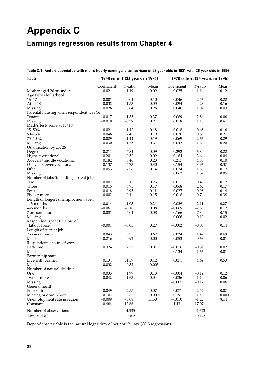# **Appendix C**

# **Earnings regression results from Chapter 4**

| Table C.1 Factors associated with men's hourly earnings: a comparison of 23-year-olds in 1981 with 26-year-olds in 1996 |  |  |
|-------------------------------------------------------------------------------------------------------------------------|--|--|
|                                                                                                                         |  |  |

| Factor                                                                          | 1958 cohort (23 years in 1981) |         |              | 1970 cohort (26 years in 1996) |                    |              |  |
|---------------------------------------------------------------------------------|--------------------------------|---------|--------------|--------------------------------|--------------------|--------------|--|
|                                                                                 | Coefficient                    | T-ratio | Mean         | Coefficient                    | T-ratio            | Mean         |  |
| Mother aged 20 or under                                                         | 0.021                          | 1.19    | 0.09         | 0.025                          | 1.14               | 0.12         |  |
| Age father left school                                                          |                                |         |              |                                |                    |              |  |
| $16 - 17$                                                                       | $-0.001$                       | $-0.04$ | 0.10         | 0.046                          | 2.56               | 0.22         |  |
| After 18                                                                        | $-0.038$                       | $-1.53$ | 0.05         | 0.094                          | 4.28               | 0.16         |  |
| Missing                                                                         | 0.026                          | 0.84    | 0.26         | 0.040                          | 1.02               | 0.03         |  |
| Parental housing when respondent was 16                                         |                                |         |              |                                |                    |              |  |
| Tenants                                                                         | 0.017                          | 1.35    | 0.37         | $-0.089$                       | $-2.86$            | 0.06         |  |
| Missing                                                                         | $-0.010$                       | $-0.32$ | 0.24         | 0.018                          | 1.13               | 0.61         |  |
| Math's tests score at 11/10                                                     |                                |         |              |                                |                    |              |  |
| 25-50%                                                                          | 0.021                          | 1.12    | 0.18         | 0.018                          | 0.68               | 0.16         |  |
| $50 - 75%$                                                                      | 0.046                          | 2.42    | 0.19         | 0.020                          | 0.80               | 0.21         |  |
| 75-100%                                                                         | 0.029                          | 1.44    | 0.19         | 0.069                          | 2.66               | 0.29         |  |
| Missing                                                                         | 0.030                          | 1.75    | 0.31         | 0.042                          | 1.63               | 0.20         |  |
| Qualification by 23/26                                                          |                                |         |              |                                |                    |              |  |
| Degree                                                                          | 0.211                          | 7.84    | 0.09         | 0.292                          | 6.84               | 0.22         |  |
| Highest vocational                                                              | 0.201                          | 9.52    | 0.09         | 0.184                          | 3.64               | 0.04         |  |
| A-levels/middle vocational                                                      | 0.182                          | 8.46    | 0.23         | 0.217                          | 4.88               | $0.10\,$     |  |
| O-levels/lower vocational                                                       | 0.137                          | 7.73    | 0.30         | 0.154                          | 3.96               | 0.37         |  |
| Other                                                                           | 0.053                          | 2.76    | 0.14         | 0.074                          | 1.85               | 0.17         |  |
| Missing                                                                         |                                |         |              | 0.063                          | 1.32               | 0.05         |  |
| Number of jobs (including current job)                                          |                                |         |              |                                |                    |              |  |
| Two                                                                             | 0.002                          | 0.15    | 0.25         | 0.011                          | 0.43               | 0.17         |  |
| Three                                                                           | 0.015                          | 0.95    | 0.17         | 0.068                          | 2.62               | 0.17         |  |
| Four                                                                            | 0.018                          | 0.95    | 0.11         | 0.027                          | 0.98               | 0.14         |  |
| Five or more                                                                    | $-0.002$                       | $-0.11$ | 0.15         | 0.018                          | 0.74               | 0.38         |  |
| Length of longest unemployment spell                                            |                                |         |              |                                |                    |              |  |
|                                                                                 |                                |         |              |                                |                    |              |  |
| $1-3$ months                                                                    | $-0.014$                       | $-1.03$ | 0.21<br>0.08 | $-0.039$<br>$-0.069$           | $-2.11$<br>$-2.89$ | 0.27<br>0.12 |  |
| 4–6 months                                                                      | $-0.061$                       | $-3.18$ |              |                                |                    |              |  |
| 7 or more months                                                                | $-0.081$                       | $-4.04$ | 0.08         | $-0.166$                       | $-7.30$            | 0.15         |  |
| Missing                                                                         |                                |         |              | $-0.006$                       | $-0.10$            | 0.02         |  |
| Respondent spent time out of                                                    |                                |         |              |                                |                    |              |  |
| labour force                                                                    | $-0.001$                       | $-0.05$ | 0.27         | $-0.002$                       | $-0.08$            | 0.14         |  |
| Length of current job                                                           |                                |         |              |                                |                    |              |  |
| 2 years or more                                                                 | 0.043                          | 3.35    | 0.67         | 0.024                          | 1.42               | 0.69         |  |
| Missing                                                                         | $-0.216$                       | $-0.92$ | 0.00         | $-0.053$                       | $-0.63$            | 0.01         |  |
| Respondent's hours of work                                                      |                                |         |              |                                |                    |              |  |
| Part-time                                                                       | 0.324                          | 7.27    | 0.01         | $-0.016$                       | $-0.31$            | 0.02         |  |
| Missing                                                                         |                                |         |              | $-0.134$                       | $-1.66$            | 0.01         |  |
| Partnership status                                                              |                                |         |              |                                |                    |              |  |
| Live with partner                                                               | 0.134                          | 11.57   | 0.42         | 0.071                          | 4.69               | 0.53         |  |
| Missing                                                                         | $-0.032$                       | $-0.32$ | 0.003        |                                |                    |              |  |
| Number of natural children                                                      |                                |         |              |                                |                    |              |  |
| One                                                                             | 0.033                          | 1.99    | 0.13         | $-0.004$                       | $-0.19$            | 0.12         |  |
| Two or more                                                                     | 0.042                          | 1.63    | 0.04         | 0.036                          | 1.14               | 0.06         |  |
| Missing                                                                         |                                |         |              | $-0.005$                       | $-0.17$            | 0.06         |  |
| General health                                                                  |                                |         |              |                                |                    |              |  |
| Poor/fair                                                                       | $-0.049$                       | $-2.55$ | 0.07         | $-0.071$                       | $-2.57$            | 0.07         |  |
| Missing or don't know                                                           | $-0.104$                       | $-0.32$ | 0.0002       | $-0.191$                       | $-1.40$            | 0.003        |  |
| Unemployment rate in region                                                     | $-0.009$                       | $-5.08$ | 11.50        | $-0.010$                       | $-1.22$            | 8.14         |  |
| Constant                                                                        | 0.464                          | 13.66   |              | 1.431                          | 17.07              |              |  |
| Number of observations                                                          |                                | 4,335   |              |                                | 2,623              |              |  |
| Adjusted R <sup>2</sup>                                                         |                                | 0.105   |              |                                | 0.125              |              |  |
| Dependent variable is the natural logarithm of net hourly pay (OLS regression). |                                |         |              |                                |                    |              |  |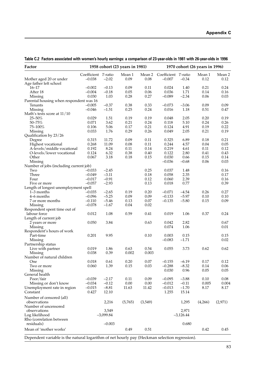| Factor                                                                                        |                     |              | 1958 cohort (23 years in 1981) |              | 1970 cohort (26 years in 1996) |              |              |              |
|-----------------------------------------------------------------------------------------------|---------------------|--------------|--------------------------------|--------------|--------------------------------|--------------|--------------|--------------|
|                                                                                               | Coefficient T-ratio |              | Mean 1                         | Mean 2       | Coefficient T-ratio            |              | Mean 1       | Mean 2       |
| Mother aged 20 or under<br>Age father left school                                             | $-0.038$            | $-2.02$      | 0.09                           | 0.08         | $-0.007$                       | $-0.34$      | 0.12         | 0.12         |
| $16 - 17$                                                                                     | $-0.002$            | $-0.13$      | 0.09                           | 0.11         | 0.024                          | 1.40         | 0.21         | 0.24         |
| After 18                                                                                      | $-0.004$            | $-0.18$      | 0.05                           | 0.06         | 0.036                          | 1.71         | 0.14         | 0.16         |
| Missing                                                                                       | 0.030               | 1.03         | 0.28                           | 0.27         | $-0.089$                       | $-2.34$      | 0.06         | 0.03         |
| Parental housing when respondent was 16                                                       |                     |              |                                |              |                                |              |              |              |
| Tenants                                                                                       | $-0.005$            | $-0.37$      | 0.38                           | 0.33         | $-0.073$                       | $-3.06$      | 0.09         | 0.09         |
| Missing                                                                                       | $-0.046$            | $-1.51$      | 0.25                           | 0.24         | 0.016                          | 1.18         | 0.51         | 0.47         |
| Math's tests score at 11/10                                                                   |                     |              |                                |              |                                |              |              |              |
| 25-50%                                                                                        | 0.029<br>0.071      | 1.51<br>3.62 | 0.19<br>0.21                   | 0.19<br>0.24 | 0.048                          | 2.05<br>5.10 | 0.20<br>0.24 | 0.19         |
| $50 - 75%$<br>75-100%                                                                         | 0.106               | 5.06         | 0.17                           | 0.21         | 0.118<br>0.124                 | 4.91         | 0.19         | 0.26<br>0.22 |
| Missing                                                                                       | 0.033               | 1.76         | 0.29                           | 0.26         | 0.049                          | 2.05         | 0.21         | 0.19         |
| Qualification by 23/26                                                                        |                     |              |                                |              |                                |              |              |              |
| Degree                                                                                        | 0.315               | 11.72        | 0.09                           | 0.11         | 0.325                          | 6.89         | 0.18         | 0.21         |
| Highest vocational                                                                            | 0.268               | 11.09        | $0.08\,$                       | 0.11         | 0.244                          | 4.57         | 0.04         | 0.05         |
| A-levels/middle vocational                                                                    | 0.192               | 8.24         | 0.11                           | 0.14         | 0.219                          | 4.61         | 0.11         | 0.12         |
| O-levels/lower vocational                                                                     | 0.124               | 6.32         | 0.38                           | 0.40         | 0.122                          | 2.80         | 0.41         | 0.43         |
| Other                                                                                         | 0.067               | 3.18         | 0.18                           | 0.15         | 0.030                          | 0.66         | 0.15         | 0.14         |
| Missing                                                                                       |                     |              |                                |              | $-0.036$                       | $-0.68$      | 0.06         | 0.03         |
| Number of jobs (including current job)                                                        |                     |              |                                |              |                                |              |              |              |
| Two                                                                                           | $-0.033$            | $-2.45$      |                                | 0.25         | 0.037                          | 1.48         |              | 0.16         |
| Three                                                                                         | $-0.049$            | $-3.11$      |                                | $0.18\,$     | 0.058                          | 2.35         |              | 0.17         |
| Four                                                                                          | $-0.017$            | $-0.91$      |                                | 0.12         | 0.060                          | 2.39         |              | 0.16         |
| Five or more                                                                                  | $-0.057$            | $-2.93$      |                                | 0.13         | 0.018                          | 0.77         |              | 0.39         |
| Length of longest unemployment spell<br>$1 - 3$ months                                        | $-0.035$            | $-2.65$      | 0.19                           | 0.20         | $-0.071$                       | $-4.54$      | 0.26         | 0.27         |
| 4–6 months                                                                                    | $-0.096$            | $-5.25$      | 0.09                           | 0.09         | $-0.133$                       | $-5.97$      | 0.10         | 0.10         |
| 7 or more months                                                                              | $-0.110$            | $-5.46$      | 0.13                           | 0.07         | $-0.135$                       | $-5.80$      | 0.15         | 0.09         |
| Missing                                                                                       | $-0.078$            | $-1.67$      | 0.04                           | 0.02         |                                |              |              |              |
| Respondent spent time out of                                                                  |                     |              |                                |              |                                |              |              |              |
| labour force                                                                                  | 0.012               | 1.08         | 0.59                           | 0.41         | 0.019                          | 1.06         | 0.37         | 0.24         |
| Length of current job                                                                         |                     |              |                                |              |                                |              |              |              |
| 2 years or more                                                                               | 0.050               | 3.84         |                                | 0.63         | 0.042                          | 2.82         |              | 0.67         |
| Missing                                                                                       |                     |              |                                |              | 0.074                          | 1.06         |              | 0.01         |
| Respondent's hours of work                                                                    |                     |              |                                |              |                                |              |              |              |
| Part-time                                                                                     | 0.201               | 9.95         |                                | 0.10         | 0.003                          | 0.15         |              | 0.15         |
| Missing<br>Partnership status                                                                 |                     |              |                                |              | $-0.083$                       | $-1.71$      |              | 0.02         |
| Live with partner                                                                             | 0.019               | 1.86         | 0.63                           | 0.54         | 0.055                          | 3.73         | 0.62         | 0.62         |
| Missing                                                                                       | 0.038               | 0.39         | 0.002                          | 0.003        |                                |              |              |              |
| Number of natural children                                                                    |                     |              |                                |              |                                |              |              |              |
| One                                                                                           | 0.018               | 0.61         | 0.20                           | 0.07         | $-0.155$                       | $-6.19$      | 0.17         | 0.12         |
| Two or more                                                                                   | 0.060               | 1.39         | 0.15                           | 0.03         | $-0.288$                       | $-8.32$      | 0.14         | 0.06         |
| Missing                                                                                       |                     |              |                                |              | 0.030                          | 0.96         | 0.05         | 0.05         |
| General health                                                                                |                     |              |                                |              |                                |              |              |              |
| Poor/fair                                                                                     | $-0.039$            | $-2.17$      | 0.11                           | 0.09         | $-0.095$                       | $-3.88$      | 0.10         | 0.08         |
| Missing or don't know                                                                         | $-0.034$            | $-0.12$      | $0.00\,$                       | 0.00         | $-0.012$                       | $-0.11$      | 0.005        | 0.004        |
| Unemployment rate in region                                                                   | $-0.015$            | $-8.81$      | 11.63                          | 11.42        | $-0.013$                       | $-1.70$      | 8.17         | 8.17         |
| Constant                                                                                      | 0.427               | 12.10        |                                |              | 1.255                          | 15.14        |              |              |
| Number of censored (all)<br>observations                                                      |                     | 2,216        | (5,765)                        | (3,549)      |                                | 1,295        | (4,266)      | (2,971)      |
| Number of uncensored                                                                          |                     |              |                                |              |                                |              |              |              |
| observations                                                                                  |                     | 3,549        |                                |              |                                | 2,971        |              |              |
| Log likelihood                                                                                |                     | $-3,099.84$  |                                |              |                                | $-3,126.44$  |              |              |
| Rho (correlation between                                                                      |                     |              |                                |              |                                |              |              |              |
| residuals)                                                                                    |                     | $-0.003$     |                                |              |                                | 0.680        |              |              |
| Mean of 'mother works'                                                                        |                     |              | 0.49                           | 0.51         |                                |              | 0.42         | 0.45         |
| Dependent variable is the natural logarithm of net hourly pay (Heckman selection regression). |                     |              |                                |              |                                |              |              |              |

**Table C.2 Factors associated with women's hourly earnings: a comparison of 23-year-olds in 1981 with 26-year-olds in 1996**